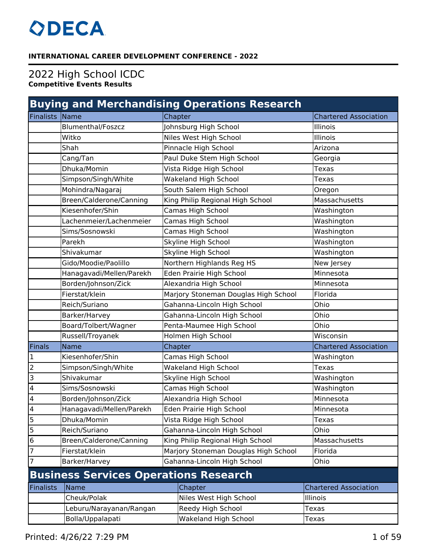## **ODECA**

## **INTERNATIONAL CAREER DEVELOPMENT CONFERENCE - 2022**

## 2022 High School ICDC **Competitive Events Results**

| <b>Buying and Merchandising Operations Research</b> |                                              |  |                                      |  |                              |
|-----------------------------------------------------|----------------------------------------------|--|--------------------------------------|--|------------------------------|
| Finalists                                           | Name                                         |  | Chapter                              |  | <b>Chartered Association</b> |
|                                                     | <b>Blumenthal/Foszcz</b>                     |  | Johnsburg High School                |  | Illinois                     |
|                                                     | Witko                                        |  | Niles West High School               |  | Illinois                     |
|                                                     | Shah                                         |  | Pinnacle High School                 |  | Arizona                      |
|                                                     | Cang/Tan                                     |  | Paul Duke Stem High School           |  | Georgia                      |
|                                                     | Dhuka/Momin                                  |  | Vista Ridge High School              |  | Texas                        |
|                                                     | Simpson/Singh/White                          |  | <b>Wakeland High School</b>          |  | <b>Texas</b>                 |
|                                                     | Mohindra/Nagaraj                             |  | South Salem High School              |  | Oregon                       |
|                                                     | Breen/Calderone/Canning                      |  | King Philip Regional High School     |  | Massachusetts                |
|                                                     | Kiesenhofer/Shin                             |  | Camas High School                    |  | Washington                   |
|                                                     | Lachenmeier/Lachenmeier                      |  | Camas High School                    |  | Washington                   |
|                                                     | Sims/Sosnowski                               |  | Camas High School                    |  | Washington                   |
|                                                     | Parekh                                       |  | Skyline High School                  |  | Washington                   |
|                                                     | Shivakumar                                   |  | Skyline High School                  |  | Washington                   |
|                                                     | Gido/Moodie/Paolillo                         |  | Northern Highlands Reg HS            |  | New Jersey                   |
|                                                     | Hanagavadi/Mellen/Parekh                     |  | Eden Prairie High School             |  | Minnesota                    |
|                                                     | Borden/Johnson/Zick                          |  | Alexandria High School               |  | Minnesota                    |
|                                                     | Fierstat/klein                               |  | Marjory Stoneman Douglas High School |  | Florida                      |
|                                                     | Reich/Suriano                                |  | Gahanna-Lincoln High School          |  | Ohio                         |
|                                                     | Barker/Harvey                                |  | Gahanna-Lincoln High School          |  | Ohio                         |
|                                                     | Board/Tolbert/Wagner                         |  | Penta-Maumee High School             |  | Ohio                         |
|                                                     | Russell/Troyanek                             |  | Holmen High School                   |  | Wisconsin                    |
| Finals                                              | <b>Name</b>                                  |  | Chapter                              |  | <b>Chartered Association</b> |
| $\mathbf{1}$                                        | Kiesenhofer/Shin                             |  | Camas High School                    |  | Washington                   |
| $\overline{c}$                                      | Simpson/Singh/White                          |  | <b>Wakeland High School</b>          |  | Texas                        |
| $\overline{3}$                                      | Shivakumar                                   |  | Skyline High School                  |  | Washington                   |
| $\overline{4}$                                      | Sims/Sosnowski                               |  | Camas High School                    |  | Washington                   |
| $\overline{\mathcal{A}}$                            | Borden/Johnson/Zick                          |  | Alexandria High School               |  | Minnesota                    |
| $\overline{\mathbf{r}}$                             | Hanagavadi/Mellen/Parekh                     |  | Eden Prairie High School             |  | Minnesota                    |
| $\overline{5}$                                      | Dhuka/Momin                                  |  | Vista Ridge High School              |  | Texas                        |
| 5                                                   | Reich/Suriano                                |  | Gahanna-Lincoln High School          |  | Ohio                         |
| 6                                                   | Breen/Calderone/Canning                      |  | King Philip Regional High School     |  | Massachusetts                |
| $\overline{7}$                                      | Fierstat/klein                               |  | Marjory Stoneman Douglas High School |  | Florida                      |
| $\overline{7}$                                      | Barker/Harvey                                |  | Gahanna-Lincoln High School          |  | Ohio                         |
|                                                     | <b>Business Services Operations Research</b> |  |                                      |  |                              |
| <b>Finalists</b>                                    | <b>Name</b>                                  |  | Chapter                              |  | <b>Chartered Association</b> |
|                                                     | Cheuk/Polak                                  |  | Niles West High School               |  | Illinois                     |
|                                                     | Leburu/Narayanan/Rangan                      |  | Reedy High School                    |  | <b>Texas</b>                 |
|                                                     | Bolla/Uppalapati                             |  | Wakeland High School                 |  | <b>Texas</b>                 |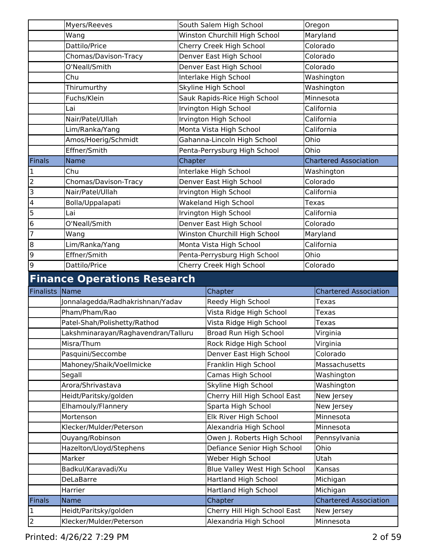|                         | Myers/Reeves                                      |         | South Salem High School                             |              | Oregon                                |
|-------------------------|---------------------------------------------------|---------|-----------------------------------------------------|--------------|---------------------------------------|
|                         | Wang                                              |         | Winston Churchill High School                       |              | Maryland                              |
|                         | Dattilo/Price                                     |         | Cherry Creek High School                            |              | Colorado                              |
|                         | Chomas/Davison-Tracy                              |         | Denver East High School                             |              | Colorado                              |
|                         | O'Neall/Smith                                     |         | Denver East High School                             |              | Colorado                              |
|                         | Chu                                               |         | Interlake High School                               |              | Washington                            |
|                         | Thirumurthy                                       |         | Skyline High School                                 |              | Washington                            |
|                         | Fuchs/Klein                                       |         | Sauk Rapids-Rice High School                        |              | Minnesota                             |
|                         | Lai                                               |         | Irvington High School                               |              | California                            |
|                         | Nair/Patel/Ullah                                  |         | Irvington High School                               |              | California                            |
|                         | Lim/Ranka/Yang                                    |         | Monta Vista High School                             |              | California                            |
|                         | Amos/Hoerig/Schmidt                               |         | Gahanna-Lincoln High School                         | Ohio         |                                       |
|                         | Effner/Smith                                      |         | Penta-Perrysburg High School                        | Ohio         |                                       |
| Finals                  | <b>Name</b>                                       | Chapter |                                                     |              | <b>Chartered Association</b>          |
| $\mathbf{1}$            | Chu                                               |         | Interlake High School                               |              | Washington                            |
| $\overline{a}$          | Chomas/Davison-Tracy                              |         | Denver East High School                             |              | Colorado                              |
| $\overline{3}$          | Nair/Patel/Ullah                                  |         | Irvington High School                               |              | California                            |
| $\overline{\mathbf{4}}$ | Bolla/Uppalapati                                  |         | <b>Wakeland High School</b>                         | <b>Texas</b> |                                       |
| 5                       | Lai                                               |         | Irvington High School                               |              | California                            |
| 6                       | O'Neall/Smith                                     |         | Denver East High School                             |              | Colorado                              |
| 7                       | Wang                                              |         | Winston Churchill High School                       |              | Maryland                              |
| 8                       | Lim/Ranka/Yang                                    |         | Monta Vista High School                             |              | California                            |
| 9                       | Effner/Smith                                      |         | Penta-Perrysburg High School                        | Ohio         |                                       |
| 9                       | Dattilo/Price                                     |         | Cherry Creek High School                            |              | Colorado                              |
|                         |                                                   |         |                                                     |              |                                       |
|                         |                                                   |         |                                                     |              |                                       |
| Finalists Name          | <b>Finance Operations Research</b>                |         |                                                     |              |                                       |
|                         | Jonnalagedda/Radhakrishnan/Yadav                  |         | Chapter                                             |              | <b>Chartered Association</b><br>Texas |
|                         | Pham/Pham/Rao                                     |         | Reedy High School                                   |              | <b>Texas</b>                          |
|                         |                                                   |         | Vista Ridge High School                             |              | Texas                                 |
|                         | Patel-Shah/Polishetty/Rathod                      |         | Vista Ridge High School                             |              |                                       |
|                         | Lakshminarayan/Raghavendran/Talluru<br>Misra/Thum |         | Broad Run High School<br>Rock Ridge High School     |              | Virginia<br>Virginia                  |
|                         | Pasquini/Seccombe                                 |         | Denver East High School                             |              | Colorado                              |
|                         | Mahoney/Shaik/Voellmicke                          |         | Franklin High School                                |              | Massachusetts                         |
|                         | Segall                                            |         | Camas High School                                   |              | Washington                            |
|                         | Arora/Shrivastava                                 |         |                                                     |              | Washington                            |
|                         | Heidt/Paritsky/golden                             |         | Skyline High School<br>Cherry Hill High School East |              | New Jersey                            |
|                         | Elhamouly/Flannery                                |         | Sparta High School                                  |              | New Jersey                            |
|                         | Mortenson                                         |         | Elk River High School                               |              | Minnesota                             |
|                         | Klecker/Mulder/Peterson                           |         | Alexandria High School                              |              | Minnesota                             |
|                         | Ouyang/Robinson                                   |         | Owen J. Roberts High School                         |              | Pennsylvania                          |
|                         | Hazelton/Lloyd/Stephens                           |         | Defiance Senior High School                         |              | Ohio                                  |
|                         | Marker                                            |         | Weber High School                                   |              | Utah                                  |
|                         | Badkul/Karavadi/Xu                                |         | Blue Valley West High School                        |              | Kansas                                |
|                         | <b>DeLaBarre</b>                                  |         | Hartland High School                                |              | Michigan                              |
|                         | Harrier                                           |         | Hartland High School                                |              | Michigan                              |
| <b>Finals</b>           | Name                                              |         | Chapter                                             |              | <b>Chartered Association</b>          |
| $\overline{\mathbf{1}}$ | Heidt/Paritsky/golden                             |         | Cherry Hill High School East                        |              | New Jersey                            |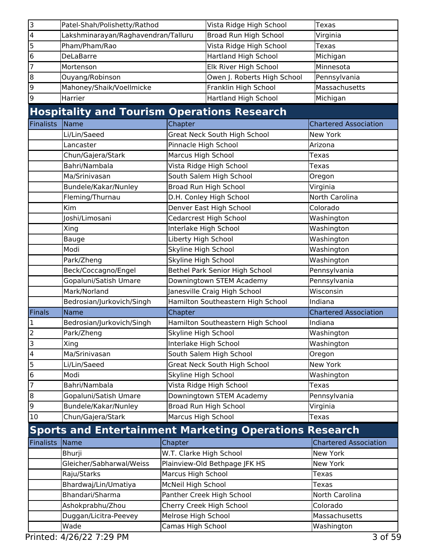| 3                       | Patel-Shah/Polishetty/Rathod                       |                         | Vista Ridge High School                                       | Texas                        |
|-------------------------|----------------------------------------------------|-------------------------|---------------------------------------------------------------|------------------------------|
| $\overline{\mathbf{4}}$ | Lakshminarayan/Raghavendran/Talluru                |                         | Broad Run High School                                         | Virginia                     |
| 5                       | Pham/Pham/Rao                                      |                         | Vista Ridge High School                                       | Texas                        |
| 6                       | <b>DeLaBarre</b>                                   |                         | Hartland High School                                          | Michigan                     |
| $\overline{7}$          | Mortenson                                          |                         | Elk River High School                                         | Minnesota                    |
| 8                       | Ouyang/Robinson                                    |                         | Owen J. Roberts High School                                   | Pennsylvania                 |
| 9                       | Mahoney/Shaik/Voellmicke                           |                         | Franklin High School                                          | Massachusetts                |
| 9                       | Harrier                                            |                         | Hartland High School                                          | Michigan                     |
|                         | <b>Hospitality and Tourism Operations Research</b> |                         |                                                               |                              |
| <b>Finalists</b>        | Name                                               | Chapter                 |                                                               | <b>Chartered Association</b> |
|                         | Li/Lin/Saeed                                       |                         | Great Neck South High School                                  | New York                     |
|                         | Lancaster                                          | Pinnacle High School    |                                                               | Arizona                      |
|                         | Chun/Gajera/Stark                                  | Marcus High School      |                                                               | Texas                        |
|                         | Bahri/Nambala                                      |                         | Vista Ridge High School                                       | Texas                        |
|                         | Ma/Srinivasan                                      |                         | South Salem High School                                       | Oregon                       |
|                         | Bundele/Kakar/Nunley                               |                         | Broad Run High School                                         | Virginia                     |
|                         | Fleming/Thurnau                                    |                         | D.H. Conley High School                                       | North Carolina               |
|                         | Kim                                                |                         | Denver East High School                                       | Colorado                     |
|                         | Joshi/Limosani                                     |                         | Cedarcrest High School                                        | Washington                   |
|                         | Xing                                               | Interlake High School   |                                                               | Washington                   |
|                         | Bauge                                              | Liberty High School     |                                                               | Washington                   |
|                         | Modi                                               | Skyline High School     |                                                               | Washington                   |
|                         | Park/Zheng                                         | Skyline High School     |                                                               | Washington                   |
|                         | Beck/Coccagno/Engel                                |                         | Bethel Park Senior High School                                | Pennsylvania                 |
|                         | Gopaluni/Satish Umare                              |                         | Downingtown STEM Academy                                      | Pennsylvania                 |
|                         | Mark/Norland                                       |                         | Janesville Craig High School                                  | Wisconsin                    |
|                         | Bedrosian/Jurkovich/Singh                          |                         | Hamilton Southeastern High School                             | Indiana                      |
| <b>Finals</b>           | Name                                               | Chapter                 |                                                               | <b>Chartered Association</b> |
| 1                       | Bedrosian/Jurkovich/Singh                          |                         | Hamilton Southeastern High School                             | Indiana                      |
| $\overline{c}$          | Park/Zheng                                         | Skyline High School     |                                                               | Washington                   |
| $\overline{3}$          | Xing                                               | Interlake High School   |                                                               | Washington                   |
| $\overline{\mathbf{4}}$ | Ma/Srinivasan                                      |                         | South Salem High School                                       | Oregon                       |
| 5                       | Li/Lin/Saeed                                       |                         | <b>Great Neck South High School</b>                           | <b>New York</b>              |
| $6\overline{6}$         | Modi                                               | Skyline High School     |                                                               | Washington                   |
| 7                       | Bahri/Nambala                                      |                         | Vista Ridge High School                                       | Texas                        |
| 8                       | Gopaluni/Satish Umare                              |                         | Downingtown STEM Academy                                      | Pennsylvania                 |
| 9                       | Bundele/Kakar/Nunley                               |                         | Broad Run High School                                         | Virginia                     |
| 10                      | Chun/Gajera/Stark                                  | Marcus High School      |                                                               | Texas                        |
|                         |                                                    |                         | <b>Sports and Entertainment Marketing Operations Research</b> |                              |
| <b>Finalists</b>        | Name                                               | Chapter                 |                                                               | <b>Chartered Association</b> |
|                         | Bhurji                                             | W.T. Clarke High School |                                                               | New York                     |
|                         | Gleicher/Sabharwal/Weiss                           |                         | Plainview-Old Bethpage JFK HS                                 | New York                     |
|                         | Raju/Starks                                        | Marcus High School      |                                                               | Texas                        |
|                         | Bhardwaj/Lin/Umatiya                               | McNeil High School      |                                                               | Texas                        |
|                         | Bhandari/Sharma                                    |                         | Panther Creek High School                                     | North Carolina               |
|                         | Ashokprabhu/Zhou                                   |                         | Cherry Creek High School                                      | Colorado                     |
|                         | Duggan/Licitra-Peevey                              | Melrose High School     |                                                               | Massachusetts                |
|                         | Wade                                               | Camas High School       |                                                               | Washington                   |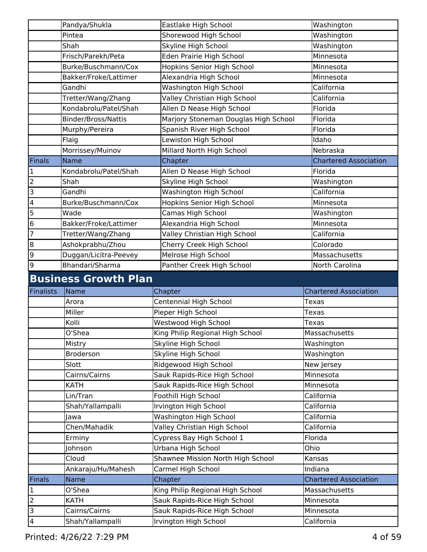|                                                                                                                     | Washington                   |
|---------------------------------------------------------------------------------------------------------------------|------------------------------|
| Shorewood High School<br>Pintea                                                                                     | Washington                   |
| Shah<br>Skyline High School                                                                                         | Washington                   |
| Eden Prairie High School<br>Frisch/Parekh/Peta                                                                      | Minnesota                    |
| Burke/Buschmann/Cox<br>Hopkins Senior High School                                                                   | Minnesota                    |
| Alexandria High School<br>Bakker/Froke/Lattimer                                                                     | Minnesota                    |
| Washington High School<br>Gandhi                                                                                    | California                   |
| Valley Christian High School<br>Tretter/Wang/Zhang                                                                  | California                   |
| Kondabrolu/Patel/Shah<br>Allen D Nease High School                                                                  | Florida                      |
| Marjory Stoneman Douglas High School<br><b>Binder/Bross/Nattis</b>                                                  | Florida                      |
| Spanish River High School<br>Murphy/Pereira                                                                         | Florida                      |
| Lewiston High School<br>Flaig                                                                                       | Idaho                        |
| Morrissey/Muinov<br>Millard North High School                                                                       | Nebraska                     |
| Finals<br><b>Name</b><br>Chapter                                                                                    | <b>Chartered Association</b> |
| 1<br>Allen D Nease High School<br>Kondabrolu/Patel/Shah                                                             | Florida                      |
| $\overline{2}$<br>Shah<br>Skyline High School                                                                       | Washington                   |
| 3<br>Gandhi<br>Washington High School                                                                               | California                   |
| 4<br>Hopkins Senior High School<br>Burke/Buschmann/Cox                                                              | Minnesota                    |
| 5<br>Wade                                                                                                           |                              |
| Camas High School                                                                                                   | Washington                   |
| 6<br>Alexandria High School<br>Bakker/Froke/Lattimer<br>7<br>Tretter/Wang/Zhang<br>Valley Christian High School     | Minnesota                    |
|                                                                                                                     | California                   |
|                                                                                                                     |                              |
| 8<br>Ashokprabhu/Zhou<br>Cherry Creek High School<br>Colorado                                                       |                              |
| 9<br>Duggan/Licitra-Peevey<br>Melrose High School                                                                   | Massachusetts                |
| 9<br>Bhandari/Sharma<br>Panther Creek High School                                                                   | North Carolina               |
| <b>Business Growth Plan</b>                                                                                         |                              |
| <b>Finalists</b><br><b>Name</b><br>Chapter                                                                          | <b>Chartered Association</b> |
| Centennial High School<br>Arora<br>Texas                                                                            |                              |
| Pieper High School<br>Miller<br>Texas                                                                               |                              |
| Westwood High School<br>Kolli<br>Texas                                                                              |                              |
| King Philip Regional High School<br>O'Shea                                                                          | Massachusetts                |
| Skyline High School<br>Mistry                                                                                       | Washington                   |
| Skyline High School<br><b>Broderson</b>                                                                             | Washington                   |
| Slott<br>Ridgewood High School                                                                                      | New Jersey                   |
| Cairns/Cairns<br>Sauk Rapids-Rice High School                                                                       | Minnesota                    |
| Sauk Rapids-Rice High School<br><b>KATH</b>                                                                         | Minnesota                    |
| Foothill High School<br>California<br>Lin/Tran                                                                      |                              |
| California<br>Shah/Yallampalli                                                                                      |                              |
| Irvington High School<br>California                                                                                 |                              |
| Washington High School<br>Jawa                                                                                      |                              |
| California<br>Chen/Mahadik<br>Valley Christian High School                                                          |                              |
| Cypress Bay High School 1<br>Florida<br>Erminy                                                                      |                              |
| Urbana High School<br>Ohio<br>Johnson                                                                               |                              |
| Cloud<br>Shawnee Mission North High School<br>Kansas                                                                |                              |
| Ankaraju/Hu/Mahesh<br>Carmel High School<br>Indiana                                                                 |                              |
| Finals<br>Chapter<br>Name                                                                                           | <b>Chartered Association</b> |
| $\mathbf 1$<br>King Philip Regional High School<br>O'Shea                                                           | Massachusetts                |
| $\overline{2}$<br>Sauk Rapids-Rice High School<br><b>KATH</b><br>3<br>Cairns/Cairns<br>Sauk Rapids-Rice High School | Minnesota<br>Minnesota       |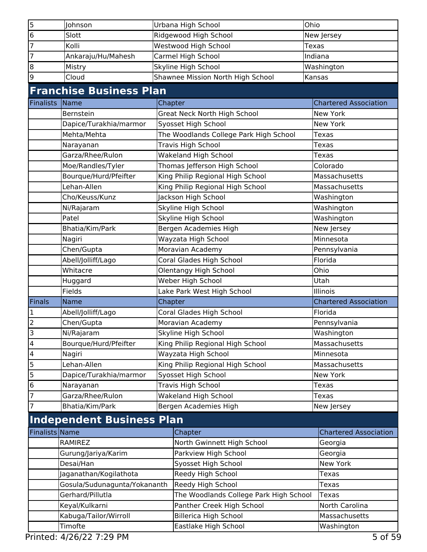| 5                       | Johnson                                            |         | Urbana High School                     | Ohio  |                              |
|-------------------------|----------------------------------------------------|---------|----------------------------------------|-------|------------------------------|
| 6                       | Slott                                              |         | Ridgewood High School                  |       | New Jersey                   |
| 7                       | Kolli                                              |         | Westwood High School                   | Texas |                              |
| 7                       | Ankaraju/Hu/Mahesh                                 |         | Carmel High School                     |       | Indiana                      |
| 8                       | Mistry                                             |         | Skyline High School                    |       | Washington                   |
| 9                       | Cloud                                              |         | Shawnee Mission North High School      |       | Kansas                       |
|                         | <b>Franchise Business Plan</b>                     |         |                                        |       |                              |
| <b>Finalists</b>        | Name                                               | Chapter |                                        |       | <b>Chartered Association</b> |
|                         | Bernstein                                          |         | Great Neck North High School           |       | <b>New York</b>              |
|                         | Dapice/Turakhia/marmor                             |         | Syosset High School                    |       | <b>New York</b>              |
|                         | Mehta/Mehta                                        |         | The Woodlands College Park High School |       | <b>Texas</b>                 |
|                         | Narayanan                                          |         | Travis High School                     |       | <b>Texas</b>                 |
|                         | Garza/Rhee/Rulon                                   |         | Wakeland High School                   |       | <b>Texas</b>                 |
|                         | Moe/Randles/Tyler                                  |         | Thomas Jefferson High School           |       | Colorado                     |
|                         | Bourque/Hurd/Pfeifter                              |         | King Philip Regional High School       |       | Massachusetts                |
|                         | Lehan-Allen                                        |         | King Philip Regional High School       |       | Massachusetts                |
|                         | Cho/Keuss/Kunz                                     |         | Jackson High School                    |       | Washington                   |
|                         | Ni/Rajaram                                         |         | Skyline High School                    |       | Washington                   |
|                         | Patel                                              |         | Skyline High School                    |       | Washington                   |
|                         | Bhatia/Kim/Park                                    |         | Bergen Academies High                  |       | New Jersey                   |
|                         | Nagiri                                             |         | Wayzata High School                    |       | Minnesota                    |
|                         | Chen/Gupta                                         |         | Moravian Academy                       |       | Pennsylvania                 |
|                         | Abell/Jolliff/Lago                                 |         | Coral Glades High School               |       | Florida                      |
|                         | Whitacre                                           |         | Olentangy High School                  |       | Ohio                         |
|                         | Huggard                                            |         | Weber High School                      |       | Utah                         |
|                         | Fields                                             |         | Lake Park West High School             |       | Illinois                     |
| <b>Finals</b>           | Name                                               | Chapter |                                        |       | <b>Chartered Association</b> |
|                         | Abell/Jolliff/Lago                                 |         | Coral Glades High School               |       | Florida                      |
| 2                       | Chen/Gupta                                         |         | Moravian Academy                       |       | Pennsylvania                 |
| $\overline{\mathbf{z}}$ | Ni/Rajaram                                         |         | Skyline High School                    |       | Washington                   |
| 4                       | Bourque/Hurd/Pfeifter                              |         | King Philip Regional High School       |       | Massachusetts                |
| 4                       | Nagiri                                             |         | Wayzata High School                    |       | Minnesota                    |
| 5                       | Lehan-Allen                                        |         | King Philip Regional High School       |       | Massachusetts                |
| 5                       | Dapice/Turakhia/marmor                             |         | Syosset High School                    |       | <b>New York</b>              |
| 6                       | Narayanan                                          |         | Travis High School                     |       | Texas                        |
|                         | Garza/Rhee/Rulon                                   |         | <b>Wakeland High School</b>            |       | <b>Texas</b>                 |
| 7                       | Bhatia/Kim/Park                                    |         | Bergen Academies High                  |       | New Jersey                   |
|                         |                                                    |         |                                        |       |                              |
|                         | <b>Independent Business Plan</b><br>Finalists Name |         |                                        |       | <b>Chartered Association</b> |
|                         | <b>RAMIREZ</b>                                     |         | Chapter<br>North Gwinnett High School  |       |                              |
|                         |                                                    |         |                                        |       | Georgia                      |
|                         | Gurung/Jariya/Karim                                |         | Parkview High School                   |       | Georgia                      |
|                         | Desai/Han                                          |         | Syosset High School                    |       | New York                     |
|                         | Jaganathan/Kogilathota                             |         | Reedy High School                      |       | Texas                        |
|                         | Gosula/Sudunagunta/Yokananth                       |         | Reedy High School                      |       | <b>Texas</b>                 |
|                         | Gerhard/Pillutla                                   |         | The Woodlands College Park High School |       | Texas                        |
|                         | Keyal/Kulkarni                                     |         | Panther Creek High School              |       | North Carolina               |
|                         | Kabuga/Tailor/Wirroll                              |         | <b>Billerica High School</b>           |       | Massachusetts                |
|                         | Timofte                                            |         | Eastlake High School                   |       | Washington                   |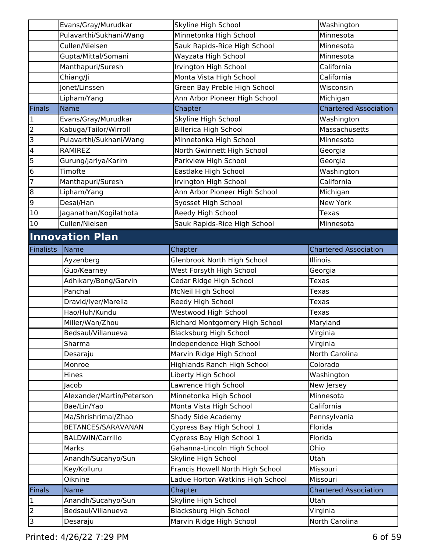|                         | Evans/Gray/Murudkar       | Skyline High School                | Washington                   |
|-------------------------|---------------------------|------------------------------------|------------------------------|
|                         | Pulavarthi/Sukhani/Wang   | Minnetonka High School             | Minnesota                    |
|                         | Cullen/Nielsen            | Sauk Rapids-Rice High School       | Minnesota                    |
|                         | Gupta/Mittal/Somani       | Wayzata High School                | Minnesota                    |
|                         | Manthapuri/Suresh         | Irvington High School              | California                   |
|                         | Chiang/Ji                 | Monta Vista High School            | California                   |
|                         | Jonet/Linssen             | Green Bay Preble High School       | Wisconsin                    |
|                         | Lipham/Yang               | Ann Arbor Pioneer High School      | Michigan                     |
| <b>Finals</b>           | <b>Name</b>               | Chapter                            | <b>Chartered Association</b> |
| $\mathbf 1$             | Evans/Gray/Murudkar       | Skyline High School                | Washington                   |
| $\overline{2}$          | Kabuga/Tailor/Wirroll     | <b>Billerica High School</b>       | Massachusetts                |
| 3                       | Pulavarthi/Sukhani/Wang   | Minnetonka High School             | Minnesota                    |
| $\overline{\mathbf{4}}$ | RAMIREZ                   | North Gwinnett High School         | Georgia                      |
| 5                       | Gurung/Jariya/Karim       | Parkview High School               | Georgia                      |
| $\bf 6$                 | Timofte                   | Eastlake High School               | Washington                   |
| 7                       | Manthapuri/Suresh         | Irvington High School              | California                   |
| 8                       | Lipham/Yang               | Ann Arbor Pioneer High School      | Michigan                     |
| 9                       | Desai/Han                 | Syosset High School                | New York                     |
| 10                      | Jaganathan/Kogilathota    | Reedy High School                  | <b>Texas</b>                 |
| 10                      | Cullen/Nielsen            | Sauk Rapids-Rice High School       | Minnesota                    |
|                         | <b>Innovation Plan</b>    |                                    |                              |
| Finalists               | <b>Name</b>               | Chapter                            | <b>Chartered Association</b> |
|                         | Ayzenberg                 | Glenbrook North High School        | Illinois                     |
|                         | Guo/Kearney               | West Forsyth High School           | Georgia                      |
|                         | Adhikary/Bong/Garvin      | Cedar Ridge High School            | Texas                        |
|                         | Panchal                   | McNeil High School                 | Texas                        |
|                         | Dravid/Iyer/Marella       | Reedy High School                  | Texas                        |
|                         | Hao/Huh/Kundu             | Westwood High School               | Texas                        |
|                         | Miller/Wan/Zhou           | Richard Montgomery High School     | Maryland                     |
|                         | Bedsaul/Villanueva        | Blacksburg High School             | Virginia                     |
|                         | Sharma                    | Independence High School           | Virginia                     |
|                         | Desaraju                  | Marvin Ridge High School           | North Carolina               |
|                         | Monroe                    | <b>Highlands Ranch High School</b> | Colorado                     |
|                         | Hines                     | Liberty High School                | Washington                   |
|                         | Jacob                     | Lawrence High School               | New Jersey                   |
|                         | Alexander/Martin/Peterson | Minnetonka High School             | Minnesota                    |
|                         | Bae/Lin/Yao               | Monta Vista High School            | California                   |
|                         | Ma/Shrishrimal/Zhao       | Shady Side Academy                 | Pennsylvania                 |
|                         | BETANCES/SARAVANAN        | Cypress Bay High School 1          | Florida                      |
|                         | <b>BALDWIN/Carrillo</b>   | Cypress Bay High School 1          | Florida                      |
|                         | Marks                     | Gahanna-Lincoln High School        | Ohio                         |
|                         | Anandh/Sucahyo/Sun        | Skyline High School                | Utah                         |
|                         | Key/Kolluru               | Francis Howell North High School   | Missouri                     |
|                         | Oiknine                   | Ladue Horton Watkins High School   | Missouri                     |
| Finals                  | Name                      | Chapter                            | <b>Chartered Association</b> |
| 1                       | Anandh/Sucahyo/Sun        | Skyline High School                | Utah                         |
| $\overline{2}$          | Bedsaul/Villanueva        | Blacksburg High School             | Virginia                     |
| $\overline{3}$          | Desaraju                  | Marvin Ridge High School           | North Carolina               |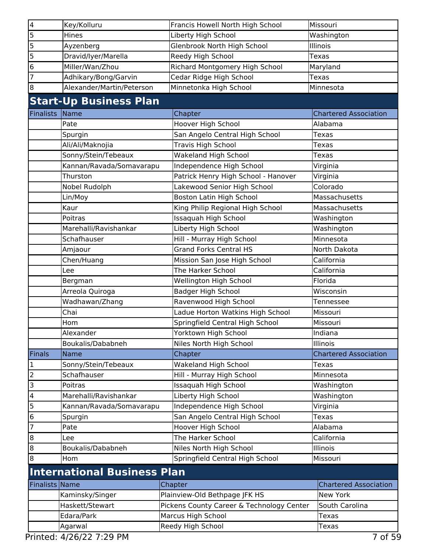| 4                       | Key/Kolluru                        | Francis Howell North High School                  | Missouri                     |
|-------------------------|------------------------------------|---------------------------------------------------|------------------------------|
| 5                       | Hines                              | Liberty High School                               | Washington                   |
| 5                       | Ayzenberg                          | Glenbrook North High School                       | Illinois                     |
| 5                       | Dravid/Iyer/Marella                | Reedy High School                                 | <b>Texas</b>                 |
| 6                       | Miller/Wan/Zhou                    | Richard Montgomery High School                    | Maryland                     |
| 7                       | Adhikary/Bong/Garvin               | Cedar Ridge High School                           | <b>Texas</b>                 |
| 8                       | Alexander/Martin/Peterson          | Minnetonka High School                            | Minnesota                    |
|                         | <b>Start-Up Business Plan</b>      |                                                   |                              |
| <b>Finalists</b>        | Name                               | Chapter                                           | <b>Chartered Association</b> |
|                         | Pate                               | Hoover High School                                | Alabama                      |
|                         | Spurgin                            | San Angelo Central High School                    | Texas                        |
|                         | Ali/Ali/Maknojia                   | <b>Travis High School</b>                         | Texas                        |
|                         | Sonny/Stein/Tebeaux                | <b>Wakeland High School</b>                       | Texas                        |
|                         | Kannan/Ravada/Somavarapu           | Independence High School                          | Virginia                     |
|                         | Thurston                           | Patrick Henry High School - Hanover               | Virginia                     |
|                         | Nobel Rudolph                      | Lakewood Senior High School                       | Colorado                     |
|                         | Lin/Moy                            | Boston Latin High School                          | Massachusetts                |
|                         | Kaur                               | King Philip Regional High School                  | Massachusetts                |
|                         | Poitras                            | Issaquah High School                              | Washington                   |
|                         | Marehalli/Ravishankar              | Liberty High School                               | Washington                   |
|                         | Schafhauser                        | Hill - Murray High School                         | Minnesota                    |
|                         | Amjaour                            | <b>Grand Forks Central HS</b>                     | North Dakota                 |
|                         | Chen/Huang                         |                                                   | California                   |
|                         |                                    | Mission San Jose High School<br>The Harker School | California                   |
|                         | Lee                                |                                                   |                              |
|                         | Bergman                            | Wellington High School                            | Florida                      |
|                         | Arreola Quiroga                    | <b>Badger High School</b>                         | Wisconsin                    |
|                         | Wadhawan/Zhang                     | Ravenwood High School                             | Tennessee                    |
|                         | Chai                               | Ladue Horton Watkins High School                  | Missouri                     |
|                         | Hom                                | Springfield Central High School                   | Missouri                     |
|                         | Alexander                          | Yorktown High School                              | Indiana                      |
|                         | Boukalis/Dababneh                  | Niles North High School                           | Illinois                     |
| <b>Finals</b>           | Name                               | Chapter                                           | <b>Chartered Association</b> |
| 1                       | Sonny/Stein/Tebeaux                | Wakeland High School                              | Texas                        |
| $\overline{c}$          | Schafhauser                        | Hill - Murray High School                         | Minnesota                    |
| 3                       | Poitras                            | Issaquah High School                              | Washington                   |
| $\overline{\mathbf{4}}$ | Marehalli/Ravishankar              | Liberty High School                               | Washington                   |
| 5                       | Kannan/Ravada/Somavarapu           | Independence High School                          | Virginia                     |
| 6                       | Spurgin                            | San Angelo Central High School                    | <b>Texas</b>                 |
| 7                       | Pate                               | Hoover High School                                | Alabama                      |
| 8                       | Lee                                | The Harker School                                 | California                   |
| 8                       | Boukalis/Dababneh                  | Niles North High School                           | Illinois                     |
| 8                       | Hom                                | Springfield Central High School                   | Missouri                     |
|                         | <b>International Business Plan</b> |                                                   |                              |
| Finalists Name          |                                    | Chapter                                           | <b>Chartered Association</b> |
|                         | Kaminsky/Singer                    | Plainview-Old Bethpage JFK HS                     | New York                     |
|                         | Haskett/Stewart                    | Pickens County Career & Technology Center         | South Carolina               |
|                         | Edara/Park                         | Marcus High School                                | <b>Texas</b>                 |
|                         | Agarwal                            | Reedy High School                                 | Texas                        |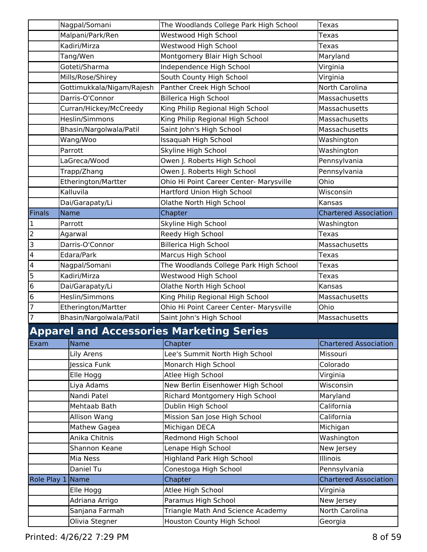|                         | Nagpal/Somani             | The Woodlands College Park High School          | <b>Texas</b>                 |
|-------------------------|---------------------------|-------------------------------------------------|------------------------------|
|                         | Malpani/Park/Ren          | Westwood High School                            | Texas                        |
|                         | Kadiri/Mirza              | Westwood High School                            | Texas                        |
|                         | Tang/Wen                  | Montgomery Blair High School                    | Maryland                     |
|                         | Goteti/Sharma             | Independence High School                        | Virginia                     |
|                         | Mills/Rose/Shirey         | South County High School                        | Virginia                     |
|                         | Gottimukkala/Nigam/Rajesh | Panther Creek High School                       | North Carolina               |
|                         | Darris-O'Connor           | <b>Billerica High School</b>                    | Massachusetts                |
|                         | Curran/Hickey/McCreedy    | King Philip Regional High School                | Massachusetts                |
|                         | Heslin/Simmons            | King Philip Regional High School                | Massachusetts                |
|                         | Bhasin/Nargolwala/Patil   | Saint John's High School                        | Massachusetts                |
|                         | Wang/Woo                  | Issaquah High School                            | Washington                   |
|                         | Parrott                   | Skyline High School                             | Washington                   |
|                         | LaGreca/Wood              | Owen J. Roberts High School                     | Pennsylvania                 |
|                         | Trapp/Zhang               | Owen J. Roberts High School                     | Pennsylvania                 |
|                         | Etherington/Martter       | Ohio Hi Point Career Center- Marysville         | Ohio                         |
|                         | Kalluvila                 | Hartford Union High School                      | Wisconsin                    |
|                         | Dai/Garapaty/Li           | Olathe North High School                        | Kansas                       |
| <b>Finals</b>           | <b>Name</b>               | Chapter                                         | <b>Chartered Association</b> |
| 1                       | Parrott                   | Skyline High School                             | Washington                   |
| $\overline{2}$          | Agarwal                   | Reedy High School                               | Texas                        |
| 3                       | Darris-O'Connor           | <b>Billerica High School</b>                    | Massachusetts                |
| $\overline{\mathbf{4}}$ | Edara/Park                | Marcus High School                              | Texas                        |
| $\overline{\mathbf{4}}$ | Nagpal/Somani             | The Woodlands College Park High School          | Texas                        |
| 5                       | Kadiri/Mirza              | Westwood High School                            | Texas                        |
| 6                       | Dai/Garapaty/Li           | Olathe North High School                        | Kansas                       |
| 6                       | Heslin/Simmons            | King Philip Regional High School                | Massachusetts                |
| 7                       | Etherington/Martter       | Ohio Hi Point Career Center- Marysville         | Ohio                         |
| $\overline{7}$          | Bhasin/Nargolwala/Patil   | Saint John's High School                        | Massachusetts                |
|                         |                           | <b>Apparel and Accessories Marketing Series</b> |                              |
| Exam                    | <b>Name</b>               | Chapter                                         | <b>Chartered Association</b> |
|                         | Lily Arens                | Lee's Summit North High School                  | Missouri                     |
|                         | Jessica Funk              | Monarch High School                             | Colorado                     |
|                         | Elle Hogg                 | Atlee High School                               | Virginia                     |
|                         | Liya Adams                | New Berlin Eisenhower High School               | Wisconsin                    |
|                         | Nandi Patel               | Richard Montgomery High School                  | Maryland                     |
|                         | Mehtaab Bath              | Dublin High School                              | California                   |
|                         | Allison Wang              | Mission San Jose High School                    | California                   |
|                         | Mathew Gagea              | Michigan DECA                                   | Michigan                     |
|                         | Anika Chitnis             | Redmond High School                             | Washington                   |
|                         | Shannon Keane             | Lenape High School                              | New Jersey                   |
|                         | Mia Ness                  | <b>Highland Park High School</b>                | Illinois                     |
|                         | Daniel Tu                 | Conestoga High School                           | Pennsylvania                 |
|                         | Role Play 1 Name          | Chapter                                         | <b>Chartered Association</b> |
|                         | Elle Hogg                 | Atlee High School                               | Virginia                     |
|                         | Adriana Arrigo            | Paramus High School                             | New Jersey                   |
|                         | Sanjana Farmah            | Triangle Math And Science Academy               | North Carolina               |
|                         | Olivia Stegner            | Houston County High School                      | Georgia                      |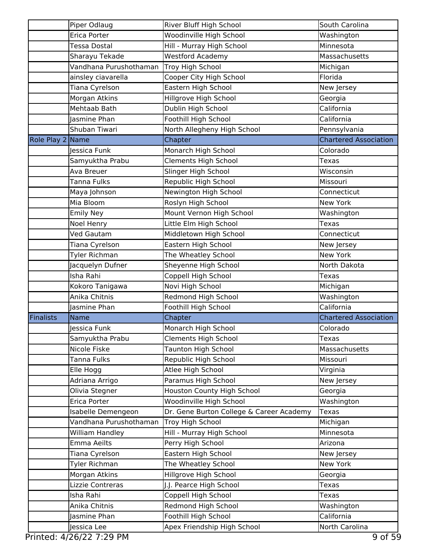|                  | Piper Odlaug           | River Bluff High School                  | South Carolina               |
|------------------|------------------------|------------------------------------------|------------------------------|
|                  | Erica Porter           | Woodinville High School                  | Washington                   |
|                  | Tessa Dostal           | Hill - Murray High School                | Minnesota                    |
|                  | Sharayu Tekade         | <b>Westford Academy</b>                  | Massachusetts                |
|                  | Vandhana Purushothaman | Troy High School                         | Michigan                     |
|                  | ainsley ciavarella     | Cooper City High School                  | Florida                      |
|                  | Tiana Cyrelson         | Eastern High School                      | New Jersey                   |
|                  | Morgan Atkins          | Hillgrove High School                    | Georgia                      |
|                  | Mehtaab Bath           | Dublin High School                       | California                   |
|                  | Jasmine Phan           | Foothill High School                     | California                   |
|                  | Shuban Tiwari          | North Allegheny High School              | Pennsylvania                 |
| Role Play 2 Name |                        | Chapter                                  | <b>Chartered Association</b> |
|                  | Jessica Funk           | Monarch High School                      | Colorado                     |
|                  | Samyuktha Prabu        | <b>Clements High School</b>              | <b>Texas</b>                 |
|                  | Ava Breuer             | Slinger High School                      | Wisconsin                    |
|                  | Tanna Fulks            | Republic High School                     | Missouri                     |
|                  | Maya Johnson           | Newington High School                    | Connecticut                  |
|                  | Mia Bloom              | Roslyn High School                       | New York                     |
|                  | <b>Emily Ney</b>       | Mount Vernon High School                 | Washington                   |
|                  | Noel Henry             | Little Elm High School                   | <b>Texas</b>                 |
|                  | Ved Gautam             | Middletown High School                   | Connecticut                  |
|                  | Tiana Cyrelson         | Eastern High School                      | New Jersey                   |
|                  | Tyler Richman          | The Wheatley School                      | New York                     |
|                  | Jacquelyn Dufner       | Sheyenne High School                     | North Dakota                 |
|                  | Isha Rahi              | Coppell High School                      | Texas                        |
|                  | Kokoro Tanigawa        | Novi High School                         | Michigan                     |
|                  | Anika Chitnis          | Redmond High School                      | Washington                   |
|                  | Jasmine Phan           | Foothill High School                     | California                   |
| Finalists        | <b>Name</b>            | Chapter                                  | <b>Chartered Association</b> |
|                  | Jessica Funk           | Monarch High School                      | Colorado                     |
|                  | Samyuktha Prabu        | <b>Clements High School</b>              | Texas                        |
|                  | Nicole Fiske           | <b>Taunton High School</b>               | Massachusetts                |
|                  | Tanna Fulks            | Republic High School                     | Missouri                     |
|                  | Elle Hogg              | Atlee High School                        | Virginia                     |
|                  | Adriana Arrigo         | Paramus High School                      | New Jersey                   |
|                  | Olivia Stegner         | Houston County High School               | Georgia                      |
|                  | Erica Porter           | Woodinville High School                  | Washington                   |
|                  | Isabelle Demengeon     | Dr. Gene Burton College & Career Academy | <b>Texas</b>                 |
|                  | Vandhana Purushothaman | Troy High School                         | Michigan                     |
|                  | William Handley        | Hill - Murray High School                | Minnesota                    |
|                  | Emma Aeilts            | Perry High School                        | Arizona                      |
|                  | Tiana Cyrelson         | Eastern High School                      | New Jersey                   |
|                  | Tyler Richman          | The Wheatley School                      | New York                     |
|                  | Morgan Atkins          | Hillgrove High School                    | Georgia                      |
|                  | Lizzie Contreras       | J.J. Pearce High School                  | Texas                        |
|                  | Isha Rahi              | Coppell High School                      | Texas                        |
|                  | Anika Chitnis          | Redmond High School                      | Washington                   |
|                  | Jasmine Phan           | Foothill High School                     | California                   |
|                  | Jessica Lee            | Apex Friendship High School              | North Carolina               |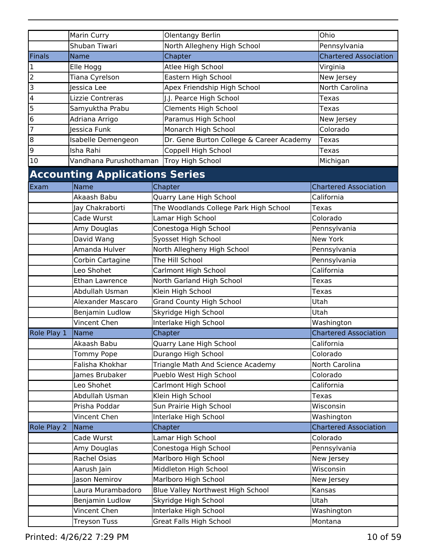|                         | <b>Marin Curry</b>                      | Olentangy Berlin                         | Ohio                                       |
|-------------------------|-----------------------------------------|------------------------------------------|--------------------------------------------|
|                         | Shuban Tiwari                           | North Allegheny High School              | Pennsylvania                               |
| Finals                  | <b>Name</b>                             | Chapter                                  | <b>Chartered Association</b>               |
| 1                       | Elle Hogg                               | Atlee High School                        | Virginia                                   |
| $\overline{2}$          | Tiana Cyrelson                          | Eastern High School                      | New Jersey                                 |
| 3                       | lessica Lee                             | Apex Friendship High School              | North Carolina                             |
| $\overline{\mathbf{4}}$ | Lizzie Contreras                        | J.J. Pearce High School                  | Texas                                      |
| 5                       | Samyuktha Prabu                         | <b>Clements High School</b>              | Texas                                      |
| 6                       | Adriana Arrigo                          | Paramus High School                      | New Jersey                                 |
| $\overline{7}$          | lessica Funk                            | Monarch High School                      | Colorado                                   |
| 8                       | Isabelle Demengeon                      | Dr. Gene Burton College & Career Academy | Texas                                      |
| 9                       | Isha Rahi                               | Coppell High School                      | Texas                                      |
| 10                      | Vandhana Purushothaman Troy High School |                                          | Michigan                                   |
|                         | <b>Accounting Applications Series</b>   |                                          |                                            |
| Exam                    | Name                                    | Chapter                                  | <b>Chartered Association</b>               |
|                         | Akaash Babu                             | Quarry Lane High School                  | California                                 |
|                         | Jay Chakraborti                         | The Woodlands College Park High School   | <b>Texas</b>                               |
|                         | Cade Wurst                              | Lamar High School                        | Colorado                                   |
|                         | Amy Douglas                             | Conestoga High School                    | Pennsylvania                               |
|                         | David Wang                              | Syosset High School                      | New York                                   |
|                         | Amanda Hulver                           | North Allegheny High School              | Pennsylvania                               |
|                         | Corbin Cartagine                        | The Hill School                          | Pennsylvania                               |
|                         | Leo Shohet                              | Carlmont High School                     | California                                 |
|                         | <b>Ethan Lawrence</b>                   | North Garland High School                | Texas                                      |
|                         | Abdullah Usman                          | Klein High School                        | Texas                                      |
|                         | <b>Alexander Mascaro</b>                | <b>Grand County High School</b>          | Utah                                       |
|                         | Benjamin Ludlow                         | Skyridge High School                     | Utah                                       |
|                         | Vincent Chen                            | Interlake High School                    | Washington                                 |
| Role Play 1             | Name                                    | Chapter                                  | <b>Chartered Association</b>               |
|                         | Akaash Babu                             | Quarry Lane High School                  | California                                 |
|                         | Tommy Pope                              | Durango High School                      | Colorado                                   |
|                         | Falisha Khokhar                         | Triangle Math And Science Academy        | North Carolina                             |
|                         | James Brubaker                          | Pueblo West High School                  | Colorado                                   |
|                         | Leo Shohet                              | Carlmont High School                     | California                                 |
|                         | Abdullah Usman                          | Klein High School                        | <b>Texas</b>                               |
|                         | Prisha Poddar                           |                                          | Wisconsin                                  |
|                         | Vincent Chen                            | Sun Prairie High School                  |                                            |
|                         |                                         | Interlake High School                    | Washington<br><b>Chartered Association</b> |
| Role Play 2             | Name                                    | Chapter                                  | Colorado                                   |
|                         | Cade Wurst                              | Lamar High School                        |                                            |
|                         | Amy Douglas                             | Conestoga High School                    | Pennsylvania                               |
|                         | Rachel Osias                            | Marlboro High School                     | New Jersey                                 |
|                         | Aarush Jain                             | Middleton High School                    | Wisconsin                                  |
|                         | Jason Nemirov                           | Marlboro High School                     | New Jersey                                 |
|                         | Laura Murambadoro                       | Blue Valley Northwest High School        | Kansas                                     |
|                         | Benjamin Ludlow                         | Skyridge High School                     | Utah                                       |
|                         | Vincent Chen                            | Interlake High School                    | Washington                                 |
|                         | <b>Treyson Tuss</b>                     | Great Falls High School                  | Montana                                    |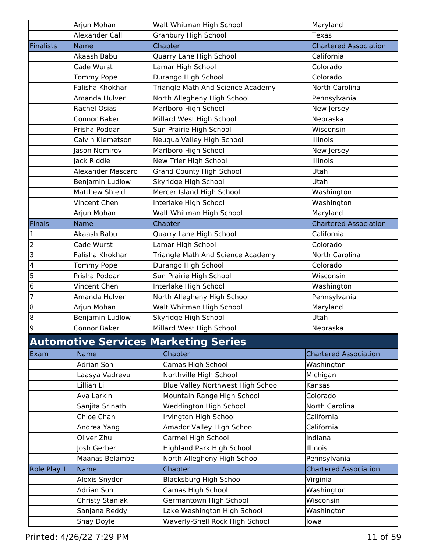|                         | Arjun Mohan           | Walt Whitman High School                    | Maryland                     |
|-------------------------|-----------------------|---------------------------------------------|------------------------------|
|                         | Alexander Call        | Granbury High School                        | <b>Texas</b>                 |
| Finalists               | <b>Name</b>           | Chapter                                     | <b>Chartered Association</b> |
|                         | Akaash Babu           | <b>Quarry Lane High School</b>              | California                   |
|                         | Cade Wurst            | Lamar High School                           | Colorado                     |
|                         | Tommy Pope            | Durango High School                         | Colorado                     |
|                         | Falisha Khokhar       | Triangle Math And Science Academy           | North Carolina               |
|                         | Amanda Hulver         | North Allegheny High School                 | Pennsylvania                 |
|                         | <b>Rachel Osias</b>   | Marlboro High School                        | New Jersey                   |
|                         | Connor Baker          | Millard West High School                    | Nebraska                     |
|                         | Prisha Poddar         | Sun Prairie High School                     | Wisconsin                    |
|                         | Calvin Klemetson      | Neuqua Valley High School                   | Illinois                     |
|                         | Jason Nemirov         | Marlboro High School                        | New Jersey                   |
|                         | Jack Riddle           | New Trier High School                       | Illinois                     |
|                         | Alexander Mascaro     | <b>Grand County High School</b>             | Utah                         |
|                         | Benjamin Ludlow       | Skyridge High School                        | <b>Utah</b>                  |
|                         | <b>Matthew Shield</b> | Mercer Island High School                   | Washington                   |
|                         | Vincent Chen          | Interlake High School                       | Washington                   |
|                         | Arjun Mohan           | Walt Whitman High School                    | Maryland                     |
| Finals                  | <b>Name</b>           | Chapter                                     | <b>Chartered Association</b> |
| 1                       | Akaash Babu           | Quarry Lane High School                     | California                   |
| $\overline{2}$          | Cade Wurst            | Lamar High School                           | Colorado                     |
| $\overline{3}$          | Falisha Khokhar       | Triangle Math And Science Academy           | North Carolina               |
| $\overline{\mathbf{4}}$ | Tommy Pope            | Durango High School                         | Colorado                     |
| 5                       | Prisha Poddar         | Sun Prairie High School                     | Wisconsin                    |
| $\bf 6$                 | Vincent Chen          | Interlake High School                       | Washington                   |
| $\overline{7}$          | Amanda Hulver         | North Allegheny High School                 | Pennsylvania                 |
| 8                       | Arjun Mohan           | Walt Whitman High School                    | Maryland                     |
| 8                       | Benjamin Ludlow       | Skyridge High School                        | Utah                         |
| 9                       | <b>Connor Baker</b>   | Millard West High School                    | Nebraska                     |
|                         |                       | <b>Automotive Services Marketing Series</b> |                              |
| Exam                    | Name                  | Chapter                                     | <b>Chartered Association</b> |
|                         | <b>Adrian Soh</b>     | Camas High School                           | Washington                   |
|                         | Laasya Vadrevu        | Northville High School                      | Michigan                     |
|                         | Lillian Li            | <b>Blue Valley Northwest High School</b>    | Kansas                       |
|                         | Ava Larkin            | Mountain Range High School                  | Colorado                     |
|                         | Sanjita Srinath       | Weddington High School                      | North Carolina               |
|                         | Chloe Chan            | Irvington High School                       | California                   |
|                         | Andrea Yang           | Amador Valley High School                   | California                   |
|                         | Oliver Zhu            | Carmel High School                          | Indiana                      |
|                         | Josh Gerber           | <b>Highland Park High School</b>            | Illinois                     |
|                         | Maanas Belambe        | North Allegheny High School                 | Pennsylvania                 |
| Role Play 1             | Name                  | Chapter                                     | <b>Chartered Association</b> |
|                         | Alexis Snyder         | <b>Blacksburg High School</b>               | Virginia                     |
|                         | Adrian Soh            | Camas High School                           | Washington                   |
|                         | Christy Staniak       | Germantown High School                      | Wisconsin                    |
|                         | Sanjana Reddy         | Lake Washington High School                 | Washington                   |
|                         | Shay Doyle            | Waverly-Shell Rock High School              | lowa                         |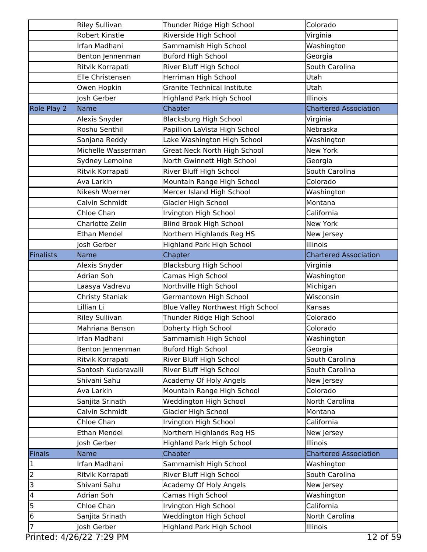|                         | <b>Riley Sullivan</b> | Thunder Ridge High School          | Colorado                     |
|-------------------------|-----------------------|------------------------------------|------------------------------|
|                         | <b>Robert Kinstle</b> | Riverside High School              | Virginia                     |
|                         | Irfan Madhani         | Sammamish High School              | Washington                   |
|                         | Benton Jennenman      | <b>Buford High School</b>          | Georgia                      |
|                         | Ritvik Korrapati      | River Bluff High School            | South Carolina               |
|                         | Elle Christensen      | Herriman High School               | Utah                         |
|                         | Owen Hopkin           | <b>Granite Technical Institute</b> | Utah                         |
|                         | Josh Gerber           | Highland Park High School          | Illinois                     |
| Role Play 2             | Name                  | Chapter                            | <b>Chartered Association</b> |
|                         | Alexis Snyder         | <b>Blacksburg High School</b>      | Virginia                     |
|                         | Roshu Senthil         | Papillion LaVista High School      | Nebraska                     |
|                         | Sanjana Reddy         | Lake Washington High School        | Washington                   |
|                         | Michelle Wasserman    | Great Neck North High School       | <b>New York</b>              |
|                         | Sydney Lemoine        | North Gwinnett High School         | Georgia                      |
|                         | Ritvik Korrapati      | River Bluff High School            | South Carolina               |
|                         | Ava Larkin            | Mountain Range High School         | Colorado                     |
|                         | Nikesh Woerner        | Mercer Island High School          | Washington                   |
|                         | Calvin Schmidt        | Glacier High School                | Montana                      |
|                         | Chloe Chan            | Irvington High School              | California                   |
|                         | Charlotte Zelin       | <b>Blind Brook High School</b>     | <b>New York</b>              |
|                         | <b>Ethan Mendel</b>   | Northern Highlands Reg HS          | New Jersey                   |
|                         | Josh Gerber           | Highland Park High School          | Illinois                     |
| <b>Finalists</b>        | <b>Name</b>           | Chapter                            | <b>Chartered Association</b> |
|                         | Alexis Snyder         | <b>Blacksburg High School</b>      | Virginia                     |
|                         | Adrian Soh            | Camas High School                  | Washington                   |
|                         | Laasya Vadrevu        | Northville High School             | Michigan                     |
|                         | Christy Staniak       | Germantown High School             | Wisconsin                    |
|                         | Lillian Li            | Blue Valley Northwest High School  | Kansas                       |
|                         | <b>Riley Sullivan</b> | Thunder Ridge High School          | Colorado                     |
|                         | Mahriana Benson       | Doherty High School                | Colorado                     |
|                         | Irfan Madhani         | Sammamish High School              | Washington                   |
|                         | Benton Jennenman      | <b>Buford High School</b>          | Georgia                      |
|                         | Ritvik Korrapati      | River Bluff High School            | South Carolina               |
|                         | Santosh Kudaravalli   | River Bluff High School            | South Carolina               |
|                         | Shivani Sahu          | Academy Of Holy Angels             | New Jersey                   |
|                         | Ava Larkin            | Mountain Range High School         | Colorado                     |
|                         | Sanjita Srinath       | Weddington High School             | North Carolina               |
|                         | Calvin Schmidt        | <b>Glacier High School</b>         | Montana                      |
|                         | Chloe Chan            | Irvington High School              | California                   |
|                         | <b>Ethan Mendel</b>   | Northern Highlands Reg HS          | New Jersey                   |
|                         | Josh Gerber           | Highland Park High School          | Illinois                     |
| Finals                  | <b>Name</b>           | Chapter                            | <b>Chartered Association</b> |
| $\mathbf{1}$            | Irfan Madhani         | Sammamish High School              | Washington                   |
| $\overline{2}$          | Ritvik Korrapati      | River Bluff High School            | South Carolina               |
| $\overline{3}$          | Shivani Sahu          | Academy Of Holy Angels             | New Jersey                   |
| $\overline{\mathbf{4}}$ | Adrian Soh            | Camas High School                  | Washington                   |
| 5                       | Chloe Chan            | Irvington High School              | California                   |
| $\bf 6$                 | Sanjita Srinath       | Weddington High School             | North Carolina               |
| 7                       | Josh Gerber           | Highland Park High School          | Illinois                     |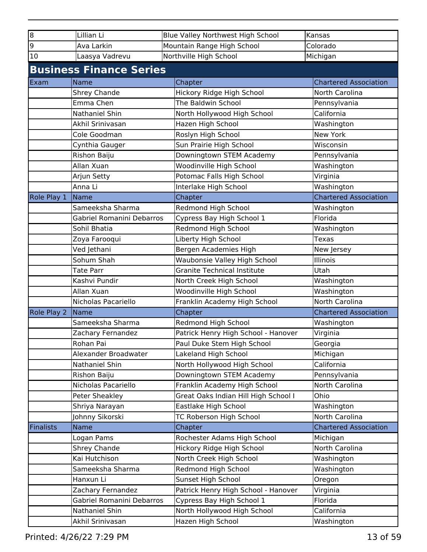| $\bf{8}$         | Lillian Li                     | Blue Valley Northwest High School    | Kansas                       |
|------------------|--------------------------------|--------------------------------------|------------------------------|
| 9                | Ava Larkin                     | Mountain Range High School           | Colorado                     |
| $10\,$           | Laasya Vadrevu                 | Northville High School               | Michigan                     |
|                  | <b>Business Finance Series</b> |                                      |                              |
|                  |                                |                                      |                              |
| Exam             | <b>Name</b>                    | Chapter                              | <b>Chartered Association</b> |
|                  | Shrey Chande                   | Hickory Ridge High School            | North Carolina               |
|                  | Emma Chen                      | The Baldwin School                   | Pennsylvania                 |
|                  | Nathaniel Shin                 | North Hollywood High School          | California                   |
|                  | Akhil Srinivasan               | Hazen High School                    | Washington                   |
|                  | Cole Goodman                   | Roslyn High School                   | New York                     |
|                  | Cynthia Gauger                 | Sun Prairie High School              | Wisconsin                    |
|                  | Rishon Baiju                   | Downingtown STEM Academy             | Pennsylvania                 |
|                  | Allan Xuan                     | Woodinville High School              | Washington                   |
|                  | Arjun Setty                    | Potomac Falls High School            | Virginia                     |
|                  | Anna Li                        | Interlake High School                | Washington                   |
| Role Play 1      | <b>Name</b>                    | Chapter                              | <b>Chartered Association</b> |
|                  | Sameeksha Sharma               | Redmond High School                  | Washington                   |
|                  | Gabriel Romanini Debarros      | Cypress Bay High School 1            | Florida                      |
|                  | Sohil Bhatia                   | Redmond High School                  | Washington                   |
|                  | Zoya Farooqui                  | Liberty High School                  | <b>Texas</b>                 |
|                  | Ved Jethani                    | Bergen Academies High                | New Jersey                   |
|                  | Sohum Shah                     | Waubonsie Valley High School         | Illinois                     |
|                  | <b>Tate Parr</b>               | <b>Granite Technical Institute</b>   | Utah                         |
|                  | Kashvi Pundir                  | North Creek High School              | Washington                   |
|                  | Allan Xuan                     | Woodinville High School              | Washington                   |
|                  | Nicholas Pacariello            | Franklin Academy High School         | North Carolina               |
| Role Play 2      | Name                           | Chapter                              | <b>Chartered Association</b> |
|                  | Sameeksha Sharma               | Redmond High School                  | Washington                   |
|                  | Zachary Fernandez              | Patrick Henry High School - Hanover  | Virginia                     |
|                  | Rohan Pai                      | Paul Duke Stem High School           | Georgia                      |
|                  | Alexander Broadwater           | Lakeland High School                 | Michigan                     |
|                  | Nathaniel Shin                 | North Hollywood High School          | California                   |
|                  | Rishon Baiju                   | Downingtown STEM Academy             | Pennsylvania                 |
|                  | Nicholas Pacariello            | Franklin Academy High School         | North Carolina               |
|                  | Peter Sheakley                 | Great Oaks Indian Hill High School I | Ohio                         |
|                  | Shriya Narayan                 | Eastlake High School                 | Washington                   |
|                  | Johnny Sikorski                | TC Roberson High School              | North Carolina               |
| <b>Finalists</b> | <b>Name</b>                    | Chapter                              | <b>Chartered Association</b> |
|                  | Logan Pams                     | Rochester Adams High School          | Michigan                     |
|                  | <b>Shrey Chande</b>            | Hickory Ridge High School            | North Carolina               |
|                  | Kai Hutchison                  | North Creek High School              | Washington                   |
|                  | Sameeksha Sharma               | Redmond High School                  | Washington                   |
|                  | Hanxun Li                      | Sunset High School                   | Oregon                       |
|                  | Zachary Fernandez              | Patrick Henry High School - Hanover  | Virginia                     |
|                  | Gabriel Romanini Debarros      | Cypress Bay High School 1            | Florida                      |
|                  | Nathaniel Shin                 | North Hollywood High School          | California                   |
|                  | Akhil Srinivasan               | Hazen High School                    | Washington                   |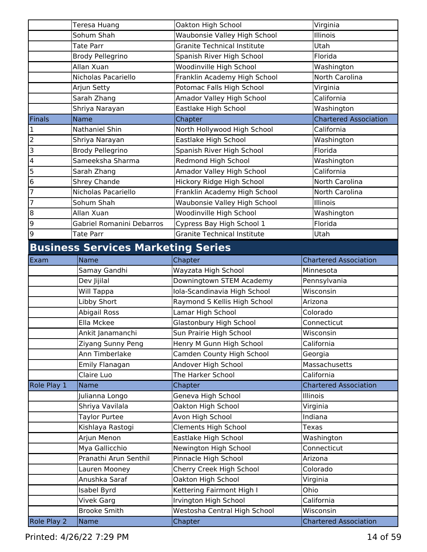|                         | Teresa Huang                              | Oakton High School                 | Virginia                     |
|-------------------------|-------------------------------------------|------------------------------------|------------------------------|
|                         | Sohum Shah                                | Waubonsie Valley High School       | Illinois                     |
|                         | <b>Tate Parr</b>                          | <b>Granite Technical Institute</b> | Utah                         |
|                         | <b>Brody Pellegrino</b>                   | Spanish River High School          | Florida                      |
|                         | Allan Xuan                                | Woodinville High School            | Washington                   |
|                         | Nicholas Pacariello                       | Franklin Academy High School       | North Carolina               |
|                         | Arjun Setty                               | Potomac Falls High School          | Virginia                     |
|                         | Sarah Zhang                               | Amador Valley High School          | California                   |
|                         | Shriya Narayan                            | Eastlake High School               | Washington                   |
| Finals                  | <b>Name</b>                               | Chapter                            | <b>Chartered Association</b> |
| 1                       | Nathaniel Shin                            | North Hollywood High School        | California                   |
| $\overline{c}$          | Shriya Narayan                            | Eastlake High School               | Washington                   |
| 3                       | <b>Brody Pellegrino</b>                   | Spanish River High School          | Florida                      |
| $\overline{\mathbf{4}}$ | Sameeksha Sharma                          | Redmond High School                | Washington                   |
| 5                       | Sarah Zhang                               | Amador Valley High School          | California                   |
| 6                       | Shrey Chande                              | Hickory Ridge High School          | North Carolina               |
| 7                       | Nicholas Pacariello                       | Franklin Academy High School       | North Carolina               |
| $\overline{7}$          | Sohum Shah                                | Waubonsie Valley High School       | Illinois                     |
| 8                       | Allan Xuan                                | Woodinville High School            | Washington                   |
| 9                       | Gabriel Romanini Debarros                 | Cypress Bay High School 1          | Florida                      |
| 9                       | <b>Tate Parr</b>                          | <b>Granite Technical Institute</b> | Utah                         |
|                         | <b>Business Services Marketing Series</b> |                                    |                              |
| Exam                    | Name                                      | Chapter                            | <b>Chartered Association</b> |
|                         | Samay Gandhi                              | Wayzata High School                | Minnesota                    |
|                         | Dev Jijilal                               | Downingtown STEM Academy           | Pennsylvania                 |
|                         | Will Tappa                                | Iola-Scandinavia High School       | Wisconsin                    |
|                         | Libby Short                               | Raymond S Kellis High School       | Arizona                      |
|                         | Abigail Ross                              | Lamar High School                  | Colorado                     |
|                         | Ella Mckee                                | Glastonbury High School            | Connecticut                  |
|                         | Ankit Janamanchi                          | Sun Prairie High School            | Wisconsin                    |
|                         | Ziyang Sunny Peng                         | Henry M Gunn High School           | California                   |
|                         | Ann Timberlake                            | Camden County High School          | Georgia                      |
|                         | Emily Flanagan                            | Andover High School                | Massachusetts                |
|                         | Claire Luo                                | The Harker School                  | California                   |
| Role Play 1             | Name                                      | Chapter                            | <b>Chartered Association</b> |
|                         | Julianna Longo                            | Geneva High School                 | Illinois                     |
|                         | Shriya Vavilala                           | Oakton High School                 | Virginia                     |
|                         | <b>Taylor Purtee</b>                      | Avon High School                   | Indiana                      |
|                         | Kishlaya Rastogi                          | <b>Clements High School</b>        | <b>Texas</b>                 |
|                         | Arjun Menon                               | Eastlake High School               | Washington                   |
|                         | Mya Gallicchio                            | Newington High School              | Connecticut                  |
|                         | Pranathi Arun Senthil                     | Pinnacle High School               | Arizona                      |
|                         | Lauren Mooney                             | Cherry Creek High School           | Colorado                     |
|                         | Anushka Saraf                             | Oakton High School                 | Virginia                     |
|                         | <b>Isabel Byrd</b>                        | Kettering Fairmont High I          | Ohio                         |
|                         | Vivek Garg                                | Irvington High School              | California                   |
|                         | <b>Brooke Smith</b>                       | Westosha Central High School       | Wisconsin                    |
| Role Play 2             | Name                                      | Chapter                            | <b>Chartered Association</b> |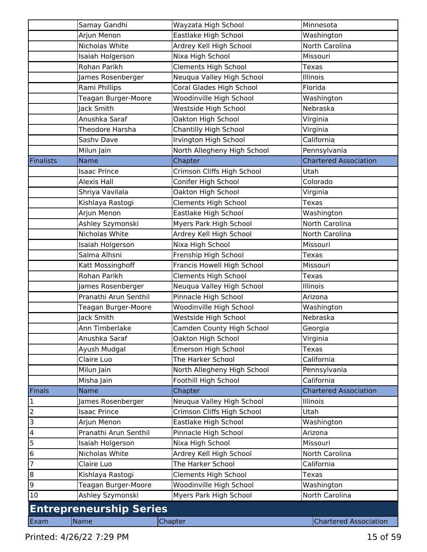|                | Samay Gandhi                   | Wayzata High School         | Minnesota                    |
|----------------|--------------------------------|-----------------------------|------------------------------|
|                | Arjun Menon                    | Eastlake High School        | Washington                   |
|                | Nicholas White                 | Ardrey Kell High School     | North Carolina               |
|                | Isaiah Holgerson               | Nixa High School            | Missouri                     |
|                | Rohan Parikh                   | Clements High School        | <b>Texas</b>                 |
|                | James Rosenberger              | Neuqua Valley High School   | Illinois                     |
|                | Rami Phillips                  | Coral Glades High School    | Florida                      |
|                | Teagan Burger-Moore            | Woodinville High School     | Washington                   |
|                | Jack Smith                     | Westside High School        | Nebraska                     |
|                | Anushka Saraf                  | Oakton High School          | Virginia                     |
|                | Theodore Harsha                | Chantilly High School       | Virginia                     |
|                | Sashv Dave                     | Irvington High School       | California                   |
|                | Milun Jain                     | North Allegheny High School | Pennsylvania                 |
| Finalists      | <b>Name</b>                    | Chapter                     | <b>Chartered Association</b> |
|                | <b>Isaac Prince</b>            | Crimson Cliffs High School  | Utah                         |
|                | <b>Alexis Hall</b>             | Conifer High School         | Colorado                     |
|                | Shriya Vavilala                | Oakton High School          | Virginia                     |
|                | Kishlaya Rastogi               | <b>Clements High School</b> | <b>Texas</b>                 |
|                | Arjun Menon                    | Eastlake High School        | Washington                   |
|                | Ashley Szymonski               | Myers Park High School      | North Carolina               |
|                | Nicholas White                 | Ardrey Kell High School     | North Carolina               |
|                | Isaiah Holgerson               | Nixa High School            | Missouri                     |
|                | Salma Alhsni                   | Frenship High School        | <b>Texas</b>                 |
|                | Katt Mossinghoff               | Francis Howell High School  | Missouri                     |
|                | Rohan Parikh                   | <b>Clements High School</b> | Texas                        |
|                | James Rosenberger              | Neuqua Valley High School   | Illinois                     |
|                | Pranathi Arun Senthil          | Pinnacle High School        | Arizona                      |
|                | Teagan Burger-Moore            | Woodinville High School     | Washington                   |
|                | Jack Smith                     | Westside High School        | Nebraska                     |
|                | Ann Timberlake                 | Camden County High School   | Georgia                      |
|                | Anushka Saraf                  | Oakton High School          | Virginia                     |
|                | Ayush Mudgal                   | Emerson High School         | <b>Texas</b>                 |
|                | Claire Luo                     | The Harker School           | California                   |
|                | Milun Jain                     | North Allegheny High School | Pennsylvania                 |
|                | Misha Jain                     | Foothill High School        | California                   |
| <b>Finals</b>  | <b>Name</b>                    | Chapter                     | <b>Chartered Association</b> |
| $\overline{1}$ | James Rosenberger              | Neuqua Valley High School   | Illinois                     |
|                | <b>Isaac Prince</b>            | Crimson Cliffs High School  | Utah                         |
| $\frac{2}{3}$  | Arjun Menon                    | Eastlake High School        | Washington                   |
| $\overline{a}$ | Pranathi Arun Senthil          | Pinnacle High School        | Arizona                      |
|                | Isaiah Holgerson               | Nixa High School            | Missouri                     |
| $\frac{5}{6}$  | Nicholas White                 | Ardrey Kell High School     | North Carolina               |
| $\overline{7}$ | Claire Luo                     | The Harker School           | California                   |
| $\overline{8}$ | Kishlaya Rastogi               | Clements High School        | <b>Texas</b>                 |
| 9              | Teagan Burger-Moore            | Woodinville High School     | Washington                   |
| 10             | Ashley Szymonski               | Myers Park High School      | North Carolina               |
|                | <b>Entrepreneurship Series</b> |                             |                              |
| Exam           | Name                           | Chapter                     | <b>Chartered Association</b> |
|                |                                |                             |                              |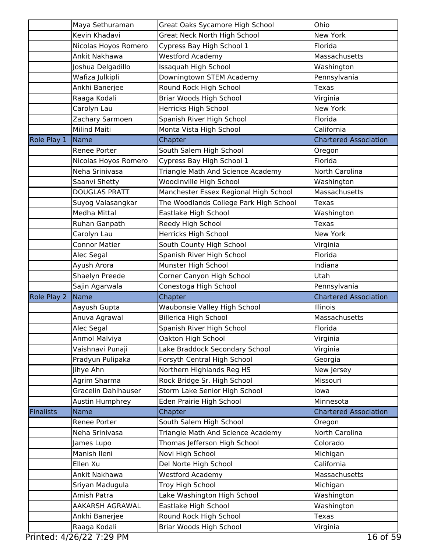|                  | Maya Sethuraman                | Great Oaks Sycamore High School                   | Ohio                         |
|------------------|--------------------------------|---------------------------------------------------|------------------------------|
|                  | Kevin Khadavi                  | Great Neck North High School                      | <b>New York</b>              |
|                  | Nicolas Hoyos Romero           | Cypress Bay High School 1                         | Florida                      |
|                  | Ankit Nakhawa                  | <b>Westford Academy</b>                           | Massachusetts                |
|                  | Joshua Delgadillo              | Issaquah High School                              | Washington                   |
|                  | Wafiza Julkipli                | Downingtown STEM Academy                          | Pennsylvania                 |
|                  | Ankhi Banerjee                 | Round Rock High School                            | Texas                        |
|                  | Raaga Kodali                   | Briar Woods High School                           | Virginia                     |
|                  | Carolyn Lau                    | Herricks High School                              | <b>New York</b>              |
|                  | Zachary Sarmoen                | Spanish River High School                         | Florida                      |
|                  | <b>Milind Maiti</b>            | Monta Vista High School                           | California                   |
| Role Play 1      | Name                           | Chapter                                           | <b>Chartered Association</b> |
|                  | Renee Porter                   | South Salem High School                           | Oregon                       |
|                  | Nicolas Hoyos Romero           | Cypress Bay High School 1                         | Florida                      |
|                  | Neha Srinivasa                 | Triangle Math And Science Academy                 | North Carolina               |
|                  | Saanvi Shetty                  | Woodinville High School                           | Washington                   |
|                  | <b>DOUGLAS PRATT</b>           | Manchester Essex Regional High School             | Massachusetts                |
|                  | Suyog Valasangkar              | The Woodlands College Park High School            | Texas                        |
|                  | Medha Mittal                   | Eastlake High School                              | Washington                   |
|                  | Ruhan Ganpath                  | Reedy High School                                 | <b>Texas</b>                 |
|                  | Carolyn Lau                    | Herricks High School                              | New York                     |
|                  | <b>Connor Matier</b>           | South County High School                          | Virginia                     |
|                  | Alec Segal                     | Spanish River High School                         | Florida                      |
|                  | Ayush Arora                    | Munster High School                               | Indiana                      |
|                  | Shaelyn Preede                 | Corner Canyon High School                         | Utah                         |
|                  | Sajin Agarwala                 | Conestoga High School                             | Pennsylvania                 |
| Role Play 2      | Name                           | Chapter                                           | <b>Chartered Association</b> |
|                  | Aayush Gupta                   | Waubonsie Valley High School                      | Illinois                     |
|                  | Anuva Agrawal                  | <b>Billerica High School</b>                      | Massachusetts                |
|                  | Alec Segal                     | Spanish River High School                         | Florida                      |
|                  | Anmol Malviya                  | Oakton High School                                | Virginia                     |
|                  | Vaishnavi Punaji               | Lake Braddock Secondary School                    | Virginia                     |
|                  | Pradyun Pulipaka               | Forsyth Central High School                       | Georgia                      |
|                  | Jihye Ahn                      | Northern Highlands Reg HS                         | New Jersey                   |
|                  | Agrim Sharma                   | Rock Bridge Sr. High School                       | Missouri                     |
|                  | Gracelin Dahlhauser            | Storm Lake Senior High School                     | lowa                         |
|                  | Austin Humphrey                | Eden Prairie High School                          | Minnesota                    |
| <b>Finalists</b> | <b>Name</b>                    | Chapter                                           | <b>Chartered Association</b> |
|                  | Renee Porter                   | South Salem High School                           | Oregon                       |
|                  | Neha Srinivasa                 | Triangle Math And Science Academy                 | North Carolina               |
|                  | James Lupo                     | Thomas Jefferson High School                      | Colorado                     |
|                  | Manish Ileni                   | Novi High School                                  | Michigan                     |
|                  | Ellen Xu                       | Del Norte High School                             | California                   |
|                  | Ankit Nakhawa                  | <b>Westford Academy</b>                           | Massachusetts                |
|                  | Sriyan Madugula                | Troy High School                                  | Michigan                     |
|                  | Amish Patra                    | Lake Washington High School                       | Washington                   |
|                  |                                |                                                   |                              |
|                  | AAKARSH AGRAWAL                | Eastlake High School                              | Washington                   |
|                  | Ankhi Banerjee<br>Raaga Kodali | Round Rock High School<br>Briar Woods High School | <b>Texas</b><br>Virginia     |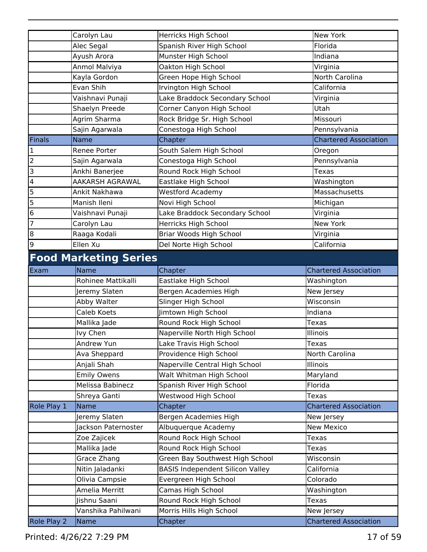|                         | Carolyn Lau                  | Herricks High School                    | New York                     |
|-------------------------|------------------------------|-----------------------------------------|------------------------------|
|                         | Alec Segal                   | Spanish River High School               | Florida                      |
|                         | Ayush Arora                  | Munster High School                     | Indiana                      |
|                         | Anmol Malviya                | Oakton High School                      | Virginia                     |
|                         | Kayla Gordon                 | Green Hope High School                  | North Carolina               |
|                         | Evan Shih                    | Irvington High School                   | California                   |
|                         | Vaishnavi Punaji             | Lake Braddock Secondary School          | Virginia                     |
|                         | Shaelyn Preede               | Corner Canyon High School               | Utah                         |
|                         | Agrim Sharma                 | Rock Bridge Sr. High School             | Missouri                     |
|                         | Sajin Agarwala               | Conestoga High School                   | Pennsylvania                 |
| Finals                  | <b>Name</b>                  | Chapter                                 | <b>Chartered Association</b> |
| $\mathbf{1}$            | Renee Porter                 | South Salem High School                 | Oregon                       |
| $\overline{2}$          | Sajin Agarwala               | Conestoga High School                   | Pennsylvania                 |
| $\overline{3}$          | Ankhi Banerjee               | Round Rock High School                  | <b>Texas</b>                 |
| $\overline{\mathbf{4}}$ | AAKARSH AGRAWAL              | Eastlake High School                    | Washington                   |
| 5                       | Ankit Nakhawa                | <b>Westford Academy</b>                 | Massachusetts                |
| 5                       | Manish Ileni                 | Novi High School                        | Michigan                     |
| $\overline{6}$          | Vaishnavi Punaji             | Lake Braddock Secondary School          | Virginia                     |
| $\overline{7}$          | Carolyn Lau                  | Herricks High School                    | <b>New York</b>              |
| $\overline{8}$          | Raaga Kodali                 | Briar Woods High School                 | Virginia                     |
| 9                       | Ellen Xu                     | Del Norte High School                   | California                   |
|                         | <b>Food Marketing Series</b> |                                         |                              |
| Exam                    | Name                         | Chapter                                 | <b>Chartered Association</b> |
|                         | Rohinee Mattikalli           | Eastlake High School                    | Washington                   |
|                         | Jeremy Slaten                | Bergen Academies High                   | New Jersey                   |
|                         | Abby Walter                  | Slinger High School                     | Wisconsin                    |
|                         | Caleb Koets                  | Jimtown High School                     | Indiana                      |
|                         | Mallika Jade                 | Round Rock High School                  | <b>Texas</b>                 |
|                         | lvy Chen                     | Naperville North High School            | Illinois                     |
|                         | Andrew Yun                   | Lake Travis High School                 | Texas                        |
|                         | Ava Sheppard                 | Providence High School                  | North Carolina               |
|                         | Anjali Shah                  | Naperville Central High School          | Illinois                     |
|                         | <b>Emily Owens</b>           | Walt Whitman High School                | Maryland                     |
|                         | Melissa Babinecz             | Spanish River High School               | Florida                      |
|                         |                              |                                         | <b>Texas</b>                 |
|                         | Shreya Ganti<br>Name         | Westwood High School                    | <b>Chartered Association</b> |
| Role Play 1             |                              | Chapter<br>Bergen Academies High        |                              |
|                         | Jeremy Slaten                |                                         | New Jersey                   |
|                         | Jackson Paternoster          | Albuquerque Academy                     | New Mexico                   |
|                         | Zoe Zajicek                  | Round Rock High School                  | <b>Texas</b>                 |
|                         | Mallika Jade                 | Round Rock High School                  | Texas                        |
|                         | Grace Zhang                  | Green Bay Southwest High School         | Wisconsin                    |
|                         | Nitin Jaladanki              | <b>BASIS Independent Silicon Valley</b> | California                   |
|                         | Olivia Campsie               | Evergreen High School                   | Colorado                     |
|                         | Amelia Merritt               | Camas High School                       | Washington                   |
|                         | Jishnu Saani                 | Round Rock High School                  | <b>Texas</b>                 |
|                         | Vanshika Pahilwani           | Morris Hills High School                | New Jersey                   |
| Role Play 2             | Name                         | Chapter                                 | <b>Chartered Association</b> |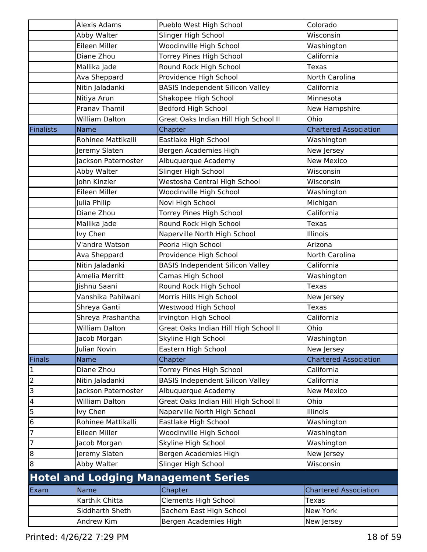|                          | Alexis Adams          | Pueblo West High School                    | Colorado                     |
|--------------------------|-----------------------|--------------------------------------------|------------------------------|
|                          | Abby Walter           | Slinger High School                        | Wisconsin                    |
|                          | Eileen Miller         | Woodinville High School                    | Washington                   |
|                          | Diane Zhou            | Torrey Pines High School                   | California                   |
|                          | Mallika Jade          | Round Rock High School                     | Texas                        |
|                          | Ava Sheppard          | Providence High School                     | North Carolina               |
|                          | Nitin Jaladanki       | <b>BASIS Independent Silicon Valley</b>    | California                   |
|                          | Nitiya Arun           | Shakopee High School                       | Minnesota                    |
|                          | Pranav Thamil         | Bedford High School                        | New Hampshire                |
|                          | <b>William Dalton</b> | Great Oaks Indian Hill High School II      | Ohio                         |
| Finalists                | <b>Name</b>           | Chapter                                    | <b>Chartered Association</b> |
|                          | Rohinee Mattikalli    | Eastlake High School                       | Washington                   |
|                          | Jeremy Slaten         | Bergen Academies High                      | New Jersey                   |
|                          | Jackson Paternoster   | Albuquerque Academy                        | <b>New Mexico</b>            |
|                          | Abby Walter           | Slinger High School                        | Wisconsin                    |
|                          | John Kinzler          | Westosha Central High School               | Wisconsin                    |
|                          | Eileen Miller         | Woodinville High School                    | Washington                   |
|                          | Julia Philip          | Novi High School                           | Michigan                     |
|                          | Diane Zhou            | Torrey Pines High School                   | California                   |
|                          | Mallika Jade          | Round Rock High School                     | Texas                        |
|                          | Ivy Chen              | Naperville North High School               | <b>Illinois</b>              |
|                          | V'andre Watson        | Peoria High School                         | Arizona                      |
|                          | Ava Sheppard          | Providence High School                     | North Carolina               |
|                          | Nitin Jaladanki       | <b>BASIS Independent Silicon Valley</b>    | California                   |
|                          | Amelia Merritt        | Camas High School                          | Washington                   |
|                          | Jishnu Saani          | Round Rock High School                     | Texas                        |
|                          | Vanshika Pahilwani    | Morris Hills High School                   | New Jersey                   |
|                          | Shreya Ganti          | Westwood High School                       | Texas                        |
|                          | Shreya Prashantha     | Irvington High School                      | California                   |
|                          | <b>William Dalton</b> | Great Oaks Indian Hill High School II      | Ohio                         |
|                          | Jacob Morgan          | Skyline High School                        | Washington                   |
|                          | Julian Novin          | Eastern High School                        | New Jersey                   |
| Finals                   | <b>Name</b>           | Chapter                                    | <b>Chartered Association</b> |
| $\mathbf 1$              | Diane Zhou            | <b>Torrey Pines High School</b>            | California                   |
| $\overline{2}$           | Nitin Jaladanki       | <b>BASIS Independent Silicon Valley</b>    | California                   |
| $\overline{3}$           | Jackson Paternoster   | Albuquerque Academy                        | <b>New Mexico</b>            |
| $\overline{\mathcal{L}}$ | <b>William Dalton</b> | Great Oaks Indian Hill High School II      | Ohio                         |
| 5                        | Ivy Chen              | Naperville North High School               | <b>Illinois</b>              |
| 6                        | Rohinee Mattikalli    | Eastlake High School                       | Washington                   |
| $\overline{7}$           | Eileen Miller         | Woodinville High School                    | Washington                   |
| $\overline{7}$           | Jacob Morgan          | Skyline High School                        | Washington                   |
| $\bf{8}$                 | Jeremy Slaten         | Bergen Academies High                      | New Jersey                   |
| $\bf{8}$                 | Abby Walter           | Slinger High School                        | Wisconsin                    |
|                          |                       | <b>Hotel and Lodging Management Series</b> |                              |
| Exam                     | Name                  | Chapter                                    | <b>Chartered Association</b> |
|                          | Karthik Chitta        | <b>Clements High School</b>                | <b>Texas</b>                 |
|                          | Siddharth Sheth       | Sachem East High School                    | New York                     |
|                          | Andrew Kim            | Bergen Academies High                      | New Jersey                   |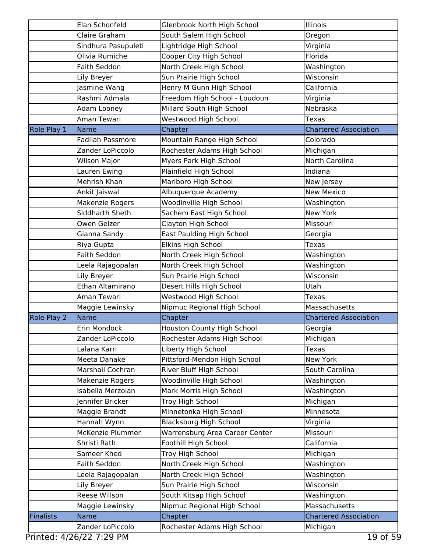|             | Elan Schonfeld          | Glenbrook North High School      | Illinois                     |
|-------------|-------------------------|----------------------------------|------------------------------|
|             | Claire Graham           | South Salem High School          | Oregon                       |
|             | Sindhura Pasupuleti     | Lightridge High School           | Virginia                     |
|             | Olivia Rumiche          | Cooper City High School          | Florida                      |
|             | Faith Seddon            | North Creek High School          | Washington                   |
|             | Lily Breyer             | Sun Prairie High School          | Wisconsin                    |
|             | Jasmine Wang            | Henry M Gunn High School         | California                   |
|             | Rashmi Admala           | Freedom High School - Loudoun    | Virginia                     |
|             | Adam Looney             | Millard South High School        | Nebraska                     |
|             | Aman Tewari             | Westwood High School             | <b>Texas</b>                 |
| Role Play 1 | Name                    | Chapter                          | <b>Chartered Association</b> |
|             | <b>Fadilah Passmore</b> | Mountain Range High School       | Colorado                     |
|             | Zander LoPiccolo        | Rochester Adams High School      | Michigan                     |
|             | <b>Wilson Major</b>     | Myers Park High School           | North Carolina               |
|             | Lauren Ewing            | Plainfield High School           | Indiana                      |
|             | Mehrish Khan            | Marlboro High School             | New Jersey                   |
|             | Ankit Jaiswal           | Albuquerque Academy              | <b>New Mexico</b>            |
|             | Makenzie Rogers         | Woodinville High School          | Washington                   |
|             | Siddharth Sheth         | Sachem East High School          | <b>New York</b>              |
|             | Owen Gelzer             | Clayton High School              | Missouri                     |
|             | Gianna Sandy            | <b>East Paulding High School</b> | Georgia                      |
|             | Riya Gupta              | Elkins High School               | <b>Texas</b>                 |
|             | Faith Seddon            | North Creek High School          | Washington                   |
|             | Leela Rajagopalan       | North Creek High School          | Washington                   |
|             | Lily Breyer             | Sun Prairie High School          | Wisconsin                    |
|             | Ethan Altamirano        | Desert Hills High School         | Utah                         |
|             | Aman Tewari             | Westwood High School             | Texas                        |
|             | Maggie Lewinsky         | Nipmuc Regional High School      | Massachusetts                |
| Role Play 2 | Name                    | Chapter                          | <b>Chartered Association</b> |
|             | Erin Mondock            | Houston County High School       | Georgia                      |
|             | Zander LoPiccolo        | Rochester Adams High School      | Michigan                     |
|             | Lalana Karri            | Liberty High School              | <b>Texas</b>                 |
|             | Meeta Dahake            | Pittsford-Mendon High School     | New York                     |
|             | Marshall Cochran        | River Bluff High School          | South Carolina               |
|             | Makenzie Rogers         | Woodinville High School          | Washington                   |
|             | Isabella Merzoian       | Mark Morris High School          | Washington                   |
|             | Jennifer Bricker        | Troy High School                 | Michigan                     |
|             | Maggie Brandt           | Minnetonka High School           | Minnesota                    |
|             | Hannah Wynn             | <b>Blacksburg High School</b>    | Virginia                     |
|             | McKenzie Plummer        | Warrensburg Area Career Center   | Missouri                     |
|             | Shristi Rath            | Foothill High School             | California                   |
|             | Sameer Khed             | Troy High School                 | Michigan                     |
|             | Faith Seddon            | North Creek High School          | Washington                   |
|             | Leela Rajagopalan       | North Creek High School          | Washington                   |
|             | Lily Breyer             | Sun Prairie High School          | Wisconsin                    |
|             | Reese Willson           | South Kitsap High School         | Washington                   |
|             | Maggie Lewinsky         | Nipmuc Regional High School      | Massachusetts                |
| Finalists   | <b>Name</b>             | Chapter                          | <b>Chartered Association</b> |
|             | Zander LoPiccolo        | Rochester Adams High School      | Michigan                     |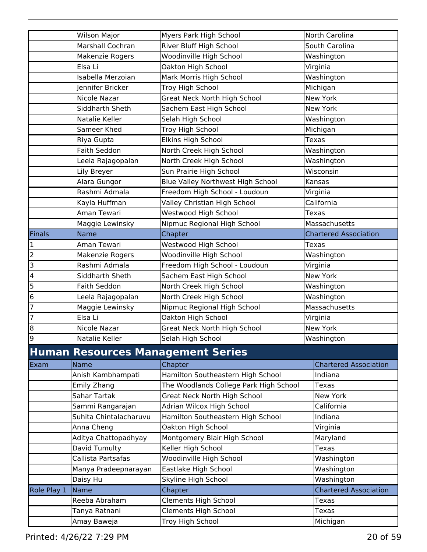|             | <b>Wilson Major</b>    | Myers Park High School                   | North Carolina               |
|-------------|------------------------|------------------------------------------|------------------------------|
|             | Marshall Cochran       | River Bluff High School                  | South Carolina               |
|             | Makenzie Rogers        | Woodinville High School                  | Washington                   |
|             | Elsa Li                | Oakton High School                       | Virginia                     |
|             | Isabella Merzoian      | Mark Morris High School                  | Washington                   |
|             | Jennifer Bricker       | Troy High School                         | Michigan                     |
|             | Nicole Nazar           | Great Neck North High School             | New York                     |
|             | Siddharth Sheth        | Sachem East High School                  | New York                     |
|             | Natalie Keller         | Selah High School                        | Washington                   |
|             | Sameer Khed            | Troy High School                         | Michigan                     |
|             | Riya Gupta             | Elkins High School                       | <b>Texas</b>                 |
|             | Faith Seddon           | North Creek High School                  | Washington                   |
|             | Leela Rajagopalan      | North Creek High School                  | Washington                   |
|             | Lily Breyer            | Sun Prairie High School                  | Wisconsin                    |
|             | Alara Gungor           | Blue Valley Northwest High School        | Kansas                       |
|             | Rashmi Admala          | Freedom High School - Loudoun            | Virginia                     |
|             | Kayla Huffman          | Valley Christian High School             | California                   |
|             | Aman Tewari            | Westwood High School                     | <b>Texas</b>                 |
|             | Maggie Lewinsky        | Nipmuc Regional High School              | Massachusetts                |
| Finals      | <b>Name</b>            | Chapter                                  | <b>Chartered Association</b> |
| 1           | Aman Tewari            | Westwood High School                     | <b>Texas</b>                 |
| 2           | Makenzie Rogers        | Woodinville High School                  | Washington                   |
| 3           | Rashmi Admala          | Freedom High School - Loudoun            | Virginia                     |
| 4           | Siddharth Sheth        | Sachem East High School                  | <b>New York</b>              |
| 5           | <b>Faith Seddon</b>    | North Creek High School                  | Washington                   |
| 6           | Leela Rajagopalan      | North Creek High School                  | Washington                   |
| 7           | Maggie Lewinsky        | Nipmuc Regional High School              | Massachusetts                |
| 7           | Elsa Li                | Oakton High School                       | Virginia                     |
| 8           | Nicole Nazar           | Great Neck North High School             | New York                     |
| q           | Natalie Keller         | Selah High School                        | Washington                   |
|             |                        | <b>Human Resources Management Series</b> |                              |
|             |                        |                                          |                              |
| Exam        | Name                   | Chapter                                  | <b>Chartered Association</b> |
|             | Anish Kambhampati      | Hamilton Southeastern High School        | Indiana                      |
|             | Emily Zhang            | The Woodlands College Park High School   | <b>Texas</b>                 |
|             | Sahar Tartak           | Great Neck North High School             | New York                     |
|             | Sammi Rangarajan       | Adrian Wilcox High School                | California                   |
|             | Suhita Chintalacharuvu | Hamilton Southeastern High School        | Indiana                      |
|             | Anna Cheng             | Oakton High School                       | Virginia                     |
|             | Aditya Chattopadhyay   | Montgomery Blair High School             | Maryland                     |
|             | David Tumulty          | Keller High School                       | <b>Texas</b>                 |
|             | Callista Partsafas     | Woodinville High School                  | Washington                   |
|             | Manya Pradeepnarayan   | Eastlake High School                     | Washington                   |
|             | Daisy Hu               | Skyline High School                      | Washington                   |
| Role Play 1 | Name                   | Chapter                                  | <b>Chartered Association</b> |
|             | Reeba Abraham          | <b>Clements High School</b>              | Texas                        |
|             | Tanya Ratnani          | Clements High School                     | <b>Texas</b>                 |
|             | Amay Baweja            | Troy High School                         | Michigan                     |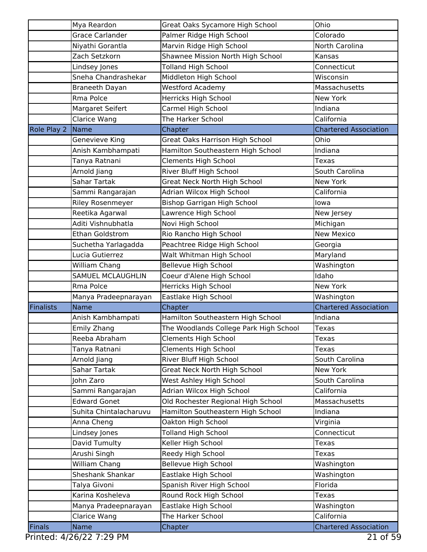|                  | Mya Reardon              | Great Oaks Sycamore High School        | Ohio                         |
|------------------|--------------------------|----------------------------------------|------------------------------|
|                  | <b>Grace Carlander</b>   | Palmer Ridge High School               | Colorado                     |
|                  | Niyathi Gorantla         | Marvin Ridge High School               | North Carolina               |
|                  | Zach Setzkorn            | Shawnee Mission North High School      | Kansas                       |
|                  | Lindsey Jones            | <b>Tolland High School</b>             | Connecticut                  |
|                  | Sneha Chandrashekar      | Middleton High School                  | Wisconsin                    |
|                  | Braneeth Dayan           | <b>Westford Academy</b>                | Massachusetts                |
|                  | Rma Polce                | Herricks High School                   | <b>New York</b>              |
|                  | Margaret Seifert         | Carmel High School                     | Indiana                      |
|                  | Clarice Wang             | The Harker School                      | California                   |
| Role Play 2      | Name                     | Chapter                                | <b>Chartered Association</b> |
|                  | Genevieve King           | <b>Great Oaks Harrison High School</b> | Ohio                         |
|                  | Anish Kambhampati        | Hamilton Southeastern High School      | Indiana                      |
|                  | Tanya Ratnani            | <b>Clements High School</b>            | Texas                        |
|                  | Arnold Jiang             | River Bluff High School                | South Carolina               |
|                  | Sahar Tartak             | Great Neck North High School           | <b>New York</b>              |
|                  | Sammi Rangarajan         | Adrian Wilcox High School              | California                   |
|                  | <b>Riley Rosenmeyer</b>  | <b>Bishop Garrigan High School</b>     | lowa                         |
|                  | Reetika Agarwal          | Lawrence High School                   | New Jersey                   |
|                  | Aditi Vishnubhatla       | Novi High School                       | Michigan                     |
|                  | Ethan Goldstrom          | Rio Rancho High School                 | <b>New Mexico</b>            |
|                  | Suchetha Yarlagadda      | Peachtree Ridge High School            | Georgia                      |
|                  | Lucia Gutierrez          | Walt Whitman High School               | Maryland                     |
|                  | William Chang            | <b>Bellevue High School</b>            | Washington                   |
|                  | <b>SAMUEL MCLAUGHLIN</b> | Coeur d'Alene High School              | Idaho                        |
|                  | Rma Polce                | Herricks High School                   | <b>New York</b>              |
|                  | Manya Pradeepnarayan     | Eastlake High School                   | Washington                   |
| <b>Finalists</b> | Name                     | Chapter                                | <b>Chartered Association</b> |
|                  | Anish Kambhampati        | Hamilton Southeastern High School      | Indiana                      |
|                  | <b>Emily Zhang</b>       | The Woodlands College Park High School | Texas                        |
|                  | Reeba Abraham            | Clements High School                   | Texas                        |
|                  | Tanya Ratnani            | <b>Clements High School</b>            | Texas                        |
|                  | Arnold Jiang             | River Bluff High School                | South Carolina               |
|                  | Sahar Tartak             | Great Neck North High School           | <b>New York</b>              |
|                  | John Zaro                | West Ashley High School                | South Carolina               |
|                  | Sammi Rangarajan         | Adrian Wilcox High School              | California                   |
|                  | <b>Edward Gonet</b>      | Old Rochester Regional High School     | Massachusetts                |
|                  | Suhita Chintalacharuvu   | Hamilton Southeastern High School      | Indiana                      |
|                  | Anna Cheng               | Oakton High School                     | Virginia                     |
|                  | Lindsey Jones            | <b>Tolland High School</b>             | Connecticut                  |
|                  | David Tumulty            | Keller High School                     | Texas                        |
|                  | Arushi Singh             | Reedy High School                      | Texas                        |
|                  | William Chang            | Bellevue High School                   | Washington                   |
|                  | Sheshank Shankar         | Eastlake High School                   | Washington                   |
|                  | Talya Givoni             | Spanish River High School              | Florida                      |
|                  | Karina Kosheleva         | Round Rock High School                 | Texas                        |
|                  | Manya Pradeepnarayan     | Eastlake High School                   | Washington                   |
|                  | Clarice Wang             | The Harker School                      | California                   |
| <b>Finals</b>    | <b>Name</b>              | Chapter                                | <b>Chartered Association</b> |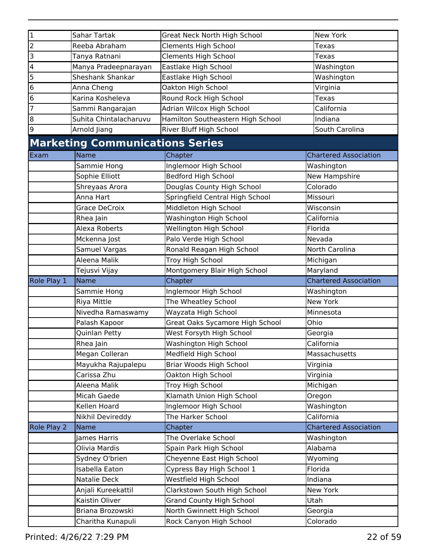| $\mathbf 1$             | Sahar Tartak                           | <b>Great Neck North High School</b> | New York                     |
|-------------------------|----------------------------------------|-------------------------------------|------------------------------|
| 2                       | Reeba Abraham                          | <b>Clements High School</b>         | Texas                        |
| 3                       | Tanya Ratnani                          | <b>Clements High School</b>         | <b>Texas</b>                 |
| $\overline{\mathbf{4}}$ | Manya Pradeepnarayan                   | Eastlake High School                | Washington                   |
| 5                       | Sheshank Shankar                       | Eastlake High School                | Washington                   |
| 6                       | Anna Cheng                             | Oakton High School                  | Virginia                     |
| 6                       | Karina Kosheleva                       | Round Rock High School              | Texas                        |
| 7                       | Sammi Rangarajan                       | Adrian Wilcox High School           | California                   |
| 8                       | Suhita Chintalacharuvu                 | Hamilton Southeastern High School   | Indiana                      |
| 9                       | Arnold Jiang                           | River Bluff High School             | South Carolina               |
|                         | <b>Marketing Communications Series</b> |                                     |                              |
| Exam                    | <b>Name</b>                            | Chapter                             | <b>Chartered Association</b> |
|                         | Sammie Hong                            | Inglemoor High School               | Washington                   |
|                         | Sophie Elliott                         | <b>Bedford High School</b>          | New Hampshire                |
|                         | Shreyaas Arora                         | Douglas County High School          | Colorado                     |
|                         | Anna Hart                              | Springfield Central High School     | Missouri                     |
|                         | <b>Grace DeCroix</b>                   | Middleton High School               | Wisconsin                    |
|                         | Rhea Jain                              | Washington High School              | California                   |
|                         | <b>Alexa Roberts</b>                   | Wellington High School              | Florida                      |
|                         | Mckenna Jost                           | Palo Verde High School              | Nevada                       |
|                         | Samuel Vargas                          | Ronald Reagan High School           | North Carolina               |
|                         | Aleena Malik                           | Troy High School                    | Michigan                     |
|                         | Tejusvi Vijay                          | Montgomery Blair High School        | Maryland                     |
|                         |                                        |                                     |                              |
|                         |                                        |                                     |                              |
|                         | <b>Name</b>                            | Chapter                             | <b>Chartered Association</b> |
|                         | Sammie Hong                            | Inglemoor High School               | Washington                   |
|                         | Riya Mittle                            | The Wheatley School                 | <b>New York</b>              |
|                         | Nivedha Ramaswamy                      | Wayzata High School                 | Minnesota                    |
|                         | Palash Kapoor                          | Great Oaks Sycamore High School     | Ohio                         |
|                         | Quinlan Petty                          | West Forsyth High School            | Georgia                      |
|                         | Rhea Jain                              | Washington High School              | California                   |
|                         | Megan Colleran                         | Medfield High School                | Massachusetts                |
|                         | Mayukha Rajupalepu                     | Briar Woods High School             | Virginia                     |
|                         | Carissa Zhu                            | Oakton High School                  | Virginia                     |
|                         | Aleena Malik                           | Troy High School                    | Michigan                     |
|                         | Micah Gaede                            | Klamath Union High School           | Oregon                       |
|                         | Kellen Hoard                           | Inglemoor High School               | Washington                   |
|                         | Nikhil Devireddy                       | The Harker School                   | California                   |
| Role Play 2             | Name                                   | Chapter                             | <b>Chartered Association</b> |
|                         | James Harris                           | The Overlake School                 | Washington                   |
|                         | Olivia Mardis                          | Spain Park High School              | Alabama                      |
|                         | Sydney O'brien                         | Cheyenne East High School           | Wyoming                      |
|                         | Isabella Eaton                         | Cypress Bay High School 1           | Florida                      |
|                         | Natalie Deck                           | Westfield High School               | Indiana                      |
|                         | Anjali Kureekattil                     | Clarkstown South High School        | New York                     |
|                         | Kaistin Oliver                         | <b>Grand County High School</b>     | Utah                         |
| Role Play 1             | Briana Brozowski                       | North Gwinnett High School          | Georgia                      |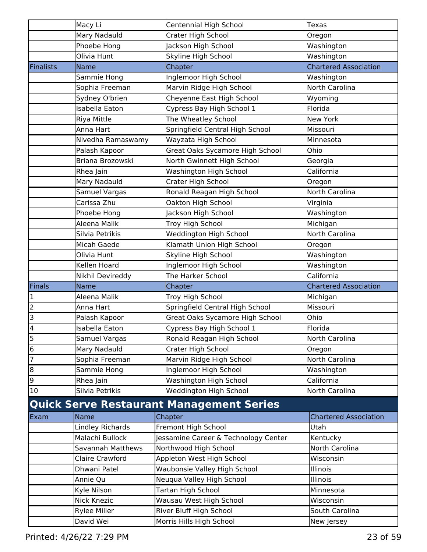|                          | Macy Li                                | Centennial High School                              | Texas                        |
|--------------------------|----------------------------------------|-----------------------------------------------------|------------------------------|
|                          | Mary Nadauld                           | Crater High School                                  | Oregon                       |
|                          | Phoebe Hong                            | Jackson High School                                 | Washington                   |
|                          | Olivia Hunt                            | Skyline High School                                 | Washington                   |
| <b>Finalists</b>         | <b>Name</b>                            | Chapter                                             | <b>Chartered Association</b> |
|                          | Sammie Hong                            | Inglemoor High School                               | Washington                   |
|                          | Sophia Freeman                         | Marvin Ridge High School                            | North Carolina               |
|                          | Sydney O'brien                         | Cheyenne East High School                           | Wyoming                      |
|                          | Isabella Eaton                         | Cypress Bay High School 1                           | Florida                      |
|                          | Riya Mittle                            | The Wheatley School                                 | New York                     |
|                          | Anna Hart                              | Springfield Central High School                     | Missouri                     |
|                          | Nivedha Ramaswamy                      | Wayzata High School                                 | Minnesota                    |
|                          | Palash Kapoor                          | Great Oaks Sycamore High School                     | Ohio                         |
|                          | Briana Brozowski                       | North Gwinnett High School                          | Georgia                      |
|                          | Rhea Jain                              | Washington High School                              | California                   |
|                          | Mary Nadauld                           | Crater High School                                  | Oregon                       |
|                          | Samuel Vargas                          | Ronald Reagan High School                           | North Carolina               |
|                          | Carissa Zhu                            | Oakton High School                                  | Virginia                     |
|                          | Phoebe Hong                            | Jackson High School                                 | Washington                   |
|                          | Aleena Malik                           | Troy High School                                    | Michigan                     |
|                          | Silvia Petrikis                        | Weddington High School                              | North Carolina               |
|                          | Micah Gaede                            | Klamath Union High School                           | Oregon                       |
|                          | Olivia Hunt                            | Skyline High School                                 | Washington                   |
|                          | Kellen Hoard                           | Inglemoor High School                               | Washington                   |
|                          |                                        |                                                     |                              |
|                          |                                        |                                                     | California                   |
|                          | Nikhil Devireddy                       | The Harker School                                   |                              |
| Finals                   | <b>Name</b>                            | Chapter                                             | <b>Chartered Association</b> |
| $\mathbf{1}$             | Aleena Malik<br>Anna Hart              | Troy High School                                    | Michigan<br>Missouri         |
| $\overline{2}$           |                                        | Springfield Central High School                     |                              |
| 3                        | Palash Kapoor<br><b>Isabella Eaton</b> | Great Oaks Sycamore High School                     | Ohio                         |
| $\overline{\mathbf{4}}$  |                                        | Cypress Bay High School 1                           | Florida                      |
| $\overline{\phantom{a}}$ | Samuel Vargas                          | Ronald Reagan High School                           | North Carolina               |
| $\overline{6}$           | Mary Nadauld                           | Crater High School                                  | Oregon                       |
| $\overline{7}$           | Sophia Freeman                         | Marvin Ridge High School                            | North Carolina               |
| $\bf{8}$                 | Sammie Hong                            | Inglemoor High School                               | Washington                   |
| 9<br>10                  | Rhea Jain<br>Silvia Petrikis           | Washington High School                              | California<br>North Carolina |
|                          |                                        | Weddington High School                              |                              |
|                          |                                        | <b>Quick Serve Restaurant Management Series</b>     |                              |
| Exam                     | Name                                   | Chapter                                             | <b>Chartered Association</b> |
|                          | Lindley Richards                       | Fremont High School                                 | Utah                         |
|                          | Malachi Bullock                        | Jessamine Career & Technology Center                | Kentucky                     |
|                          | Savannah Matthews                      | Northwood High School                               | North Carolina               |
|                          | <b>Claire Crawford</b>                 | Appleton West High School                           | Wisconsin                    |
|                          | Dhwani Patel                           | Waubonsie Valley High School                        | Illinois                     |
|                          | Annie Qu                               | Neuqua Valley High School                           | Illinois                     |
|                          | Kyle Nilson                            | Tartan High School                                  | Minnesota                    |
|                          | <b>Nick Knezic</b>                     | Wausau West High School                             | Wisconsin                    |
|                          | <b>Rylee Miller</b><br>David Wei       | River Bluff High School<br>Morris Hills High School | South Carolina<br>New Jersey |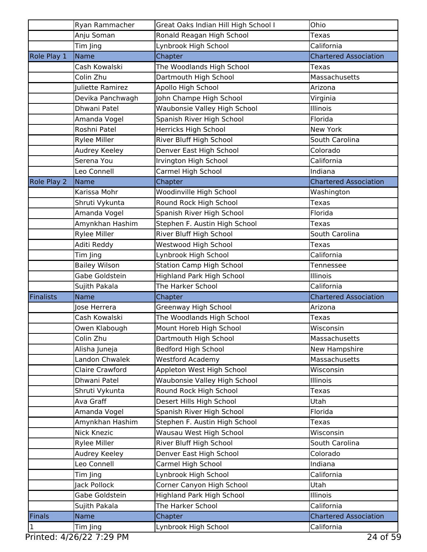|               | Ryan Rammacher         | Great Oaks Indian Hill High School I | Ohio                         |
|---------------|------------------------|--------------------------------------|------------------------------|
|               | Anju Soman             | Ronald Reagan High School            | Texas                        |
|               | Tim Jing               | Lynbrook High School                 | California                   |
| Role Play 1   | Name                   | Chapter                              | <b>Chartered Association</b> |
|               | Cash Kowalski          | The Woodlands High School            | Texas                        |
|               | Colin Zhu              | Dartmouth High School                | Massachusetts                |
|               | Juliette Ramirez       | Apollo High School                   | Arizona                      |
|               | Devika Panchwagh       | John Champe High School              | Virginia                     |
|               | Dhwani Patel           | Waubonsie Valley High School         | Illinois                     |
|               | Amanda Vogel           | Spanish River High School            | Florida                      |
|               | Roshni Patel           | Herricks High School                 | New York                     |
|               | <b>Rylee Miller</b>    | River Bluff High School              | South Carolina               |
|               | Audrey Keeley          | Denver East High School              | Colorado                     |
|               | Serena You             | Irvington High School                | California                   |
|               | Leo Connell            | Carmel High School                   | Indiana                      |
| Role Play 2   | Name                   | Chapter                              | <b>Chartered Association</b> |
|               | Karissa Mohr           | Woodinville High School              | Washington                   |
|               | Shruti Vykunta         | Round Rock High School               | Texas                        |
|               | Amanda Vogel           | Spanish River High School            | Florida                      |
|               | Amynkhan Hashim        | Stephen F. Austin High School        | <b>Texas</b>                 |
|               | <b>Rylee Miller</b>    | River Bluff High School              | South Carolina               |
|               | Aditi Reddy            | Westwood High School                 | <b>Texas</b>                 |
|               | Tim Jing               | Lynbrook High School                 | California                   |
|               | <b>Bailey Wilson</b>   | <b>Station Camp High School</b>      | Tennessee                    |
|               | Gabe Goldstein         | <b>Highland Park High School</b>     | Illinois                     |
|               | Sujith Pakala          | The Harker School                    | California                   |
| Finalists     | <b>Name</b>            | Chapter                              | <b>Chartered Association</b> |
|               | Jose Herrera           | Greenway High School                 | Arizona                      |
|               | Cash Kowalski          | The Woodlands High School            | Texas                        |
|               | Owen Klabough          | Mount Horeb High School              | Wisconsin                    |
|               | Colin Zhu              | Dartmouth High School                | Massachusetts                |
|               | Alisha Juneja          | Bedford High School                  | New Hampshire                |
|               | Landon Chwalek         | <b>Westford Academy</b>              | Massachusetts                |
|               | <b>Claire Crawford</b> | Appleton West High School            | Wisconsin                    |
|               | Dhwani Patel           | Waubonsie Valley High School         | Illinois                     |
|               | Shruti Vykunta         | Round Rock High School               | <b>Texas</b>                 |
|               | Ava Graff              | Desert Hills High School             | Utah                         |
|               | Amanda Vogel           | Spanish River High School            | Florida                      |
|               | Amynkhan Hashim        | Stephen F. Austin High School        | Texas                        |
|               | <b>Nick Knezic</b>     | Wausau West High School              | Wisconsin                    |
|               | <b>Rylee Miller</b>    | River Bluff High School              | South Carolina               |
|               | Audrey Keeley          | Denver East High School              | Colorado                     |
|               | Leo Connell            | Carmel High School                   | Indiana                      |
|               | Tim Jing               | Lynbrook High School                 | California                   |
|               | Jack Pollock           | Corner Canyon High School            | Utah                         |
|               | Gabe Goldstein         | Highland Park High School            | Illinois                     |
|               | Sujith Pakala          | The Harker School                    | California                   |
| <b>Finals</b> | <b>Name</b>            | Chapter                              | <b>Chartered Association</b> |
| $\mathbf{1}$  | Tim Jing               | Lynbrook High School                 | California                   |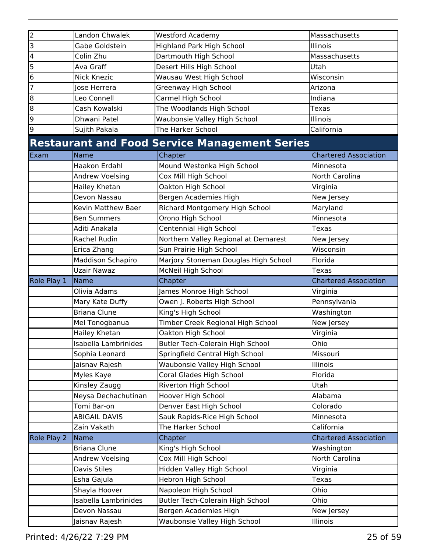| $\overline{2}$ | Landon Chwalek       | <b>Westford Academy</b>                              | Massachusetts                |
|----------------|----------------------|------------------------------------------------------|------------------------------|
| 3              | Gabe Goldstein       | <b>Highland Park High School</b>                     | Illinois                     |
| 4              | Colin Zhu            | Dartmouth High School                                | Massachusetts                |
| 5              | Ava Graff            | Desert Hills High School                             | Utah                         |
| 6              | <b>Nick Knezic</b>   | Wausau West High School                              | Wisconsin                    |
| 7              | Jose Herrera         | Greenway High School                                 | Arizona                      |
| 8              | Leo Connell          | Carmel High School                                   | Indiana                      |
| 8              | Cash Kowalski        | The Woodlands High School                            | Texas                        |
| 9              | Dhwani Patel         | Waubonsie Valley High School                         | Illinois                     |
| 9              | Sujith Pakala        | The Harker School                                    | California                   |
|                |                      | <b>Restaurant and Food Service Management Series</b> |                              |
| Exam           | Name                 | Chapter                                              | <b>Chartered Association</b> |
|                | Haakon Erdahl        | Mound Westonka High School                           | Minnesota                    |
|                | Andrew Voelsing      | Cox Mill High School                                 | North Carolina               |
|                | Hailey Khetan        | Oakton High School                                   | Virginia                     |
|                | Devon Nassau         | Bergen Academies High                                | New Jersey                   |
|                | Kevin Matthew Baer   | Richard Montgomery High School                       | Maryland                     |
|                | <b>Ben Summers</b>   | Orono High School                                    | Minnesota                    |
|                | Aditi Anakala        | <b>Centennial High School</b>                        | <b>Texas</b>                 |
|                | Rachel Rudin         | Northern Valley Regional at Demarest                 | New Jersey                   |
|                | Erica Zhang          | Sun Prairie High School                              | Wisconsin                    |
|                | Maddison Schapiro    | Marjory Stoneman Douglas High School                 | Florida                      |
|                | <b>Uzair Nawaz</b>   | McNeil High School                                   | Texas                        |
|                |                      |                                                      |                              |
| Role Play 1    | Name                 | Chapter                                              | <b>Chartered Association</b> |
|                | Olivia Adams         | James Monroe High School                             | Virginia                     |
|                | Mary Kate Duffy      | Owen J. Roberts High School                          | Pennsylvania                 |
|                | <b>Briana Clune</b>  | King's High School                                   | Washington                   |
|                | Mel Tonogbanua       | Timber Creek Regional High School                    | New Jersey                   |
|                | Hailey Khetan        | Oakton High School                                   | Virginia                     |
|                | Isabella Lambrinides | Butler Tech-Colerain High School                     | Ohio                         |
|                | Sophia Leonard       | Springfield Central High School                      | Missouri                     |
|                | Jaisnav Rajesh       | Waubonsie Valley High School                         | Illinois                     |
|                | Myles Kaye           | Coral Glades High School                             | Florida                      |
|                | Kinsley Zaugg        | Riverton High School                                 | Utah                         |
|                | Neysa Dechachutinan  | Hoover High School                                   | Alabama                      |
|                | Tomi Bar-on          | Denver East High School                              | Colorado                     |
|                | <b>ABIGAIL DAVIS</b> | Sauk Rapids-Rice High School                         | Minnesota                    |
|                | Zain Vakath          | The Harker School                                    | California                   |
| Role Play 2    | Name                 | Chapter                                              | <b>Chartered Association</b> |
|                | <b>Briana Clune</b>  | King's High School                                   | Washington                   |
|                | Andrew Voelsing      | Cox Mill High School                                 | North Carolina               |
|                | Davis Stiles         | Hidden Valley High School                            | Virginia                     |
|                | Esha Gajula          | <b>Hebron High School</b>                            | Texas                        |
|                | Shayla Hoover        | Napoleon High School                                 | Ohio                         |
|                | Isabella Lambrinides | Butler Tech-Colerain High School                     | Ohio                         |
|                | Devon Nassau         | Bergen Academies High                                | New Jersey                   |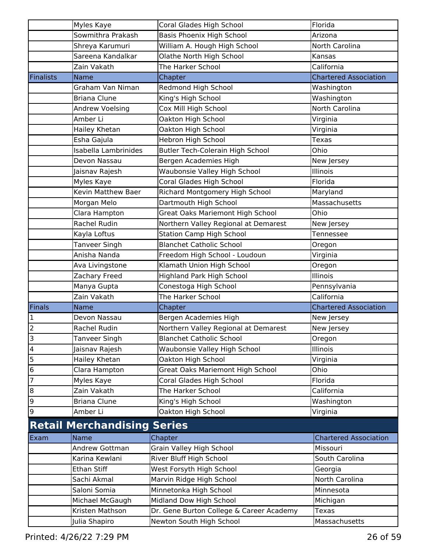|                         | Myles Kaye                         | Coral Glades High School                 | Florida                      |
|-------------------------|------------------------------------|------------------------------------------|------------------------------|
|                         | Sowmithra Prakash                  | Basis Phoenix High School                | Arizona                      |
|                         | Shreya Karumuri                    | William A. Hough High School             | North Carolina               |
|                         | Sareena Kandalkar                  | Olathe North High School                 | Kansas                       |
|                         | Zain Vakath                        | The Harker School                        | California                   |
| <b>Finalists</b>        | <b>Name</b>                        | Chapter                                  | <b>Chartered Association</b> |
|                         | Graham Van Niman                   | Redmond High School                      | Washington                   |
|                         | <b>Briana Clune</b>                | King's High School                       | Washington                   |
|                         | Andrew Voelsing                    | Cox Mill High School                     | <b>North Carolina</b>        |
|                         | Amber Li                           | Oakton High School                       | Virginia                     |
|                         | Hailey Khetan                      | Oakton High School                       | Virginia                     |
|                         | Esha Gajula                        | Hebron High School                       | Texas                        |
|                         | Isabella Lambrinides               | Butler Tech-Colerain High School         | Ohio                         |
|                         | Devon Nassau                       | Bergen Academies High                    | New Jersey                   |
|                         | Jaisnav Rajesh                     | Waubonsie Valley High School             | Illinois                     |
|                         | Myles Kaye                         | Coral Glades High School                 | Florida                      |
|                         | Kevin Matthew Baer                 | Richard Montgomery High School           | Maryland                     |
|                         | Morgan Melo                        | Dartmouth High School                    | Massachusetts                |
|                         | Clara Hampton                      | <b>Great Oaks Mariemont High School</b>  | Ohio                         |
|                         | Rachel Rudin                       | Northern Valley Regional at Demarest     | New Jersey                   |
|                         | Kayla Loftus                       | <b>Station Camp High School</b>          | Tennessee                    |
|                         | Tanveer Singh                      | <b>Blanchet Catholic School</b>          | Oregon                       |
|                         | Anisha Nanda                       | Freedom High School - Loudoun            | Virginia                     |
|                         | Ava Livingstone                    | Klamath Union High School                | Oregon                       |
|                         | Zachary Freed                      | <b>Highland Park High School</b>         | <b>Illinois</b>              |
|                         | Manya Gupta                        | Conestoga High School                    | Pennsylvania                 |
|                         | Zain Vakath                        | The Harker School                        | California                   |
| Finals                  | <b>Name</b>                        | Chapter                                  | <b>Chartered Association</b> |
| 1                       | Devon Nassau                       | Bergen Academies High                    | New Jersey                   |
| $\overline{2}$          | Rachel Rudin                       | Northern Valley Regional at Demarest     | New Jersey                   |
| 3                       | Tanveer Singh                      | <b>Blanchet Catholic School</b>          | Oregon                       |
| $\overline{\mathbf{4}}$ | Jaisnav Rajesh                     | Waubonsie Valley High School             | <b>Illinois</b>              |
| 5                       | Hailey Khetan                      | Oakton High School                       | Virginia                     |
| $\bf 6$                 | Clara Hampton                      | <b>Great Oaks Mariemont High School</b>  | Ohio                         |
| 7                       | Myles Kaye                         | Coral Glades High School                 | Florida                      |
| 8                       | Zain Vakath                        | The Harker School                        | California                   |
| 9                       | <b>Briana Clune</b>                | King's High School                       | Washington                   |
| 9                       | Amber Li                           | Oakton High School                       | Virginia                     |
|                         | <b>Retail Merchandising Series</b> |                                          |                              |
| Exam                    | Name                               | Chapter                                  | <b>Chartered Association</b> |
|                         | Andrew Gottman                     | Grain Valley High School                 | Missouri                     |
|                         | Karina Kewlani                     | River Bluff High School                  | South Carolina               |
|                         | Ethan Stiff                        | West Forsyth High School                 | Georgia                      |
|                         | Sachi Akmal                        | Marvin Ridge High School                 | North Carolina               |
|                         | Saloni Somia                       | Minnetonka High School                   | Minnesota                    |
|                         | Michael McGaugh                    | Midland Dow High School                  | Michigan                     |
|                         | Kristen Mathson                    | Dr. Gene Burton College & Career Academy | <b>Texas</b>                 |
|                         | Julia Shapiro                      | Newton South High School                 | Massachusetts                |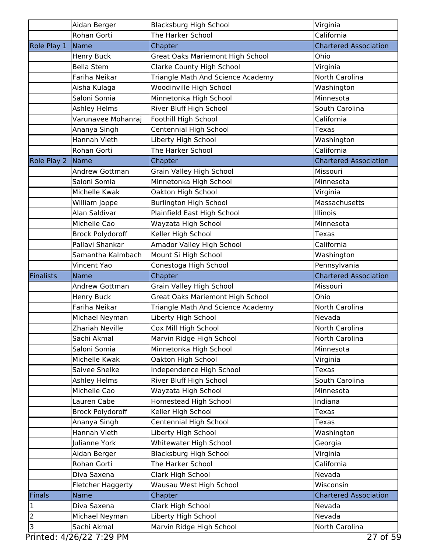|                                  | Aidan Berger                  | <b>Blacksburg High School</b>                   | Virginia                     |
|----------------------------------|-------------------------------|-------------------------------------------------|------------------------------|
|                                  | <b>Rohan Gorti</b>            | The Harker School                               | California                   |
| Role Play 1                      | Name                          | Chapter                                         | <b>Chartered Association</b> |
|                                  | Henry Buck                    | <b>Great Oaks Mariemont High School</b>         | Ohio                         |
|                                  | <b>Bella Stem</b>             | <b>Clarke County High School</b>                | Virginia                     |
|                                  | Fariha Neikar                 | Triangle Math And Science Academy               | North Carolina               |
|                                  | Aisha Kulaga                  | Woodinville High School                         | Washington                   |
|                                  | Saloni Somia                  | Minnetonka High School                          | Minnesota                    |
|                                  | Ashley Helms                  | River Bluff High School                         | South Carolina               |
|                                  | Varunavee Mohanraj            | Foothill High School                            | California                   |
|                                  | Ananya Singh                  | Centennial High School                          | Texas                        |
|                                  | Hannah Vieth                  | Liberty High School                             | Washington                   |
|                                  | Rohan Gorti                   | The Harker School                               | California                   |
| Role Play 2                      | Name                          | Chapter                                         | <b>Chartered Association</b> |
|                                  | <b>Andrew Gottman</b>         | Grain Valley High School                        | Missouri                     |
|                                  | Saloni Somia                  | Minnetonka High School                          | Minnesota                    |
|                                  | Michelle Kwak                 | Oakton High School                              | Virginia                     |
|                                  | William Jappe                 | <b>Burlington High School</b>                   | Massachusetts                |
|                                  | Alan Saldivar                 | Plainfield East High School                     | Illinois                     |
|                                  | Michelle Cao                  | Wayzata High School                             | Minnesota                    |
|                                  | <b>Brock Polydoroff</b>       | Keller High School                              | Texas                        |
|                                  | Pallavi Shankar               | Amador Valley High School                       | California                   |
|                                  | Samantha Kalmbach             | Mount Si High School                            | Washington                   |
|                                  | <b>Vincent Yao</b>            | Conestoga High School                           | Pennsylvania                 |
| Finalists                        | <b>Name</b>                   | Chapter                                         | <b>Chartered Association</b> |
|                                  |                               |                                                 |                              |
|                                  | Andrew Gottman                | Grain Valley High School                        | Missouri                     |
|                                  | Henry Buck                    | Great Oaks Mariemont High School                | Ohio                         |
|                                  | Fariha Neikar                 | Triangle Math And Science Academy               | North Carolina               |
|                                  | Michael Neyman                | Liberty High School                             | Nevada                       |
|                                  | Zhariah Neville               | Cox Mill High School                            | <b>North Carolina</b>        |
|                                  | Sachi Akmal                   | Marvin Ridge High School                        | North Carolina               |
|                                  | Saloni Somia                  | Minnetonka High School                          | Minnesota                    |
|                                  | Michelle Kwak                 | Oakton High School                              | Virginia                     |
|                                  | Saivee Shelke                 | Independence High School                        | <b>Texas</b>                 |
|                                  | Ashley Helms                  | River Bluff High School                         | South Carolina               |
|                                  | Michelle Cao                  | Wayzata High School                             | Minnesota                    |
|                                  | Lauren Cabe                   | Homestead High School                           | Indiana                      |
|                                  | <b>Brock Polydoroff</b>       | Keller High School                              | <b>Texas</b>                 |
|                                  | Ananya Singh                  | Centennial High School                          | Texas                        |
|                                  | Hannah Vieth                  | Liberty High School                             | Washington                   |
|                                  | Julianne York                 | Whitewater High School                          | Georgia                      |
|                                  | Aidan Berger                  | <b>Blacksburg High School</b>                   | Virginia                     |
|                                  | Rohan Gorti                   | The Harker School                               | California                   |
|                                  | Diva Saxena                   | Clark High School                               | Nevada                       |
|                                  | Fletcher Haggerty             | Wausau West High School                         | Wisconsin                    |
| Finals                           | <b>Name</b>                   | Chapter                                         | <b>Chartered Association</b> |
| $\vert$ 1                        | Diva Saxena                   | Clark High School                               | Nevada                       |
| $\overline{2}$<br>$\overline{3}$ | Michael Neyman<br>Sachi Akmal | Liberty High School<br>Marvin Ridge High School | Nevada<br>North Carolina     |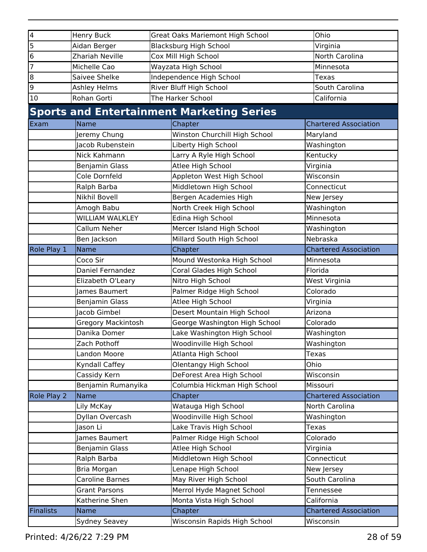| 4                | <b>Henry Buck</b>            | <b>Great Oaks Mariemont High School</b> |                                                  |              | Ohio                         |
|------------------|------------------------------|-----------------------------------------|--------------------------------------------------|--------------|------------------------------|
| $\overline{5}$   | Aidan Berger                 | <b>Blacksburg High School</b>           |                                                  | Virginia     |                              |
| 6                | Zhariah Neville              |                                         | Cox Mill High School                             |              | North Carolina               |
| $\overline{7}$   | Michelle Cao                 | Wayzata High School                     |                                                  |              | Minnesota                    |
| $\overline{8}$   | Saivee Shelke                | Independence High School                |                                                  | <b>Texas</b> |                              |
| 9                | Ashley Helms                 | River Bluff High School                 |                                                  |              | South Carolina               |
| 10               | Rohan Gorti                  |                                         | The Harker School                                |              | California                   |
|                  |                              |                                         | <b>Sports and Entertainment Marketing Series</b> |              |                              |
| Exam             | <b>Name</b>                  |                                         | Chapter                                          |              | <b>Chartered Association</b> |
|                  | Jeremy Chung                 |                                         | Winston Churchill High School                    |              | Maryland                     |
|                  | Jacob Rubenstein             |                                         | Liberty High School                              |              | Washington                   |
|                  | Nick Kahmann                 |                                         | Larry A Ryle High School                         |              | Kentucky                     |
|                  | <b>Benjamin Glass</b>        |                                         | Atlee High School                                |              | Virginia                     |
|                  | Cole Dornfeld                |                                         | Appleton West High School                        |              | Wisconsin                    |
|                  | Ralph Barba                  |                                         | Middletown High School                           |              | Connecticut                  |
|                  | <b>Nikhil Bovell</b>         |                                         | Bergen Academies High                            |              | New Jersey                   |
|                  | Amogh Babu                   |                                         | North Creek High School                          |              | Washington                   |
|                  | <b>WILLIAM WALKLEY</b>       |                                         | Edina High School                                |              | Minnesota                    |
|                  | Callum Neher                 |                                         | Mercer Island High School                        |              | Washington                   |
|                  | Ben Jackson                  |                                         | Millard South High School                        |              | Nebraska                     |
| Role Play 1      | <b>Name</b>                  |                                         | Chapter                                          |              | <b>Chartered Association</b> |
|                  |                              |                                         |                                                  |              | Minnesota                    |
|                  | Coco Sir<br>Daniel Fernandez |                                         | Mound Westonka High School                       |              | Florida                      |
|                  |                              |                                         | Coral Glades High School                         |              |                              |
|                  | Elizabeth O'Leary            |                                         | Nitro High School                                |              | West Virginia                |
|                  | James Baumert                |                                         | Palmer Ridge High School                         |              | Colorado                     |
|                  | Benjamin Glass               |                                         | Atlee High School                                |              | Virginia                     |
|                  | Jacob Gimbel                 |                                         | Desert Mountain High School                      |              | Arizona                      |
|                  | <b>Gregory Mackintosh</b>    |                                         | George Washington High School                    |              | Colorado                     |
|                  | Danika Domer                 |                                         | Lake Washington High School                      |              | Washington                   |
|                  | Zach Pothoff                 |                                         | Woodinville High School                          |              | Washington                   |
|                  | <b>Landon Moore</b>          |                                         | Atlanta High School                              |              | <b>Texas</b>                 |
|                  | Kyndall Caffey               |                                         | Olentangy High School                            |              | Ohio                         |
|                  | Cassidy Kern                 |                                         | DeForest Area High School                        |              | Wisconsin                    |
|                  | Benjamin Rumanyika           |                                         | Columbia Hickman High School                     |              | Missouri                     |
| Role Play 2      | Name                         |                                         | Chapter                                          |              | <b>Chartered Association</b> |
|                  | Lily McKay                   |                                         | Watauga High School                              |              | North Carolina               |
|                  | Dyllan Overcash              |                                         | Woodinville High School                          |              | Washington                   |
|                  | Jason Li                     |                                         | Lake Travis High School                          |              | <b>Texas</b>                 |
|                  | James Baumert                |                                         | Palmer Ridge High School                         |              | Colorado                     |
|                  | Benjamin Glass               |                                         | Atlee High School                                |              | Virginia                     |
|                  | Ralph Barba                  |                                         | Middletown High School                           |              | Connecticut                  |
|                  | Bria Morgan                  |                                         | Lenape High School                               |              | New Jersey                   |
|                  | Caroline Barnes              |                                         | May River High School                            |              | South Carolina               |
|                  | <b>Grant Parsons</b>         |                                         | Merrol Hyde Magnet School                        |              | Tennessee                    |
|                  | Katherine Shen               |                                         | Monta Vista High School                          |              | California                   |
| <b>Finalists</b> | Name                         |                                         | Chapter                                          |              | <b>Chartered Association</b> |
|                  | Sydney Seavey                |                                         | Wisconsin Rapids High School                     |              | Wisconsin                    |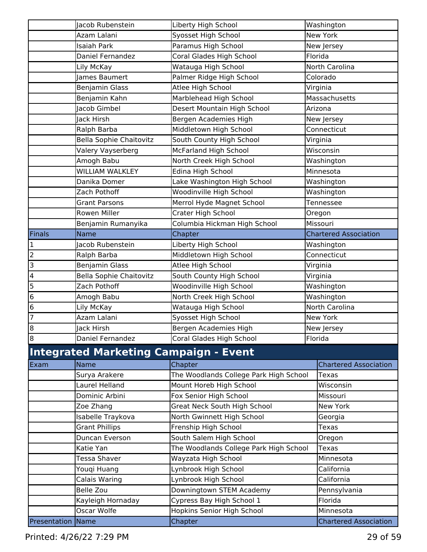|                          | Jacob Rubenstein                             | Liberty High School                    | Washington                   |
|--------------------------|----------------------------------------------|----------------------------------------|------------------------------|
|                          | Azam Lalani                                  | Syosset High School                    | New York                     |
|                          | <b>Isaiah Park</b>                           | Paramus High School                    | New Jersey                   |
|                          | Daniel Fernandez                             | Coral Glades High School               | Florida                      |
|                          | Lily McKay                                   | Watauga High School                    | North Carolina               |
|                          | James Baumert                                | Palmer Ridge High School               | Colorado                     |
|                          | <b>Benjamin Glass</b>                        | Atlee High School                      | Virginia                     |
|                          | Benjamin Kahn                                | Marblehead High School                 | Massachusetts                |
|                          | Jacob Gimbel                                 | Desert Mountain High School            | Arizona                      |
|                          | Jack Hirsh                                   | Bergen Academies High                  | New Jersey                   |
|                          | Ralph Barba                                  | Middletown High School                 | Connecticut                  |
|                          | <b>Bella Sophie Chaitovitz</b>               | South County High School               | Virginia                     |
|                          | Valery Vayserberg                            | McFarland High School                  | Wisconsin                    |
|                          | Amogh Babu                                   | North Creek High School                | Washington                   |
|                          | <b>WILLIAM WALKLEY</b>                       | Edina High School                      | Minnesota                    |
|                          | Danika Domer                                 | Lake Washington High School            | Washington                   |
|                          | Zach Pothoff                                 | Woodinville High School                | Washington                   |
|                          | <b>Grant Parsons</b>                         | Merrol Hyde Magnet School              | Tennessee                    |
|                          | Rowen Miller                                 | Crater High School                     | Oregon                       |
|                          | Benjamin Rumanyika                           | Columbia Hickman High School           | Missouri                     |
| Finals                   | <b>Name</b>                                  | Chapter                                | <b>Chartered Association</b> |
|                          | Jacob Rubenstein                             | Liberty High School                    | Washington                   |
| $\frac{1}{2}$            | Ralph Barba                                  | Middletown High School                 | Connecticut                  |
|                          | <b>Benjamin Glass</b>                        | Atlee High School                      | Virginia                     |
| $\overline{\mathbf{4}}$  | <b>Bella Sophie Chaitovitz</b>               | South County High School               | Virginia                     |
| $\frac{5}{6}$            | Zach Pothoff                                 | Woodinville High School                | Washington                   |
|                          | Amogh Babu                                   | North Creek High School                | Washington                   |
| 6                        | Lily McKay                                   | Watauga High School                    | North Carolina               |
| $\overline{7}$           | Azam Lalani                                  | Syosset High School                    | New York                     |
| $\infty$                 | Jack Hirsh                                   | Bergen Academies High                  | New Jersey                   |
| $\bf{8}$                 | Daniel Fernandez                             | Coral Glades High School               | Florida                      |
|                          | <b>Integrated Marketing Campaign - Event</b> |                                        |                              |
| Exam                     | Name                                         | Chapter                                | <b>Chartered Association</b> |
|                          | Surya Arakere                                | The Woodlands College Park High School | Texas                        |
|                          | Laurel Helland                               | Mount Horeb High School                | Wisconsin                    |
|                          | Dominic Arbini                               | Fox Senior High School                 | Missouri                     |
|                          | Zoe Zhang                                    | Great Neck South High School           | New York                     |
|                          | Isabelle Traykova                            | North Gwinnett High School             | Georgia                      |
|                          | <b>Grant Phillips</b>                        | Frenship High School                   | Texas                        |
|                          | Duncan Everson                               | South Salem High School                | Oregon                       |
|                          | Katie Yan                                    | The Woodlands College Park High School | Texas                        |
|                          | Tessa Shaver                                 | Wayzata High School                    | Minnesota                    |
|                          | Youqi Huang                                  | Lynbrook High School                   | California                   |
|                          | Calais Waring                                | Lynbrook High School                   | California                   |
|                          | <b>Belle Zou</b>                             | Downingtown STEM Academy               | Pennsylvania                 |
|                          | Kayleigh Hornaday                            | Cypress Bay High School 1              | Florida                      |
|                          | Oscar Wolfe                                  | Hopkins Senior High School             | Minnesota                    |
| <b>Presentation Name</b> |                                              | Chapter                                | <b>Chartered Association</b> |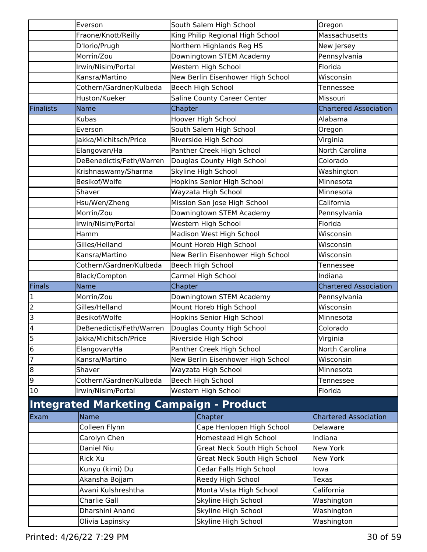|                  | Everson                                                |         | South Salem High School             | Oregon                       |
|------------------|--------------------------------------------------------|---------|-------------------------------------|------------------------------|
|                  | Fraone/Knott/Reilly                                    |         | King Philip Regional High School    | Massachusetts                |
|                  | D'Iorio/Prugh                                          |         | Northern Highlands Reg HS           | New Jersey                   |
|                  | Morrin/Zou                                             |         | Downingtown STEM Academy            | Pennsylvania                 |
|                  | Irwin/Nisim/Portal                                     |         | Western High School                 | Florida                      |
|                  | Kansra/Martino                                         |         | New Berlin Eisenhower High School   | Wisconsin                    |
|                  | Cothern/Gardner/Kulbeda                                |         | Beech High School                   | Tennessee                    |
|                  | Huston/Kueker                                          |         | Saline County Career Center         | Missouri                     |
| <b>Finalists</b> | <b>Name</b>                                            | Chapter |                                     | <b>Chartered Association</b> |
|                  | Kubas                                                  |         | Hoover High School                  | Alabama                      |
|                  | Everson                                                |         | South Salem High School             | Oregon                       |
|                  | Jakka/Michitsch/Price                                  |         | Riverside High School               | Virginia                     |
|                  | Elangovan/Ha                                           |         | Panther Creek High School           | North Carolina               |
|                  | DeBenedictis/Feth/Warren                               |         | Douglas County High School          | Colorado                     |
|                  | Krishnaswamy/Sharma                                    |         | Skyline High School                 | Washington                   |
|                  | Besikof/Wolfe                                          |         | <b>Hopkins Senior High School</b>   | Minnesota                    |
|                  | Shaver                                                 |         | Wayzata High School                 | Minnesota                    |
|                  | Hsu/Wen/Zheng                                          |         | Mission San Jose High School        | California                   |
|                  | Morrin/Zou                                             |         | Downingtown STEM Academy            | Pennsylvania                 |
|                  | Irwin/Nisim/Portal                                     |         | Western High School                 | Florida                      |
|                  | Hamm                                                   |         | Madison West High School            | Wisconsin                    |
|                  | Gilles/Helland                                         |         | Mount Horeb High School             | Wisconsin                    |
|                  | Kansra/Martino                                         |         | New Berlin Eisenhower High School   | Wisconsin                    |
|                  | Cothern/Gardner/Kulbeda                                |         | Beech High School                   | Tennessee                    |
|                  |                                                        |         |                                     |                              |
|                  | Black/Compton                                          |         | Carmel High School                  | Indiana                      |
| Finals           | <b>Name</b>                                            | Chapter |                                     | <b>Chartered Association</b> |
| $\mathbf 1$      | Morrin/Zou                                             |         | Downingtown STEM Academy            | Pennsylvania                 |
| $\overline{c}$   | Gilles/Helland                                         |         | Mount Horeb High School             | Wisconsin                    |
| 3                | Besikof/Wolfe                                          |         | Hopkins Senior High School          | Minnesota                    |
| 4                | DeBenedictis/Feth/Warren                               |         | Douglas County High School          | Colorado                     |
| 5                | Jakka/Michitsch/Price                                  |         | Riverside High School               | Virginia                     |
| $\overline{6}$   | Elangovan/Ha                                           |         | Panther Creek High School           | North Carolina               |
| $\overline{7}$   | Kansra/Martino                                         |         | New Berlin Eisenhower High School   | Wisconsin                    |
| $\overline{8}$   | Shaver                                                 |         | Wayzata High School                 | Minnesota                    |
| 9                | Cothern/Gardner/Kulbeda                                |         | Beech High School                   | Tennessee                    |
| 10               | Irwin/Nisim/Portal                                     |         | Western High School                 | Florida                      |
|                  |                                                        |         |                                     |                              |
| Exam             | <b>Integrated Marketing Campaign - Product</b><br>Name |         | Chapter                             | <b>Chartered Association</b> |
|                  | Colleen Flynn                                          |         | Cape Henlopen High School           | Delaware                     |
|                  | Carolyn Chen                                           |         | Homestead High School               | Indiana                      |
|                  | Daniel Niu                                             |         | Great Neck South High School        | New York                     |
|                  | Rick Xu                                                |         | <b>Great Neck South High School</b> | <b>New York</b>              |
|                  | Kunyu (kimi) Du                                        |         | Cedar Falls High School             | lowa                         |
|                  | Akansha Bojjam                                         |         | Reedy High School                   | <b>Texas</b>                 |
|                  | Avani Kulshreshtha                                     |         | Monta Vista High School             | California                   |
|                  | Charlie Gall                                           |         | Skyline High School                 | Washington                   |
|                  | Dharshini Anand                                        |         | Skyline High School                 | Washington                   |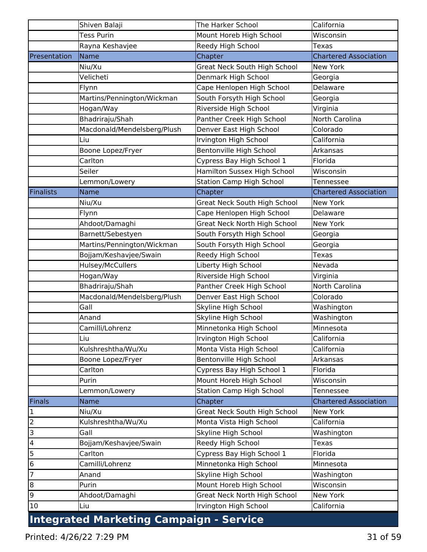|                         | Shiven Balaji                                  | The Harker School               | California                   |
|-------------------------|------------------------------------------------|---------------------------------|------------------------------|
|                         | <b>Tess Purin</b>                              | Mount Horeb High School         | Wisconsin                    |
|                         | Rayna Keshavjee                                | Reedy High School               | <b>Texas</b>                 |
| Presentation            | Name                                           | Chapter                         | <b>Chartered Association</b> |
|                         | Niu/Xu                                         | Great Neck South High School    | New York                     |
|                         | Velicheti                                      | Denmark High School             | Georgia                      |
|                         | Flynn                                          | Cape Henlopen High School       | Delaware                     |
|                         | Martins/Pennington/Wickman                     | South Forsyth High School       | Georgia                      |
|                         | Hogan/Way                                      | Riverside High School           | Virginia                     |
|                         | Bhadriraju/Shah                                | Panther Creek High School       | North Carolina               |
|                         | Macdonald/Mendelsberg/Plush                    | Denver East High School         | Colorado                     |
|                         | Liu                                            | Irvington High School           | California                   |
|                         | Boone Lopez/Fryer                              | Bentonville High School         | Arkansas                     |
|                         | Carlton                                        | Cypress Bay High School 1       | Florida                      |
|                         | Seiler                                         | Hamilton Sussex High School     | Wisconsin                    |
|                         | Lemmon/Lowery                                  | <b>Station Camp High School</b> | Tennessee                    |
| <b>Finalists</b>        | Name                                           | Chapter                         | <b>Chartered Association</b> |
|                         | Niu/Xu                                         | Great Neck South High School    | New York                     |
|                         | Flynn                                          | Cape Henlopen High School       | Delaware                     |
|                         | Ahdoot/Damaghi                                 | Great Neck North High School    | New York                     |
|                         | Barnett/Sebestyen                              | South Forsyth High School       | Georgia                      |
|                         | Martins/Pennington/Wickman                     | South Forsyth High School       | Georgia                      |
|                         | Bojjam/Keshavjee/Swain                         | Reedy High School               | Texas                        |
|                         | Hulsey/McCullers                               | Liberty High School             | Nevada                       |
|                         | Hogan/Way                                      | Riverside High School           | Virginia                     |
|                         | Bhadriraju/Shah                                | Panther Creek High School       | North Carolina               |
|                         | Macdonald/Mendelsberg/Plush                    | Denver East High School         | Colorado                     |
|                         | Gall                                           | Skyline High School             | Washington                   |
|                         | Anand                                          | Skyline High School             | Washington                   |
|                         | Camilli/Lohrenz                                | Minnetonka High School          | Minnesota                    |
|                         | Liu                                            | Irvington High School           | California                   |
|                         | Kulshreshtha/Wu/Xu                             | Monta Vista High School         | California                   |
|                         | Boone Lopez/Fryer                              | Bentonville High School         | Arkansas                     |
|                         | Carlton                                        | Cypress Bay High School 1       | Florida                      |
|                         | Purin                                          | Mount Horeb High School         | Wisconsin                    |
|                         | Lemmon/Lowery                                  | <b>Station Camp High School</b> | Tennessee                    |
| Finals                  | Name                                           | Chapter                         | <b>Chartered Association</b> |
| $\mathbf 1$             | Niu/Xu                                         | Great Neck South High School    | New York                     |
| $\overline{2}$          | Kulshreshtha/Wu/Xu                             | Monta Vista High School         | California                   |
| 3                       | Gall                                           | Skyline High School             | Washington                   |
| $\overline{\mathbf{4}}$ | Bojjam/Keshavjee/Swain                         | Reedy High School               | Texas                        |
| 5                       | Carlton                                        | Cypress Bay High School 1       | Florida                      |
| $\bf 6$                 | Camilli/Lohrenz                                | Minnetonka High School          | Minnesota                    |
| 7                       | Anand                                          | Skyline High School             | Washington                   |
| $\boldsymbol{8}$        | Purin                                          | Mount Horeb High School         | Wisconsin                    |
| 9                       | Ahdoot/Damaghi                                 | Great Neck North High School    | New York                     |
| 10                      | Liu                                            | Irvington High School           | California                   |
|                         | <b>Integrated Marketing Campaign - Service</b> |                                 |                              |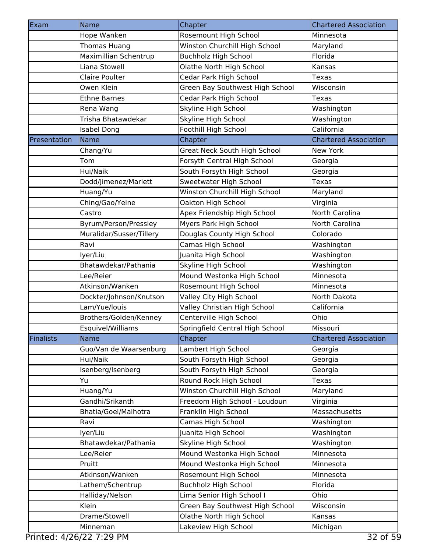| Exam             | Name                     | Chapter                         | <b>Chartered Association</b> |
|------------------|--------------------------|---------------------------------|------------------------------|
|                  | Hope Wanken              | Rosemount High School           | Minnesota                    |
|                  | Thomas Huang             | Winston Churchill High School   | Maryland                     |
|                  | Maximillian Schentrup    | Buchholz High School            | Florida                      |
|                  | Liana Stowell            | Olathe North High School        | Kansas                       |
|                  | <b>Claire Poulter</b>    | Cedar Park High School          | <b>Texas</b>                 |
|                  | Owen Klein               | Green Bay Southwest High School | Wisconsin                    |
|                  | <b>Ethne Barnes</b>      | Cedar Park High School          | <b>Texas</b>                 |
|                  | Rena Wang                | Skyline High School             | Washington                   |
|                  | Trisha Bhatawdekar       | Skyline High School             | Washington                   |
|                  | <b>Isabel Dong</b>       | Foothill High School            | California                   |
| Presentation     | Name                     | Chapter                         | <b>Chartered Association</b> |
|                  | Chang/Yu                 | Great Neck South High School    | New York                     |
|                  | Tom                      | Forsyth Central High School     | Georgia                      |
|                  | Hui/Naik                 | South Forsyth High School       | Georgia                      |
|                  | Dodd/Jimenez/Marlett     | Sweetwater High School          | <b>Texas</b>                 |
|                  | Huang/Yu                 | Winston Churchill High School   | Maryland                     |
|                  | Ching/Gao/Yelne          | Oakton High School              | Virginia                     |
|                  | Castro                   | Apex Friendship High School     | North Carolina               |
|                  | Byrum/Person/Pressley    | Myers Park High School          | North Carolina               |
|                  | Muralidar/Susser/Tillery | Douglas County High School      | Colorado                     |
|                  | Ravi                     | Camas High School               | Washington                   |
|                  | lyer/Liu                 | Juanita High School             | Washington                   |
|                  | Bhatawdekar/Pathania     | Skyline High School             | Washington                   |
|                  | Lee/Reier                | Mound Westonka High School      | Minnesota                    |
|                  | Atkinson/Wanken          | Rosemount High School           | Minnesota                    |
|                  | Dockter/Johnson/Knutson  | Valley City High School         | North Dakota                 |
|                  | Lam/Yue/louis            | Valley Christian High School    | California                   |
|                  | Brothers/Golden/Kenney   | Centerville High School         | Ohio                         |
|                  | Esquivel/Williams        | Springfield Central High School | Missouri                     |
| <b>Finalists</b> | Name                     | Chapter                         | <b>Chartered Association</b> |
|                  | Guo/Van de Waarsenburg   | Lambert High School             | Georgia                      |
|                  | Hui/Naik                 | South Forsyth High School       | Georgia                      |
|                  | Isenberg/Isenberg        | South Forsyth High School       | Georgia                      |
|                  | Yu                       | Round Rock High School          | <b>Texas</b>                 |
|                  | Huang/Yu                 | Winston Churchill High School   | Maryland                     |
|                  | Gandhi/Srikanth          | Freedom High School - Loudoun   | Virginia                     |
|                  | Bhatia/Goel/Malhotra     | Franklin High School            | Massachusetts                |
|                  | Ravi                     | Camas High School               | Washington                   |
|                  | lyer/Liu                 | Juanita High School             | Washington                   |
|                  | Bhatawdekar/Pathania     | Skyline High School             | Washington                   |
|                  | Lee/Reier                | Mound Westonka High School      | Minnesota                    |
|                  | Pruitt                   | Mound Westonka High School      | Minnesota                    |
|                  | Atkinson/Wanken          | Rosemount High School           | Minnesota                    |
|                  | Lathem/Schentrup         | <b>Buchholz High School</b>     | Florida                      |
|                  | Halliday/Nelson          | Lima Senior High School I       | Ohio                         |
|                  | Klein                    | Green Bay Southwest High School | Wisconsin                    |
|                  | Drame/Stowell            | Olathe North High School        | Kansas                       |
|                  | Minneman                 | Lakeview High School            | Michigan                     |

Printed: 4/26/22 7:29 PM 32 of 59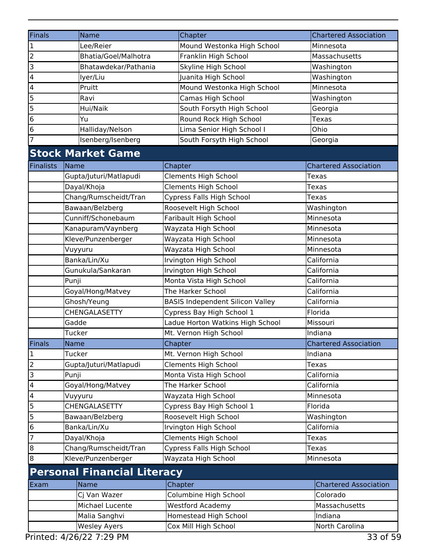| <b>Finals</b>           | Name                               |  | Chapter                                 | <b>Chartered Association</b> |
|-------------------------|------------------------------------|--|-----------------------------------------|------------------------------|
| $\overline{\mathbf{1}}$ | Lee/Reier                          |  | Mound Westonka High School              | Minnesota                    |
| l z                     | Bhatia/Goel/Malhotra               |  | Franklin High School                    | Massachusetts                |
|                         | Bhatawdekar/Pathania               |  | Skyline High School                     | Washington                   |
| $\overline{4}$          | lyer/Liu                           |  | Juanita High School                     | Washington                   |
| $\overline{\mathbf{4}}$ | Pruitt                             |  | Mound Westonka High School              | Minnesota                    |
| 5                       | Ravi                               |  | Camas High School                       | Washington                   |
| 5                       | Hui/Naik                           |  | South Forsyth High School               | Georgia                      |
| $\overline{6}$          | Yu                                 |  | Round Rock High School                  | <b>Texas</b>                 |
| $\overline{6}$          | Halliday/Nelson                    |  | Lima Senior High School I               | Ohio                         |
| $\overline{7}$          | Isenberg/Isenberg                  |  | South Forsyth High School               | Georgia                      |
|                         | <b>Stock Market Game</b>           |  |                                         |                              |
| Finalists               | Name                               |  | Chapter                                 | <b>Chartered Association</b> |
|                         | Gupta/Juturi/Matlapudi             |  | <b>Clements High School</b>             | <b>Texas</b>                 |
|                         | Dayal/Khoja                        |  | <b>Clements High School</b>             | Texas                        |
|                         | Chang/Rumscheidt/Tran              |  | Cypress Falls High School               | <b>Texas</b>                 |
|                         | Bawaan/Belzberg                    |  | Roosevelt High School                   | Washington                   |
|                         | Cunniff/Schonebaum                 |  | Faribault High School                   | Minnesota                    |
|                         | Kanapuram/Vaynberg                 |  | Wayzata High School                     | Minnesota                    |
|                         | Kleve/Punzenberger                 |  | Wayzata High School                     | Minnesota                    |
|                         | Vuyyuru                            |  | Wayzata High School                     | Minnesota                    |
|                         | Banka/Lin/Xu                       |  | Irvington High School                   | California                   |
|                         | Gunukula/Sankaran                  |  | Irvington High School                   | California                   |
|                         | Punji                              |  | Monta Vista High School                 | California                   |
|                         | Goyal/Hong/Matvey                  |  | The Harker School                       | California                   |
|                         | Ghosh/Yeung                        |  | <b>BASIS Independent Silicon Valley</b> | California                   |
|                         | CHENGALASETTY                      |  | Cypress Bay High School 1               | Florida                      |
|                         | Gadde                              |  | Ladue Horton Watkins High School        | Missouri                     |
|                         | Tucker                             |  | Mt. Vernon High School                  | Indiana                      |
| Finals                  | Name                               |  | Chapter                                 | <b>Chartered Association</b> |
| $\mathbf{1}$            | Tucker                             |  | Mt. Vernon High School                  | Indiana                      |
| $\overline{2}$          | Gupta/Juturi/Matlapudi             |  | <b>Clements High School</b>             | <b>Texas</b>                 |
| $\overline{3}$          | Punji                              |  | Monta Vista High School                 | California                   |
| $\overline{4}$          | Goyal/Hong/Matvey                  |  | The Harker School                       | California                   |
| $\overline{\mathbf{4}}$ | Vuyyuru                            |  | Wayzata High School                     | Minnesota                    |
| 5                       | CHENGALASETTY                      |  | Cypress Bay High School 1               | Florida                      |
| $\overline{5}$          | Bawaan/Belzberg                    |  | Roosevelt High School                   | Washington                   |
| $\overline{6}$          | Banka/Lin/Xu                       |  | Irvington High School                   | California                   |
| $\overline{7}$          | Dayal/Khoja                        |  | <b>Clements High School</b>             | Texas                        |
| $\infty$                | Chang/Rumscheidt/Tran              |  | Cypress Falls High School               | Texas                        |
| $\boldsymbol{8}$        | Kleve/Punzenberger                 |  | Wayzata High School                     | Minnesota                    |
|                         | <b>Personal Financial Literacy</b> |  |                                         |                              |
| Exam                    | Name                               |  | Chapter                                 | <b>Chartered Association</b> |
|                         | Cj Van Wazer                       |  | Columbine High School                   | Colorado                     |
|                         | Michael Lucente                    |  | <b>Westford Academy</b>                 | Massachusetts                |
|                         | Malia Sanghvi                      |  | Homestead High School                   | Indiana                      |
|                         | <b>Wesley Ayers</b>                |  | Cox Mill High School                    | North Carolina               |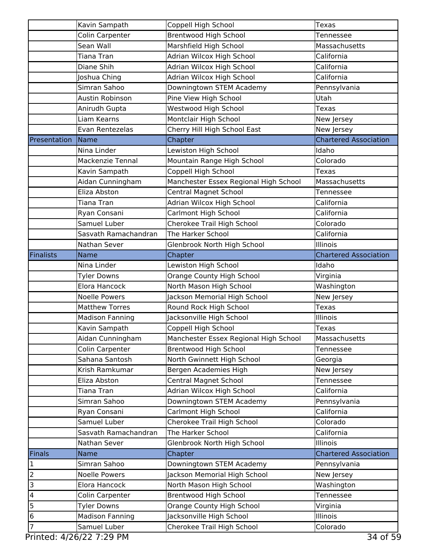|                       | Kavin Sampath           | Coppell High School                   | <b>Texas</b>                 |
|-----------------------|-------------------------|---------------------------------------|------------------------------|
|                       | Colin Carpenter         | <b>Brentwood High School</b>          | Tennessee                    |
|                       | Sean Wall               | Marshfield High School                | Massachusetts                |
|                       | Tiana Tran              | Adrian Wilcox High School             | California                   |
|                       | Diane Shih              | Adrian Wilcox High School             | California                   |
|                       | Joshua Ching            | Adrian Wilcox High School             | California                   |
|                       | Simran Sahoo            | Downingtown STEM Academy              | Pennsylvania                 |
|                       | Austin Robinson         | Pine View High School                 | Utah                         |
|                       | Anirudh Gupta           | Westwood High School                  | Texas                        |
|                       | Liam Kearns             | Montclair High School                 | New Jersey                   |
|                       | Evan Rentezelas         | Cherry Hill High School East          | New Jersey                   |
| Presentation          | Name                    | Chapter                               | <b>Chartered Association</b> |
|                       | Nina Linder             | Lewiston High School                  | Idaho                        |
|                       | <b>Mackenzie Tennal</b> | Mountain Range High School            | Colorado                     |
|                       | Kavin Sampath           | Coppell High School                   | Texas                        |
|                       | Aidan Cunningham        | Manchester Essex Regional High School | Massachusetts                |
|                       | Eliza Abston            | <b>Central Magnet School</b>          | Tennessee                    |
|                       | Tiana Tran              | Adrian Wilcox High School             | California                   |
|                       | Ryan Consani            | Carlmont High School                  | California                   |
|                       | Samuel Luber            | Cherokee Trail High School            | Colorado                     |
|                       | Sasvath Ramachandran    | The Harker School                     | California                   |
|                       | Nathan Sever            | Glenbrook North High School           | Illinois                     |
|                       | Name                    |                                       |                              |
| <b>Finalists</b>      |                         | Chapter                               | <b>Chartered Association</b> |
|                       | Nina Linder             | Lewiston High School                  | Idaho                        |
|                       | <b>Tyler Downs</b>      | Orange County High School             | Virginia                     |
|                       | Elora Hancock           | North Mason High School               | Washington                   |
|                       | <b>Noelle Powers</b>    | Jackson Memorial High School          | New Jersey                   |
|                       | <b>Matthew Torres</b>   | Round Rock High School                | <b>Texas</b>                 |
|                       | <b>Madison Fanning</b>  | Jacksonville High School              | Illinois                     |
|                       | Kavin Sampath           | Coppell High School                   | <b>Texas</b>                 |
|                       | Aidan Cunningham        | Manchester Essex Regional High School | Massachusetts                |
|                       | Colin Carpenter         | <b>Brentwood High School</b>          | Tennessee                    |
|                       | Sahana Santosh          | North Gwinnett High School            | Georgia                      |
|                       | Krish Ramkumar          | Bergen Academies High                 | New Jersey                   |
|                       | Eliza Abston            | <b>Central Magnet School</b>          | Tennessee                    |
|                       | Tiana Tran              | Adrian Wilcox High School             | California                   |
|                       | Simran Sahoo            | Downingtown STEM Academy              | Pennsylvania                 |
|                       | Ryan Consani            | Carlmont High School                  | California                   |
|                       | Samuel Luber            | Cherokee Trail High School            | Colorado                     |
|                       | Sasvath Ramachandran    | The Harker School                     | California                   |
|                       | Nathan Sever            | Glenbrook North High School           | Illinois                     |
| Finals                |                         |                                       |                              |
|                       | <b>Name</b>             | Chapter                               | <b>Chartered Association</b> |
|                       | Simran Sahoo            | Downingtown STEM Academy              | Pennsylvania                 |
|                       | <b>Noelle Powers</b>    | Jackson Memorial High School          | New Jersey                   |
|                       | Elora Hancock           | North Mason High School               | Washington                   |
|                       | Colin Carpenter         | <b>Brentwood High School</b>          | Tennessee                    |
|                       | <b>Tyler Downs</b>      | Orange County High School             | Virginia                     |
| 2<br>3<br>4<br>5<br>6 | <b>Madison Fanning</b>  | Jacksonville High School              | Illinois                     |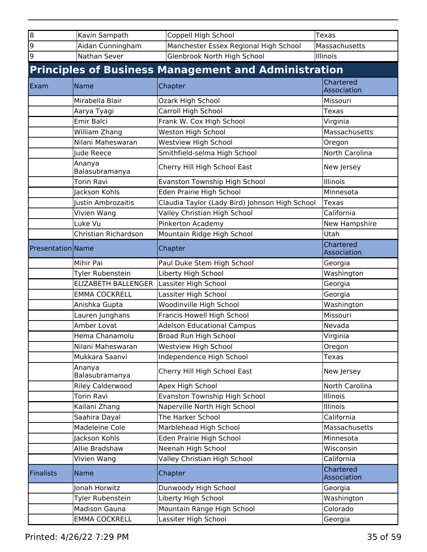| $\overline{8}$           | Kavin Sampath              | Coppell High School                                         | <b>Texas</b>             |
|--------------------------|----------------------------|-------------------------------------------------------------|--------------------------|
| 9                        | Aidan Cunningham           | Manchester Essex Regional High School                       | Massachusetts            |
| 9                        | Nathan Sever               | Glenbrook North High School                                 | Illinois                 |
|                          |                            | <b>Principles of Business Management and Administration</b> |                          |
| Exam                     | Name                       | Chapter                                                     | Chartered<br>Association |
|                          | Mirabella Blair            | Ozark High School                                           | Missouri                 |
|                          | Aarya Tyagi                | Carroll High School                                         | <b>Texas</b>             |
|                          | Emir Balci                 | Frank W. Cox High School                                    | Virginia                 |
|                          | William Zhang              | <b>Weston High School</b>                                   | Massachusetts            |
|                          | Nilani Maheswaran          | Westview High School                                        | Oregon                   |
|                          | Jude Reece                 | Smithfield-selma High School                                | North Carolina           |
|                          | Ananya<br>Balasubramanya   | Cherry Hill High School East                                | New Jersey               |
|                          | <b>Torin Ravi</b>          | Evanston Township High School                               | Illinois                 |
|                          | Jackson Kohls              | Eden Prairie High School                                    | Minnesota                |
|                          | Justin Ambrozaitis         | Claudia Taylor (Lady Bird) Johnson High School              | <b>Texas</b>             |
|                          | Vivien Wang                | Valley Christian High School                                | California               |
| Luke Vu                  |                            | Pinkerton Academy                                           | New Hampshire            |
|                          | Christian Richardson       | Mountain Ridge High School                                  | Utah                     |
| <b>Presentation Name</b> |                            | Chapter                                                     | Chartered<br>Association |
|                          | Mihir Pai                  | Paul Duke Stem High School                                  | Georgia                  |
|                          | Tyler Rubenstein           | Liberty High School                                         | Washington               |
|                          | <b>ELIZABETH BALLENGER</b> | Lassiter High School                                        | Georgia                  |
|                          | <b>EMMA COCKRELL</b>       | Lassiter High School                                        | Georgia                  |
|                          | Anishka Gupta              | Woodinville High School                                     | Washington               |
|                          | Lauren Junghans            | Francis Howell High School                                  | Missouri                 |
|                          | Amber Lovat                | <b>Adelson Educational Campus</b>                           | Nevada                   |
|                          | Hema Chanamolu             | Broad Run High School                                       | Virginia                 |
|                          | Nilani Maheswaran          | <b>Westview High School</b>                                 | Oregon                   |
|                          | Mukkara Saanvi             | Independence High School                                    | <b>Texas</b>             |
|                          | Ananya<br>Balasubramanya   | Cherry Hill High School East                                | New Jersey               |
|                          | <b>Riley Calderwood</b>    | Apex High School                                            | North Carolina           |
|                          | Torin Ravi                 | Evanston Township High School                               | <b>Illinois</b>          |
|                          | Kailani Zhang              | Naperville North High School                                | Illinois                 |
|                          | Saahira Dayal              | The Harker School                                           | California               |
|                          | Madeleine Cole             | Marblehead High School                                      | Massachusetts            |
|                          | Jackson Kohls              | Eden Prairie High School                                    | Minnesota                |
|                          | Allie Bradshaw             | Neenah High School                                          | Wisconsin                |
|                          | Vivien Wang                | Valley Christian High School                                | California               |
| <b>Finalists</b>         | <b>Name</b>                | Chapter                                                     | Chartered<br>Association |
|                          | Jonah Horwitz              | Dunwoody High School                                        | Georgia                  |
|                          | Tyler Rubenstein           | Liberty High School                                         | Washington               |
|                          | <b>Madison Gauna</b>       | Mountain Range High School                                  | Colorado                 |
|                          | <b>EMMA COCKRELL</b>       | Lassiter High School                                        | Georgia                  |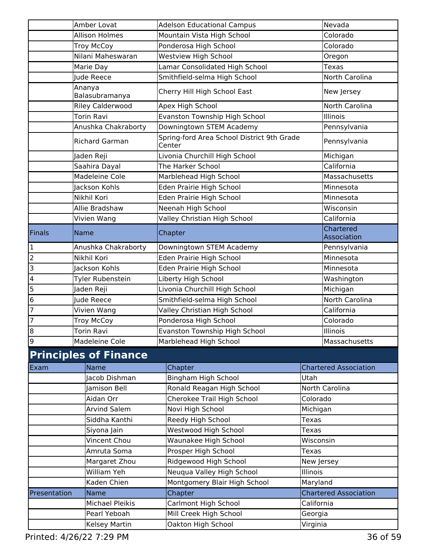| Amber Lovat             |                                            | <b>Adelson Educational Campus</b>                    | Nevada         |                              |
|-------------------------|--------------------------------------------|------------------------------------------------------|----------------|------------------------------|
|                         | <b>Allison Holmes</b>                      | Mountain Vista High School                           |                | Colorado                     |
|                         | <b>Troy McCoy</b>                          | Ponderosa High School                                |                | Colorado                     |
|                         | Nilani Maheswaran                          | <b>Westview High School</b>                          |                | Oregon                       |
|                         | Marie Day                                  | Lamar Consolidated High School                       |                |                              |
|                         | Smithfield-selma High School<br>Jude Reece |                                                      |                | North Carolina               |
|                         | Ananya<br>Balasubramanya                   | Cherry Hill High School East                         |                | New Jersey                   |
|                         | <b>Riley Calderwood</b>                    | Apex High School                                     |                | North Carolina               |
|                         | <b>Torin Ravi</b>                          | Evanston Township High School                        |                | Illinois                     |
|                         | Anushka Chakraborty                        | Downingtown STEM Academy                             |                | Pennsylvania                 |
|                         | <b>Richard Garman</b>                      | Spring-ford Area School District 9th Grade<br>Center |                | Pennsylvania                 |
|                         | Jaden Reji                                 | Livonia Churchill High School                        |                | Michigan                     |
|                         | Saahira Dayal                              | The Harker School                                    |                | California                   |
|                         | Madeleine Cole                             | Marblehead High School                               |                | Massachusetts                |
|                         | Jackson Kohls                              | Eden Prairie High School                             |                | Minnesota                    |
|                         | Nikhil Kori                                | Eden Prairie High School                             |                | Minnesota                    |
|                         | Allie Bradshaw                             | Neenah High School                                   |                | Wisconsin                    |
|                         | Vivien Wang                                | Valley Christian High School                         |                | California                   |
| Finals                  | <b>Name</b>                                | Chapter                                              |                | Chartered<br>Association     |
| 1                       | Anushka Chakraborty                        | Downingtown STEM Academy                             |                | Pennsylvania                 |
| $\overline{2}$          | Nikhil Kori                                | Eden Prairie High School                             |                | Minnesota                    |
| $\overline{3}$          | Jackson Kohls                              | Eden Prairie High School                             |                | Minnesota                    |
| $\overline{\mathbf{4}}$ | Tyler Rubenstein                           | Liberty High School                                  |                | Washington                   |
| 5                       | Jaden Reji                                 | Livonia Churchill High School                        |                | Michigan                     |
| $6\phantom{.}6$         | Jude Reece                                 | Smithfield-selma High School                         |                | North Carolina               |
| 7                       | Vivien Wang                                | Valley Christian High School                         |                | California                   |
| $\overline{7}$          | Troy McCoy                                 | Ponderosa High School                                | Colorado       |                              |
| $\bf{8}$                | Torin Ravi                                 | Evanston Township High School                        |                | Illinois                     |
| 9                       | Madeleine Cole                             | Marblehead High School                               | Massachusetts  |                              |
|                         | <b>Principles of Finance</b>               |                                                      |                |                              |
| Exam                    | Name                                       | Chapter                                              |                | <b>Chartered Association</b> |
|                         | Jacob Dishman                              | Bingham High School                                  | Utah           |                              |
|                         | Jamison Bell                               | Ronald Reagan High School                            | North Carolina |                              |
|                         | Aidan Orr                                  | Cherokee Trail High School                           | Colorado       |                              |
|                         | <b>Arvind Salem</b>                        | Novi High School                                     | Michigan       |                              |
|                         | Siddha Kanthi                              | Reedy High School                                    | <b>Texas</b>   |                              |
|                         | Siyona Jain                                | Westwood High School                                 | Texas          |                              |
|                         | Vincent Chou                               | Waunakee High School                                 | Wisconsin      |                              |
|                         | Amruta Soma                                | Prosper High School                                  | <b>Texas</b>   |                              |
|                         | Margaret Zhou                              | Ridgewood High School                                |                | New Jersey                   |
|                         | William Yeh                                | Neuqua Valley High School                            | Illinois       |                              |
|                         | Kaden Chien                                | Montgomery Blair High School                         | Maryland       |                              |
| Presentation            | Name                                       | Chapter                                              |                | <b>Chartered Association</b> |
|                         | <b>Michael Pleikis</b>                     | Carlmont High School                                 | California     |                              |
|                         | Pearl Yeboah                               | Mill Creek High School                               | Georgia        |                              |
|                         | <b>Kelsey Martin</b>                       | Oakton High School                                   | Virginia       |                              |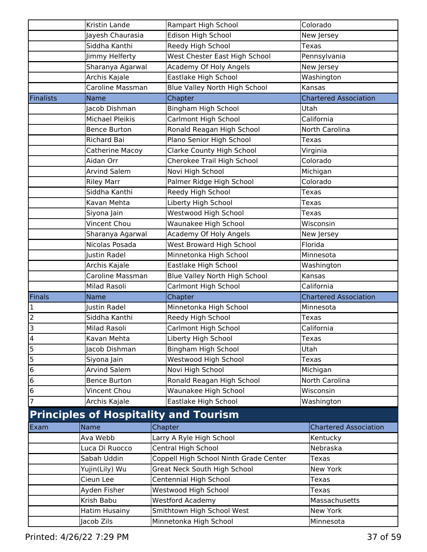|                 | Kristin Lande          | Rampart High School                          | Colorado                     |
|-----------------|------------------------|----------------------------------------------|------------------------------|
|                 | Jayesh Chaurasia       | Edison High School                           | New Jersey                   |
|                 | Siddha Kanthi          | Reedy High School                            | Texas                        |
|                 | Jimmy Helferty         | West Chester East High School                | Pennsylvania                 |
|                 | Sharanya Agarwal       | Academy Of Holy Angels                       | New Jersey                   |
|                 | Archis Kajale          | Eastlake High School                         | Washington                   |
|                 | Caroline Massman       | Blue Valley North High School                | Kansas                       |
| Finalists       | <b>Name</b>            | Chapter                                      | <b>Chartered Association</b> |
|                 | Jacob Dishman          | Bingham High School                          | Utah                         |
|                 | <b>Michael Pleikis</b> | Carlmont High School                         | California                   |
|                 | <b>Bence Burton</b>    | Ronald Reagan High School                    | North Carolina               |
|                 | Richard Bai            | Plano Senior High School                     | <b>Texas</b>                 |
|                 | Catherine Macoy        | Clarke County High School                    | Virginia                     |
|                 | Aidan Orr              | Cherokee Trail High School                   | Colorado                     |
|                 | <b>Arvind Salem</b>    | Novi High School                             | Michigan                     |
|                 | <b>Riley Marr</b>      | Palmer Ridge High School                     | Colorado                     |
|                 | Siddha Kanthi          | Reedy High School                            | <b>Texas</b>                 |
|                 | Kavan Mehta            | Liberty High School                          | <b>Texas</b>                 |
|                 | Siyona Jain            | Westwood High School                         | Texas                        |
|                 | Vincent Chou           | Waunakee High School                         | Wisconsin                    |
|                 | Sharanya Agarwal       | Academy Of Holy Angels                       | New Jersey                   |
|                 | Nicolas Posada         | West Broward High School                     | Florida                      |
|                 | Justin Radel           | Minnetonka High School                       | Minnesota                    |
|                 | Archis Kajale          | Eastlake High School                         | Washington                   |
|                 | Caroline Massman       | Blue Valley North High School                | Kansas                       |
|                 | Milad Rasoli           | Carlmont High School                         | California                   |
| Finals          | <b>Name</b>            | Chapter                                      | <b>Chartered Association</b> |
| $\mathbf{1}$    | Justin Radel           | Minnetonka High School                       | Minnesota                    |
| $\overline{2}$  | Siddha Kanthi          | Reedy High School                            | Texas                        |
| 3               | Milad Rasoli           | Carlmont High School                         | California                   |
| $\overline{a}$  | Kavan Mehta            | Liberty High School                          | Texas                        |
| 5               | Jacob Dishman          | Bingham High School                          | Utah                         |
| $\overline{5}$  | Siyona Jain            | Westwood High School                         | <b>Texas</b>                 |
| $6\overline{6}$ | <b>Arvind Salem</b>    | Novi High School                             | Michigan                     |
| $\bf 6$         | <b>Bence Burton</b>    | Ronald Reagan High School                    | North Carolina               |
| $\bf 6$         | Vincent Chou           | Waunakee High School                         | Wisconsin                    |
| $\overline{7}$  | Archis Kajale          | Eastlake High School                         | Washington                   |
|                 |                        | <b>Principles of Hospitality and Tourism</b> |                              |
| Exam            | Name                   | Chapter                                      | <b>Chartered Association</b> |
|                 | Ava Webb               | Larry A Ryle High School                     | Kentucky                     |
|                 | Luca Di Ruocco         | Central High School                          | Nebraska                     |
|                 | Sabah Uddin            | Coppell High School Ninth Grade Center       | Texas                        |
|                 | Yujin(Lily) Wu         | Great Neck South High School                 | New York                     |
|                 | Cieun Lee              | Centennial High School                       | Texas                        |
|                 | Ayden Fisher           | Westwood High School                         | Texas                        |
|                 | Krish Babu             | <b>Westford Academy</b>                      | Massachusetts                |
|                 | Hatim Husainy          | Smithtown High School West                   | New York                     |
|                 | Jacob Zils             | Minnetonka High School                       | Minnesota                    |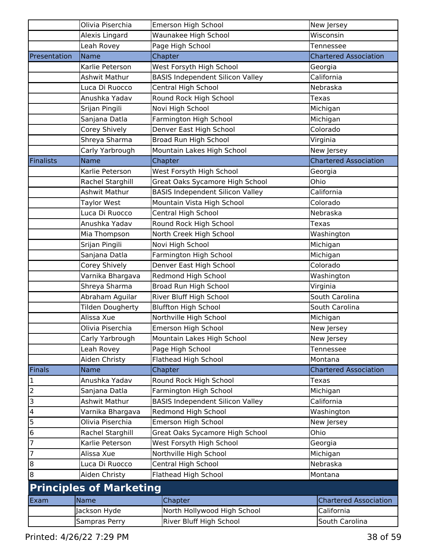|                         | Olivia Piserchia               | <b>Emerson High School</b>              | New Jersey                   |
|-------------------------|--------------------------------|-----------------------------------------|------------------------------|
|                         | Alexis Lingard                 | Waunakee High School                    | Wisconsin                    |
|                         | Leah Rovey                     | Page High School                        | Tennessee                    |
| Presentation            | Name                           | Chapter                                 | <b>Chartered Association</b> |
|                         | Karlie Peterson                | West Forsyth High School                | Georgia                      |
|                         | Ashwit Mathur                  | <b>BASIS Independent Silicon Valley</b> | California                   |
|                         | Luca Di Ruocco                 | Central High School                     | Nebraska                     |
|                         | Anushka Yadav                  | Round Rock High School                  | Texas                        |
|                         | Srijan Pingili                 | Novi High School                        | Michigan                     |
|                         | Sanjana Datla                  | Farmington High School                  | Michigan                     |
|                         | Corey Shively                  | Denver East High School                 | Colorado                     |
|                         | Shreya Sharma                  | Broad Run High School                   | Virginia                     |
|                         | Carly Yarbrough                | Mountain Lakes High School              | New Jersey                   |
| Finalists               | <b>Name</b>                    | Chapter                                 | <b>Chartered Association</b> |
|                         | Karlie Peterson                | West Forsyth High School                | Georgia                      |
|                         | Rachel Starghill               | Great Oaks Sycamore High School         | Ohio                         |
|                         | Ashwit Mathur                  | <b>BASIS Independent Silicon Valley</b> | California                   |
|                         | <b>Taylor West</b>             | Mountain Vista High School              | Colorado                     |
|                         | Luca Di Ruocco                 | Central High School                     | Nebraska                     |
|                         | Anushka Yadav                  | Round Rock High School                  | <b>Texas</b>                 |
|                         | Mia Thompson                   | North Creek High School                 | Washington                   |
|                         | Srijan Pingili                 | Novi High School                        | Michigan                     |
|                         | Sanjana Datla                  | Farmington High School                  | Michigan                     |
|                         | Corey Shively                  | Denver East High School                 | Colorado                     |
|                         | Varnika Bhargava               | Redmond High School                     | Washington                   |
|                         | Shreya Sharma                  | <b>Broad Run High School</b>            | Virginia                     |
|                         | Abraham Aguilar                | River Bluff High School                 | South Carolina               |
|                         | Tilden Dougherty               | <b>Bluffton High School</b>             | South Carolina               |
|                         | Alissa Xue                     | Northville High School                  | Michigan                     |
|                         | Olivia Piserchia               | Emerson High School                     | New Jersey                   |
|                         | Carly Yarbrough                | Mountain Lakes High School              | New Jersey                   |
|                         | Leah Rovey                     | Page High School                        | Tennessee                    |
|                         | Aiden Christy                  | Flathead High School                    | Montana                      |
| Finals                  | <b>Name</b>                    | Chapter                                 | <b>Chartered Association</b> |
| $\mathbf{1}$            | Anushka Yadav                  | Round Rock High School                  | <b>Texas</b>                 |
| $\overline{2}$          | Sanjana Datla                  | Farmington High School                  | Michigan                     |
| $\overline{\mathbf{3}}$ | Ashwit Mathur                  | <b>BASIS Independent Silicon Valley</b> | California                   |
| $\overline{\mathbf{4}}$ | Varnika Bhargava               | Redmond High School                     | Washington                   |
| <u>ы</u>                | Olivia Piserchia               | <b>Emerson High School</b>              | New Jersey                   |
| $\overline{6}$          | Rachel Starghill               | Great Oaks Sycamore High School         | Ohio                         |
| $\overline{7}$          | Karlie Peterson                | West Forsyth High School                | Georgia                      |
| $\overline{7}$          | Alissa Xue                     | Northville High School                  | Michigan                     |
| $\overline{8}$          | Luca Di Ruocco                 | Central High School                     | Nebraska                     |
| $\bf{8}$                |                                |                                         |                              |
|                         | Aiden Christy                  | Flathead High School                    | Montana                      |
|                         | <b>Principles of Marketing</b> |                                         |                              |
| Exam                    | <b>Name</b>                    | Chapter                                 | <b>Chartered Association</b> |
|                         | Jackson Hyde                   | North Hollywood High School             | California                   |
|                         | Sampras Perry                  | River Bluff High School                 | South Carolina               |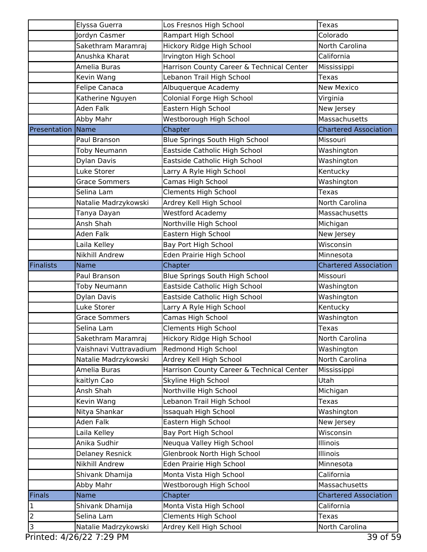|                          | Elyssa Guerra                                   | Los Fresnos High School                   | Texas                        |
|--------------------------|-------------------------------------------------|-------------------------------------------|------------------------------|
|                          | Jordyn Casmer                                   | Rampart High School                       | Colorado                     |
|                          | Sakethram Maramraj                              | Hickory Ridge High School                 | North Carolina               |
|                          | Anushka Kharat                                  | Irvington High School                     | California                   |
|                          | Amelia Buras                                    | Harrison County Career & Technical Center | Mississippi                  |
|                          | Kevin Wang                                      | Lebanon Trail High School                 | Texas                        |
|                          | <b>Felipe Canaca</b>                            | Albuquerque Academy                       | <b>New Mexico</b>            |
|                          | Katherine Nguyen                                | Colonial Forge High School                | Virginia                     |
|                          | Aden Falk                                       | Eastern High School                       | New Jersey                   |
|                          | Abby Mahr                                       | Westborough High School                   | Massachusetts                |
| <b>Presentation Name</b> |                                                 | Chapter                                   | <b>Chartered Association</b> |
|                          | Paul Branson                                    | Blue Springs South High School            | Missouri                     |
|                          | Toby Neumann                                    | Eastside Catholic High School             | Washington                   |
|                          | Dylan Davis                                     | Eastside Catholic High School             | Washington                   |
|                          | Luke Storer                                     | Larry A Ryle High School                  | Kentucky                     |
|                          | <b>Grace Sommers</b>                            | Camas High School                         | Washington                   |
|                          | Selina Lam                                      | <b>Clements High School</b>               | Texas                        |
|                          | Natalie Madrzykowski                            | Ardrey Kell High School                   | North Carolina               |
|                          | Tanya Dayan                                     | <b>Westford Academy</b>                   | Massachusetts                |
|                          | Ansh Shah                                       | Northville High School                    | Michigan                     |
|                          | Aden Falk                                       | Eastern High School                       | New Jersey                   |
|                          | Laila Kelley                                    | Bay Port High School                      | Wisconsin                    |
|                          | <b>Nikhill Andrew</b>                           | Eden Prairie High School                  | Minnesota                    |
| Finalists                | Name                                            | Chapter                                   | <b>Chartered Association</b> |
|                          | Paul Branson                                    | Blue Springs South High School            | Missouri                     |
|                          | Toby Neumann                                    | Eastside Catholic High School             | Washington                   |
|                          | Dylan Davis                                     | Eastside Catholic High School             | Washington                   |
|                          | Luke Storer                                     | Larry A Ryle High School                  | Kentucky                     |
|                          | <b>Grace Sommers</b>                            | Camas High School                         | Washington                   |
|                          | Selina Lam                                      | Clements High School                      | Texas                        |
|                          | Sakethram Maramraj                              | Hickory Ridge High School                 | North Carolina               |
|                          | Vaishnavi Vuttravadium                          | Redmond High School                       | Washington                   |
|                          | Natalie Madrzykowski                            | Ardrey Kell High School                   | North Carolina               |
|                          | Amelia Buras                                    | Harrison County Career & Technical Center | Mississippi                  |
|                          | kaitlyn Cao                                     | Skyline High School                       | Utah                         |
|                          | Ansh Shah                                       | Northville High School                    | Michigan                     |
|                          | Kevin Wang                                      | Lebanon Trail High School                 | Texas                        |
|                          | Nitya Shankar                                   | Issaquah High School                      | Washington                   |
|                          | Aden Falk                                       | Eastern High School                       | New Jersey                   |
|                          | Laila Kelley<br>Anika Sudhir                    | Bay Port High School                      | Wisconsin<br>Illinois        |
|                          |                                                 | Neuqua Valley High School                 | Illinois                     |
|                          | <b>Delaney Resnick</b><br><b>Nikhill Andrew</b> | Glenbrook North High School               | Minnesota                    |
|                          |                                                 | Eden Prairie High School                  | California                   |
|                          | Shivank Dhamija                                 | Monta Vista High School                   | Massachusetts                |
| Finals                   | Abby Mahr<br><b>Name</b>                        | Westborough High School<br>Chapter        | <b>Chartered Association</b> |
| $\mathbf 1$              | Shivank Dhamija                                 | Monta Vista High School                   | California                   |
| $\overline{c}$           | Selina Lam                                      | <b>Clements High School</b>               | Texas                        |
| 3                        |                                                 |                                           |                              |
|                          | Natalie Madrzykowski                            | Ardrey Kell High School                   | North Carolina               |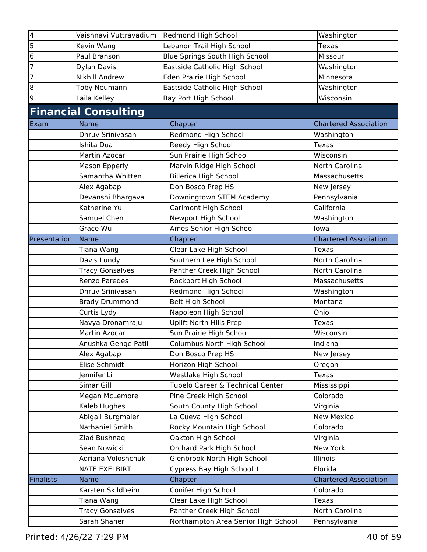| $\overline{\mathbf{4}}$ | Vaishnavi Vuttravadium      | Redmond High School                 | Washington                   |
|-------------------------|-----------------------------|-------------------------------------|------------------------------|
| 5                       | Kevin Wang                  | Lebanon Trail High School           | Texas                        |
| 6                       | Paul Branson                | Blue Springs South High School      | Missouri                     |
| 7                       | <b>Dylan Davis</b>          | Eastside Catholic High School       | Washington                   |
| 7                       | <b>Nikhill Andrew</b>       | Eden Prairie High School            | Minnesota                    |
| 8                       | Toby Neumann                | Eastside Catholic High School       | Washington                   |
| 9                       | Laila Kelley                | Bay Port High School                | Wisconsin                    |
|                         | <b>Financial Consulting</b> |                                     |                              |
| Exam                    | <b>Name</b>                 | Chapter                             | <b>Chartered Association</b> |
|                         | Dhruv Srinivasan            | Redmond High School                 | Washington                   |
|                         | Ishita Dua                  | Reedy High School                   | <b>Texas</b>                 |
|                         | Martin Azocar               | Sun Prairie High School             | Wisconsin                    |
|                         | Mason Epperly               | Marvin Ridge High School            | North Carolina               |
|                         | Samantha Whitten            | <b>Billerica High School</b>        | Massachusetts                |
|                         | Alex Agabap                 | Don Bosco Prep HS                   | New Jersey                   |
|                         | Devanshi Bhargava           | Downingtown STEM Academy            | Pennsylvania                 |
|                         | Katherine Yu                | Carlmont High School                | California                   |
|                         | Samuel Chen                 | Newport High School                 | Washington                   |
|                         | Grace Wu                    | Ames Senior High School             | lowa                         |
| Presentation            | Name                        | Chapter                             | <b>Chartered Association</b> |
|                         | Tiana Wang                  | Clear Lake High School              | Texas                        |
|                         | Davis Lundy                 | Southern Lee High School            | North Carolina               |
|                         | <b>Tracy Gonsalves</b>      | Panther Creek High School           | North Carolina               |
|                         | <b>Renzo Paredes</b>        | Rockport High School                | Massachusetts                |
|                         | Dhruv Srinivasan            | Redmond High School                 | Washington                   |
|                         | <b>Brady Drummond</b>       | <b>Belt High School</b>             | Montana                      |
|                         | Curtis Lydy                 | Napoleon High School                | Ohio                         |
|                         | Navya Dronamraju            | <b>Uplift North Hills Prep</b>      | <b>Texas</b>                 |
|                         | Martin Azocar               | Sun Prairie High School             | Wisconsin                    |
|                         | Anushka Genge Patil         | Columbus North High School          | Indiana                      |
|                         | Alex Agabap                 | Don Bosco Prep HS                   | New Jersey                   |
|                         | Elise Schmidt               | Horizon High School                 | Oregon                       |
|                         | Jennifer Li                 | Westlake High School                | Texas                        |
|                         | Simar Gill                  | Tupelo Career & Technical Center    | Mississippi                  |
|                         | Megan McLemore              | Pine Creek High School              | Colorado                     |
|                         | Kaleb Hughes                | South County High School            | Virginia                     |
|                         | Abigail Burgmaier           | La Cueva High School                | <b>New Mexico</b>            |
|                         | <b>Nathaniel Smith</b>      | Rocky Mountain High School          | Colorado                     |
|                         | Ziad Bushnag                | Oakton High School                  | Virginia                     |
|                         | Sean Nowicki                | Orchard Park High School            | New York                     |
|                         | Adriana Voloshchuk          | Glenbrook North High School         | Illinois                     |
|                         | <b>NATE EXELBIRT</b>        | Cypress Bay High School 1           | Florida                      |
| <b>Finalists</b>        | <b>Name</b>                 | Chapter                             | <b>Chartered Association</b> |
|                         | Karsten Skildheim           | Conifer High School                 | Colorado                     |
|                         | Tiana Wang                  | Clear Lake High School              | <b>Texas</b>                 |
|                         | <b>Tracy Gonsalves</b>      | Panther Creek High School           | North Carolina               |
|                         | Sarah Shaner                | Northampton Area Senior High School | Pennsylvania                 |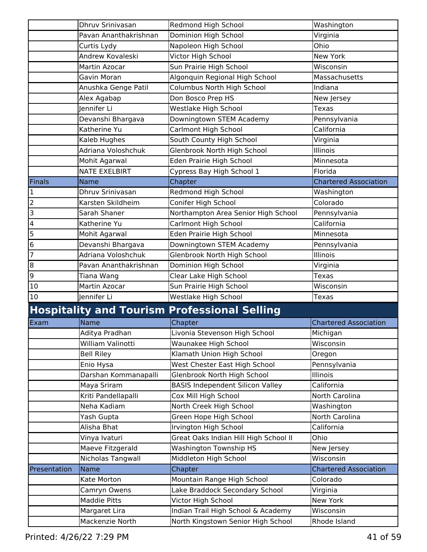|                | Dhruv Srinivasan      | Redmond High School                                 | Washington                   |
|----------------|-----------------------|-----------------------------------------------------|------------------------------|
|                | Pavan Ananthakrishnan | Dominion High School                                | Virginia                     |
|                | Curtis Lydy           | Napoleon High School                                | Ohio                         |
|                | Andrew Kovaleski      | Victor High School                                  | <b>New York</b>              |
|                | Martin Azocar         | Sun Prairie High School                             | Wisconsin                    |
|                | Gavin Moran           | Algonquin Regional High School                      | Massachusetts                |
|                | Anushka Genge Patil   | Columbus North High School                          | Indiana                      |
|                | Alex Agabap           | Don Bosco Prep HS                                   | New Jersey                   |
|                | Jennifer Li           | Westlake High School                                | Texas                        |
|                | Devanshi Bhargava     | Downingtown STEM Academy                            | Pennsylvania                 |
|                | Katherine Yu          | Carlmont High School                                | California                   |
|                | Kaleb Hughes          | South County High School                            | Virginia                     |
|                | Adriana Voloshchuk    | Glenbrook North High School                         | Illinois                     |
|                | Mohit Agarwal         | Eden Prairie High School                            | Minnesota                    |
|                | <b>NATE EXELBIRT</b>  | Cypress Bay High School 1                           | Florida                      |
| Finals         | <b>Name</b>           | Chapter                                             | <b>Chartered Association</b> |
| 1              | Dhruv Srinivasan      | Redmond High School                                 | Washington                   |
| $\overline{c}$ | Karsten Skildheim     | Conifer High School                                 | Colorado                     |
| 3              | Sarah Shaner          | Northampton Area Senior High School                 | Pennsylvania                 |
| 4              | Katherine Yu          | Carlmont High School                                | California                   |
| 5              | Mohit Agarwal         | Eden Prairie High School                            | Minnesota                    |
| 6              | Devanshi Bhargava     | Downingtown STEM Academy                            | Pennsylvania                 |
| 7              | Adriana Voloshchuk    | Glenbrook North High School                         | Illinois                     |
| $\bf{8}$       | Pavan Ananthakrishnan | Dominion High School                                | Virginia                     |
| 9              | Tiana Wang            | Clear Lake High School                              | Texas                        |
| 10             | Martin Azocar         | Sun Prairie High School                             | Wisconsin                    |
| 10             | Jennifer Li           | Westlake High School                                | <b>Texas</b>                 |
|                |                       | <b>Hospitality and Tourism Professional Selling</b> |                              |
| Exam           | Name                  | Chapter                                             | <b>Chartered Association</b> |
|                | Aditya Pradhan        | Livonia Stevenson High School                       | Michigan                     |
|                | William Valinotti     | Waunakee High School                                | Wisconsin                    |
|                | <b>Bell Riley</b>     | Klamath Union High School                           | Oregon                       |
|                | Enio Hysa             | West Chester East High School                       | Pennsylvania                 |
|                | Darshan Kommanapalli  | Glenbrook North High School                         | Illinois                     |
|                | Maya Sriram           | <b>BASIS Independent Silicon Valley</b>             | California                   |
|                | Kriti Pandellapalli   | Cox Mill High School                                | North Carolina               |
|                | Neha Kadiam           | North Creek High School                             | Washington                   |
|                | Yash Gupta            | Green Hope High School                              | North Carolina               |
|                | Alisha Bhat           | Irvington High School                               | California                   |
|                | Vinya Ivaturi         | Great Oaks Indian Hill High School II               | Ohio                         |
|                | Maeve Fitzgerald      | <b>Washington Township HS</b>                       | New Jersey                   |
|                | Nicholas Tangwall     | Middleton High School                               | Wisconsin                    |
| Presentation   | Name                  | Chapter                                             | <b>Chartered Association</b> |
|                | Kate Morton           | Mountain Range High School                          | Colorado                     |
|                | Camryn Owens          | Lake Braddock Secondary School                      | Virginia                     |
|                | <b>Maddie Pitts</b>   | Victor High School                                  | New York                     |
|                | Margaret Lira         | Indian Trail High School & Academy                  | Wisconsin                    |
|                | Mackenzie North       | North Kingstown Senior High School                  | Rhode Island                 |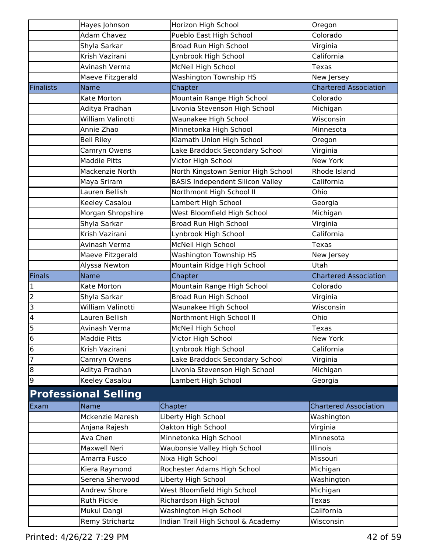|                      | Hayes Johnson               | Horizon High School                              | Oregon                       |
|----------------------|-----------------------------|--------------------------------------------------|------------------------------|
|                      | <b>Adam Chavez</b>          | Pueblo East High School                          | Colorado                     |
|                      | Shyla Sarkar                | Broad Run High School                            | Virginia                     |
|                      | Krish Vazirani              | Lynbrook High School                             | California                   |
|                      | Avinash Verma               | McNeil High School                               | <b>Texas</b>                 |
|                      | Maeve Fitzgerald            | <b>Washington Township HS</b>                    | New Jersey                   |
| <b>Finalists</b>     | Name                        | Chapter                                          | <b>Chartered Association</b> |
|                      | Kate Morton                 | Mountain Range High School                       | Colorado                     |
|                      | Aditya Pradhan              | Livonia Stevenson High School                    | Michigan                     |
|                      | William Valinotti           | Waunakee High School                             | Wisconsin                    |
|                      | Annie Zhao                  | Minnetonka High School                           | Minnesota                    |
|                      | <b>Bell Riley</b>           | Klamath Union High School                        | Oregon                       |
|                      | Camryn Owens                | Lake Braddock Secondary School                   | Virginia                     |
|                      | <b>Maddie Pitts</b>         | Victor High School                               | New York                     |
|                      | Mackenzie North             | North Kingstown Senior High School               | Rhode Island                 |
|                      | Maya Sriram                 | <b>BASIS Independent Silicon Valley</b>          | California                   |
|                      | Lauren Bellish              | Northmont High School II                         | Ohio                         |
|                      | Keeley Casalou              | Lambert High School                              | Georgia                      |
|                      | Morgan Shropshire           | West Bloomfield High School                      | Michigan                     |
|                      | Shyla Sarkar                | <b>Broad Run High School</b>                     | Virginia                     |
|                      | Krish Vazirani              | Lynbrook High School                             | California                   |
|                      | Avinash Verma               | McNeil High School                               | Texas                        |
|                      | Maeve Fitzgerald            | <b>Washington Township HS</b>                    | New Jersey                   |
|                      | Alyssa Newton               | Mountain Ridge High School                       | Utah                         |
|                      |                             |                                                  |                              |
| Finals               | <b>Name</b>                 | Chapter                                          | <b>Chartered Association</b> |
| $\mathbf 1$          | Kate Morton                 | Mountain Range High School                       | Colorado                     |
| $\overline{c}$       | Shyla Sarkar                | Broad Run High School                            | Virginia                     |
| 3                    | William Valinotti           | Waunakee High School                             | Wisconsin                    |
| 4                    | Lauren Bellish              | Northmont High School II                         | Ohio                         |
| 5                    | Avinash Verma               | McNeil High School                               | <b>Texas</b>                 |
|                      | <b>Maddie Pitts</b>         | Victor High School                               | New York                     |
| $6\phantom{.}6$<br>6 | Krish Vazirani              | Lynbrook High School                             | California                   |
| $\overline{7}$       | Camryn Owens                | Lake Braddock Secondary School                   | Virginia                     |
|                      | Aditya Pradhan              | Livonia Stevenson High School                    |                              |
| 8<br>9               | Keeley Casalou              | Lambert High School                              | Michigan<br>Georgia          |
|                      |                             |                                                  |                              |
|                      | <b>Professional Selling</b> |                                                  |                              |
| Exam                 | Name<br>Mckenzie Maresh     | Chapter                                          | <b>Chartered Association</b> |
|                      |                             | Liberty High School                              | Washington                   |
|                      | Anjana Rajesh               | Oakton High School                               | Virginia                     |
|                      | Ava Chen<br>Maxwell Neri    | Minnetonka High School                           | Minnesota<br>Illinois        |
|                      | Amarra Fusco                | Waubonsie Valley High School                     | Missouri                     |
|                      | Kiera Raymond               | Nixa High School<br>Rochester Adams High School  | Michigan                     |
|                      | Serena Sherwood             | Liberty High School                              | Washington                   |
|                      | <b>Andrew Shore</b>         | West Bloomfield High School                      | Michigan                     |
|                      | <b>Ruth Pickle</b>          |                                                  | <b>Texas</b>                 |
|                      | Mukul Dangi                 | Richardson High School<br>Washington High School | California                   |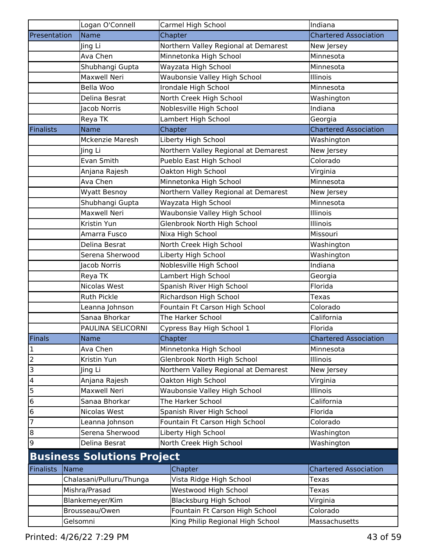|                         | Logan O'Connell                   | Carmel High School                   | Indiana                      |
|-------------------------|-----------------------------------|--------------------------------------|------------------------------|
| Presentation            | Name                              | Chapter                              | <b>Chartered Association</b> |
|                         | Jing Li                           | Northern Valley Regional at Demarest | New Jersey                   |
|                         | Ava Chen                          | Minnetonka High School               | Minnesota                    |
|                         | Shubhangi Gupta                   | Wayzata High School                  | Minnesota                    |
|                         | <b>Maxwell Neri</b>               | Waubonsie Valley High School         | Illinois                     |
|                         | Bella Woo                         | Irondale High School                 | Minnesota                    |
|                         | Delina Besrat                     | North Creek High School              | Washington                   |
|                         | <b>Jacob Norris</b>               | Noblesville High School              | Indiana                      |
|                         | Reya TK                           | Lambert High School                  | Georgia                      |
| Finalists               | <b>Name</b>                       | Chapter                              | <b>Chartered Association</b> |
|                         | <b>Mckenzie Maresh</b>            | Liberty High School                  | Washington                   |
|                         | Jing Li                           | Northern Valley Regional at Demarest | New Jersey                   |
|                         | Evan Smith                        | Pueblo East High School              | Colorado                     |
|                         | Anjana Rajesh                     | Oakton High School                   | Virginia                     |
|                         | Ava Chen                          | Minnetonka High School               | Minnesota                    |
|                         | Wyatt Besnoy                      | Northern Valley Regional at Demarest | New Jersey                   |
|                         | Shubhangi Gupta                   | Wayzata High School                  | Minnesota                    |
|                         | <b>Maxwell Neri</b>               | Waubonsie Valley High School         | Illinois                     |
|                         | Kristin Yun                       | Glenbrook North High School          | Illinois                     |
|                         | Amarra Fusco                      | Nixa High School                     | Missouri                     |
|                         | Delina Besrat                     | North Creek High School              | Washington                   |
|                         | Serena Sherwood                   | Liberty High School                  | Washington                   |
|                         | Jacob Norris                      | Noblesville High School              | Indiana                      |
|                         | Reya TK                           | Lambert High School                  | Georgia                      |
|                         | Nicolas West                      | Spanish River High School            | Florida                      |
|                         | <b>Ruth Pickle</b>                | Richardson High School               | <b>Texas</b>                 |
|                         | Leanna Johnson                    | Fountain Ft Carson High School       | Colorado                     |
|                         | Sanaa Bhorkar                     | The Harker School                    | California                   |
|                         | PAULINA SELICORNI                 | Cypress Bay High School 1            | Florida                      |
| Finals                  | Name                              | Chapter                              | <b>Chartered Association</b> |
| $\vert$ 1               | Ava Chen                          | Minnetonka High School               | Minnesota                    |
| $\overline{c}$          | Kristin Yun                       | Glenbrook North High School          | Illinois                     |
| $\overline{3}$          | Jing Li                           | Northern Valley Regional at Demarest | New Jersey                   |
| $\overline{\mathbf{r}}$ | Anjana Rajesh                     | Oakton High School                   | Virginia                     |
| 5                       | <b>Maxwell Neri</b>               | Waubonsie Valley High School         | Illinois                     |
| $\overline{6}$          | Sanaa Bhorkar                     | The Harker School                    | California                   |
| $\overline{6}$          | Nicolas West                      | Spanish River High School            | Florida                      |
| $\overline{7}$          | Leanna Johnson                    | Fountain Ft Carson High School       | Colorado                     |
| $\bf{8}$                | Serena Sherwood                   | Liberty High School                  | Washington                   |
| 9                       | Delina Besrat                     | North Creek High School              | Washington                   |
|                         | <b>Business Solutions Project</b> |                                      |                              |
| Finalists               | Name                              | Chapter                              | <b>Chartered Association</b> |
|                         | Chalasani/Pulluru/Thunga          | Vista Ridge High School              | Texas                        |
|                         | Mishra/Prasad                     | Westwood High School                 | <b>Texas</b>                 |
|                         | Blankemeyer/Kim                   | <b>Blacksburg High School</b>        | Virginia                     |
|                         | Brousseau/Owen                    | Fountain Ft Carson High School       | Colorado                     |
|                         | Gelsomni                          | King Philip Regional High School     | Massachusetts                |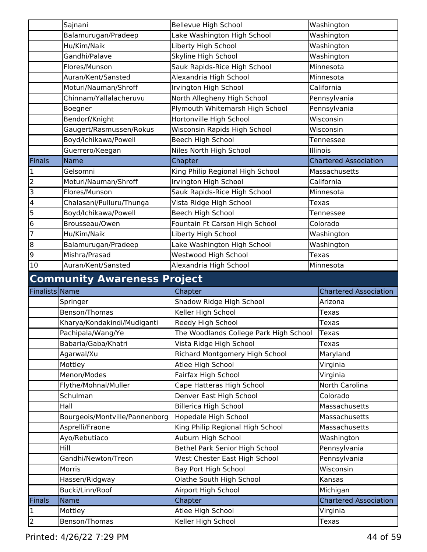|                | Sajnani                            | Bellevue High School                   | Washington                   |
|----------------|------------------------------------|----------------------------------------|------------------------------|
|                | Balamurugan/Pradeep                | Lake Washington High School            | Washington                   |
|                | Hu/Kim/Naik                        | Liberty High School                    | Washington                   |
|                | Gandhi/Palave                      | Skyline High School                    | Washington                   |
|                | Flores/Munson                      | Sauk Rapids-Rice High School           | Minnesota                    |
|                | Auran/Kent/Sansted                 | Alexandria High School                 | Minnesota                    |
|                | Moturi/Nauman/Shroff               | Irvington High School                  | California                   |
|                | Chinnam/Yallalacheruvu             | North Allegheny High School            | Pennsylvania                 |
|                | Boegner                            | Plymouth Whitemarsh High School        | Pennsylvania                 |
|                | Bendorf/Knight                     | Hortonville High School                | Wisconsin                    |
|                | Gaugert/Rasmussen/Rokus            | Wisconsin Rapids High School           | Wisconsin                    |
|                | Boyd/Ichikawa/Powell               | Beech High School                      | Tennessee                    |
|                | Guerrero/Keegan                    | Niles North High School                | Illinois                     |
| Finals         | <b>Name</b>                        | Chapter                                | <b>Chartered Association</b> |
| 1              | Gelsomni                           | King Philip Regional High School       | Massachusetts                |
| $\overline{2}$ | Moturi/Nauman/Shroff               | Irvington High School                  | California                   |
| 3              | Flores/Munson                      | Sauk Rapids-Rice High School           | Minnesota                    |
| 4              | Chalasani/Pulluru/Thunga           | Vista Ridge High School                | Texas                        |
| 5              | Boyd/Ichikawa/Powell               | Beech High School                      | Tennessee                    |
| 6              | Brousseau/Owen                     | Fountain Ft Carson High School         | Colorado                     |
| 7              | Hu/Kim/Naik                        | Liberty High School                    | Washington                   |
| 8              | Balamurugan/Pradeep                | Lake Washington High School            | Washington                   |
| 9              | Mishra/Prasad                      | Westwood High School                   | Texas                        |
| 10             | Auran/Kent/Sansted                 | Alexandria High School                 | Minnesota                    |
|                |                                    |                                        |                              |
|                |                                    |                                        |                              |
|                | <b>Community Awareness Project</b> |                                        |                              |
| Finalists Name |                                    | Chapter                                | <b>Chartered Association</b> |
|                | Springer                           | Shadow Ridge High School               | Arizona                      |
|                | Benson/Thomas                      | Keller High School                     | Texas                        |
|                | Kharya/Kondakindi/Mudiganti        | Reedy High School                      | Texas                        |
|                | Pachipala/Wang/Ye                  | The Woodlands College Park High School | Texas                        |
|                | Babaria/Gaba/Khatri                | Vista Ridge High School                | Texas                        |
|                | Agarwal/Xu                         | Richard Montgomery High School         | Maryland                     |
|                | Mottley                            | Atlee High School                      | Virginia                     |
|                | Menon/Modes                        | Fairfax High School                    | Virginia                     |
|                | Flythe/Mohnal/Muller               | Cape Hatteras High School              | North Carolina               |
|                | Schulman                           | Denver East High School                | Colorado                     |
|                | Hall                               | <b>Billerica High School</b>           | Massachusetts                |
|                | Bourgeois/Montville/Pannenborg     | Hopedale High School                   | Massachusetts                |
|                | Asprelli/Fraone                    | King Philip Regional High School       | Massachusetts                |
|                | Ayo/Rebutiaco                      | Auburn High School                     | Washington                   |
|                | <b>Hill</b>                        | Bethel Park Senior High School         | Pennsylvania                 |
|                | Gandhi/Newton/Treon                | West Chester East High School          | Pennsylvania                 |
|                | Morris                             | Bay Port High School                   | Wisconsin                    |
|                | Hassen/Ridgway                     | Olathe South High School               | Kansas                       |
|                | Bucki/Linn/Roof                    | Airport High School                    | Michigan                     |
| <b>Finals</b>  | Name                               | Chapter                                | <b>Chartered Association</b> |
| $\mathbf 1$    | Mottley                            | Atlee High School                      | Virginia                     |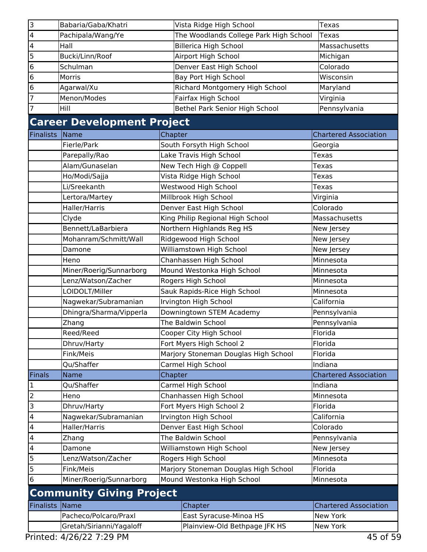| 3                       | Babaria/Gaba/Khatri               |         | Vista Ridge High School                | <b>Texas</b>                 |
|-------------------------|-----------------------------------|---------|----------------------------------------|------------------------------|
| $\overline{\mathbf{4}}$ | Pachipala/Wang/Ye                 |         | The Woodlands College Park High School | <b>Texas</b>                 |
| $\overline{4}$          | Hall                              |         | <b>Billerica High School</b>           | Massachusetts                |
| $\overline{5}$          | Bucki/Linn/Roof                   |         | Airport High School                    | Michigan                     |
| $\overline{6}$          | Schulman                          |         | Denver East High School                | Colorado                     |
| $\overline{6}$          | Morris                            |         | Bay Port High School                   | Wisconsin                    |
| $\overline{6}$          | Agarwal/Xu                        |         | Richard Montgomery High School         | Maryland                     |
| $\overline{7}$          | Menon/Modes                       |         | Fairfax High School                    | Virginia                     |
| $\overline{7}$          | Hill                              |         | Bethel Park Senior High School         | Pennsylvania                 |
|                         | <b>Career Development Project</b> |         |                                        |                              |
| <b>Finalists</b>        | Name                              | Chapter |                                        | <b>Chartered Association</b> |
|                         | Fierle/Park                       |         | South Forsyth High School              | Georgia                      |
|                         | Parepally/Rao                     |         | Lake Travis High School                | Texas                        |
|                         | Alam/Gunaselan                    |         | New Tech High @ Coppell                | Texas                        |
|                         | Ho/Modi/Sajja                     |         | Vista Ridge High School                | Texas                        |
|                         | Li/Sreekanth                      |         | Westwood High School                   | Texas                        |
|                         | Lertora/Martey                    |         | Millbrook High School                  | Virginia                     |
|                         | Haller/Harris                     |         | Denver East High School                | Colorado                     |
|                         | Clyde                             |         | King Philip Regional High School       | Massachusetts                |
|                         | Bennett/LaBarbiera                |         | Northern Highlands Reg HS              | New Jersey                   |
|                         | Mohanram/Schmitt/Wall             |         | Ridgewood High School                  | New Jersey                   |
|                         | Damone                            |         | Williamstown High School               | New Jersey                   |
|                         | Heno                              |         | Chanhassen High School                 | Minnesota                    |
|                         | Miner/Roerig/Sunnarborg           |         | Mound Westonka High School             | Minnesota                    |
|                         | Lenz/Watson/Zacher                |         | Rogers High School                     | Minnesota                    |
|                         | LOIDOLT/Miller                    |         | Sauk Rapids-Rice High School           | Minnesota                    |
|                         | Nagwekar/Subramanian              |         | Irvington High School                  | California                   |
|                         | Dhingra/Sharma/Vipperla           |         | Downingtown STEM Academy               | Pennsylvania                 |
|                         | Zhang                             |         | The Baldwin School                     | Pennsylvania                 |
|                         | Reed/Reed                         |         | Cooper City High School                | Florida                      |
|                         | Dhruv/Harty                       |         | Fort Myers High School 2               | Florida                      |
|                         | Fink/Meis                         |         | Marjory Stoneman Douglas High School   | Florida                      |
|                         | Qu/Shaffer                        |         | Carmel High School                     | Indiana                      |
| Finals                  | Name                              | Chapter |                                        | <b>Chartered Association</b> |
| $\mathbf{1}$            | Qu/Shaffer                        |         | Carmel High School                     | Indiana                      |
| $\overline{2}$          | Heno                              |         | Chanhassen High School                 | Minnesota                    |
| ات                      | Dhruv/Harty                       |         | Fort Myers High School 2               | Florida                      |
| $\overline{\mathbf{r}}$ | Nagwekar/Subramanian              |         | Irvington High School                  | California                   |
| $\overline{\mathbf{r}}$ | Haller/Harris                     |         | Denver East High School                | Colorado                     |
| $\overline{\mathbf{r}}$ | Zhang                             |         | The Baldwin School                     | Pennsylvania                 |
| $\overline{\mathbf{r}}$ | Damone                            |         | Williamstown High School               | New Jersey                   |
| 5                       | Lenz/Watson/Zacher                |         | Rogers High School                     | Minnesota                    |
| 5                       | Fink/Meis                         |         | Marjory Stoneman Douglas High School   | Florida                      |
| $\overline{6}$          | Miner/Roerig/Sunnarborg           |         | Mound Westonka High School             | Minnesota                    |
|                         | <b>Community Giving Project</b>   |         |                                        |                              |
| <b>Finalists</b>        | Name                              |         | Chapter                                | <b>Chartered Association</b> |
|                         | Pacheco/Polcaro/Praxl             |         | East Syracuse-Minoa HS                 | New York                     |
|                         | Gretah/Sirianni/Yagaloff          |         | Plainview-Old Bethpage JFK HS          | New York                     |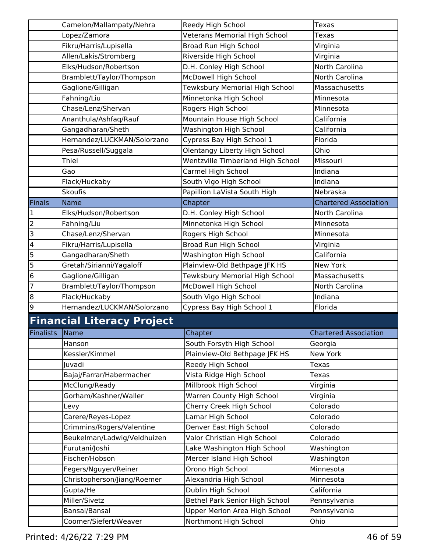|                          | Camelon/Mallampaty/Nehra          | Reedy High School                 | Texas                        |
|--------------------------|-----------------------------------|-----------------------------------|------------------------------|
|                          | Lopez/Zamora                      | Veterans Memorial High School     | Texas                        |
|                          | Fikru/Harris/Lupisella            | Broad Run High School             | Virginia                     |
|                          | Allen/Lakis/Stromberg             | Riverside High School             | Virginia                     |
|                          | Elks/Hudson/Robertson             | D.H. Conley High School           | North Carolina               |
|                          | Bramblett/Taylor/Thompson         | McDowell High School              | North Carolina               |
|                          | Gaglione/Gilligan                 | Tewksbury Memorial High School    | Massachusetts                |
|                          | Fahning/Liu                       | Minnetonka High School            | Minnesota                    |
|                          | Chase/Lenz/Shervan                | Rogers High School                | Minnesota                    |
|                          | Ananthula/Ashfaq/Rauf             | Mountain House High School        | California                   |
|                          | Gangadharan/Sheth                 | Washington High School            | California                   |
|                          | Hernandez/LUCKMAN/Solorzano       | Cypress Bay High School 1         | Florida                      |
|                          | Pesa/Russell/Suggala              | Olentangy Liberty High School     | Ohio                         |
|                          | Thiel                             | Wentzville Timberland High School | Missouri                     |
|                          | Gao                               | Carmel High School                | Indiana                      |
|                          | Flack/Huckaby                     | South Vigo High School            | Indiana                      |
|                          | <b>Skoufis</b>                    | Papillion LaVista South High      | Nebraska                     |
| Finals                   | Name                              | Chapter                           | <b>Chartered Association</b> |
| $\overline{1}$           | Elks/Hudson/Robertson             | D.H. Conley High School           | North Carolina               |
| $\overline{2}$           | Fahning/Liu                       | Minnetonka High School            | Minnesota                    |
| نا                       | Chase/Lenz/Shervan                | Rogers High School                | Minnesota                    |
| $\overline{\mathcal{A}}$ | Fikru/Harris/Lupisella            | Broad Run High School             | Virginia                     |
| $\overline{5}$           | Gangadharan/Sheth                 | Washington High School            | California                   |
| $\overline{5}$           | Gretah/Sirianni/Yagaloff          | Plainview-Old Bethpage JFK HS     | New York                     |
| $\overline{6}$           | Gaglione/Gilligan                 | Tewksbury Memorial High School    | Massachusetts                |
| $\overline{7}$           | Bramblett/Taylor/Thompson         | McDowell High School              | North Carolina               |
| $\overline{8}$           | Flack/Huckaby                     | South Vigo High School            | Indiana                      |
| 9                        | Hernandez/LUCKMAN/Solorzano       | Cypress Bay High School 1         | Florida                      |
|                          | <b>Financial Literacy Project</b> |                                   |                              |
| Finalists                | Name                              | Chapter                           | Chartered Association        |
|                          | Hanson                            | South Forsyth High School         | Georgia                      |
|                          | Kessler/Kimmel                    | Plainview-Old Bethpage JFK HS     | New York                     |
|                          | Juvadi                            | Reedy High School                 | <b>Texas</b>                 |
|                          | Bajaj/Farrar/Habermacher          | Vista Ridge High School           | <b>Texas</b>                 |
|                          | McClung/Ready                     | Millbrook High School             | Virginia                     |
|                          | Gorham/Kashner/Waller             | Warren County High School         | Virginia                     |
|                          | Levy                              | Cherry Creek High School          | Colorado                     |
|                          | Carere/Reyes-Lopez                | Lamar High School                 | Colorado                     |
|                          | Crimmins/Rogers/Valentine         | Denver East High School           | Colorado                     |
|                          | Beukelman/Ladwig/Veldhuizen       | Valor Christian High School       | Colorado                     |
|                          | Furutani/Joshi                    | Lake Washington High School       | Washington                   |
|                          | Fischer/Hobson                    | Mercer Island High School         | Washington                   |
|                          | Fegers/Nguyen/Reiner              | Orono High School                 | Minnesota                    |
|                          | Christopherson/Jiang/Roemer       | Alexandria High School            | Minnesota                    |
|                          | Gupta/He                          | Dublin High School                | California                   |
|                          | Miller/Sivetz                     | Bethel Park Senior High School    | Pennsylvania                 |
|                          | Bansal/Bansal                     | Upper Merion Area High School     | Pennsylvania                 |
|                          | Coomer/Siefert/Weaver             | Northmont High School             | Ohio                         |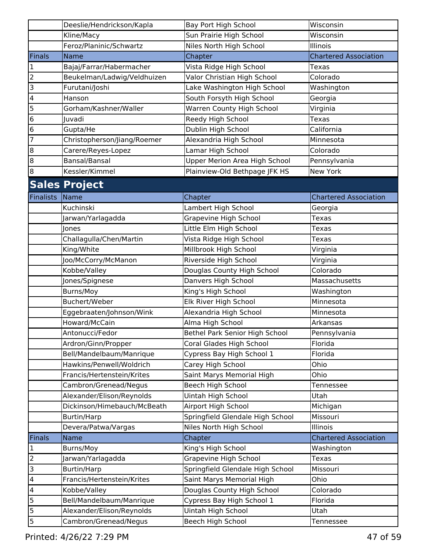|                         | Deeslie/Hendrickson/Kapla   | Bay Port High School                 | Wisconsin                    |
|-------------------------|-----------------------------|--------------------------------------|------------------------------|
|                         | Kline/Macy                  | Sun Prairie High School              | Wisconsin                    |
|                         | Feroz/Planinic/Schwartz     | Niles North High School              | Illinois                     |
| Finals                  | <b>Name</b>                 | Chapter                              | <b>Chartered Association</b> |
| $\mathbf{1}$            | Bajaj/Farrar/Habermacher    | Vista Ridge High School              | Texas                        |
| $\overline{2}$          | Beukelman/Ladwig/Veldhuizen | Valor Christian High School          | Colorado                     |
| $\overline{3}$          | Furutani/Joshi              | Lake Washington High School          | Washington                   |
| $\overline{\mathbf{4}}$ | Hanson                      | South Forsyth High School            | Georgia                      |
| $\overline{5}$          | Gorham/Kashner/Waller       | Warren County High School            | Virginia                     |
| $6\overline{6}$         | Juvadi                      | Reedy High School                    | Texas                        |
| $6\overline{6}$         | Gupta/He                    | Dublin High School                   | California                   |
| 7                       | Christopherson/Jiang/Roemer | Alexandria High School               | Minnesota                    |
| $\overline{8}$          | Carere/Reyes-Lopez          | Lamar High School                    | Colorado                     |
| 8                       | Bansal/Bansal               | <b>Upper Merion Area High School</b> | Pennsylvania                 |
| 8                       | Kessler/Kimmel              | Plainview-Old Bethpage JFK HS        | New York                     |
|                         | <b>Sales Project</b>        |                                      |                              |
| Finalists               | Name                        | Chapter                              | <b>Chartered Association</b> |
|                         | Kuchinski                   | Lambert High School                  | Georgia                      |
|                         | Jarwan/Yarlagadda           | Grapevine High School                | Texas                        |
|                         | Jones                       | Little Elm High School               | Texas                        |
|                         | Challagulla/Chen/Martin     | Vista Ridge High School              | Texas                        |
|                         | King/White                  | Millbrook High School                | Virginia                     |
|                         | Joo/McCorry/McManon         | Riverside High School                | Virginia                     |
|                         | Kobbe/Valley                | Douglas County High School           | Colorado                     |
|                         | Jones/Spignese              | Danvers High School                  | Massachusetts                |
|                         | Burns/Moy                   | King's High School                   | Washington                   |
|                         | Buchert/Weber               | Elk River High School                | Minnesota                    |
|                         | Eggebraaten/Johnson/Wink    | Alexandria High School               | Minnesota                    |
|                         | Howard/McCain               | Alma High School                     | Arkansas                     |
|                         | Antonucci/Fedor             | Bethel Park Senior High School       | Pennsylvania                 |
|                         | Ardron/Ginn/Propper         | Coral Glades High School             | Florida                      |
|                         | Bell/Mandelbaum/Manrique    | Cypress Bay High School 1            | Florida                      |
|                         | Hawkins/Penwell/Woldrich    | Carey High School                    | Ohio                         |
|                         | Francis/Hertenstein/Krites  | Saint Marys Memorial High            | Ohio                         |
|                         | Cambron/Grenead/Negus       | Beech High School                    | Tennessee                    |
|                         | Alexander/Elison/Reynolds   | Uintah High School                   | Utah                         |
|                         | Dickinson/Himebauch/McBeath | Airport High School                  | Michigan                     |
|                         | <b>Burtin/Harp</b>          | Springfield Glendale High School     | Missouri                     |
|                         | Devera/Patwa/Vargas         | Niles North High School              | Illinois                     |
| Finals                  | Name                        | Chapter                              | <b>Chartered Association</b> |
| $\vert$ 1               | Burns/Moy                   | King's High School                   | Washington                   |
| $\overline{2}$          | Jarwan/Yarlagadda           | <b>Grapevine High School</b>         | <b>Texas</b>                 |
| $\overline{3}$          | <b>Burtin/Harp</b>          | Springfield Glendale High School     | Missouri                     |
| $\overline{\mathbf{4}}$ | Francis/Hertenstein/Krites  | Saint Marys Memorial High            | Ohio                         |
| $\overline{4}$          | Kobbe/Valley                | Douglas County High School           | Colorado                     |
| 5                       | Bell/Mandelbaum/Manrique    | Cypress Bay High School 1            | Florida                      |
| $\overline{5}$          | Alexander/Elison/Reynolds   | Uintah High School                   | Utah                         |
| 5                       | Cambron/Grenead/Negus       | Beech High School                    | Tennessee                    |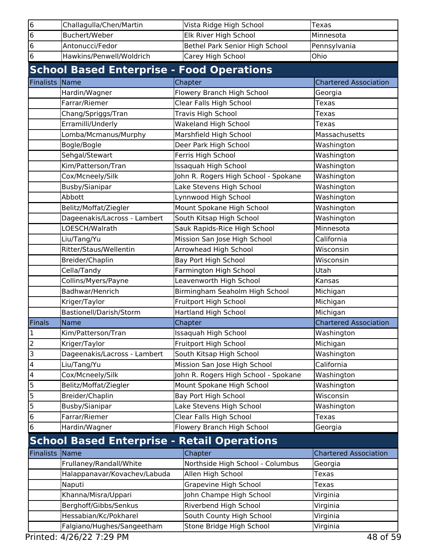| 6                       | Challagulla/Chen/Martin                            | Vista Ridge High School              | <b>Texas</b>                 |
|-------------------------|----------------------------------------------------|--------------------------------------|------------------------------|
| $6\phantom{.}6$         | Buchert/Weber                                      | Elk River High School                | Minnesota                    |
| 6                       | Antonucci/Fedor                                    | Bethel Park Senior High School       | Pennsylvania                 |
| $6\phantom{1}6$         | Hawkins/Penwell/Woldrich                           | Carey High School                    | Ohio                         |
|                         | <b>School Based Enterprise - Food Operations</b>   |                                      |                              |
| <b>Finalists</b>        | Name                                               | Chapter                              | <b>Chartered Association</b> |
|                         | Hardin/Wagner                                      | Flowery Branch High School           | Georgia                      |
|                         | Farrar/Riemer                                      | Clear Falls High School              | Texas                        |
|                         | Chang/Spriggs/Tran                                 | Travis High School                   | Texas                        |
|                         | Erramilli/Underly                                  | Wakeland High School                 | Texas                        |
|                         | Lomba/Mcmanus/Murphy                               | Marshfield High School               | Massachusetts                |
|                         | Bogle/Bogle                                        | Deer Park High School                | Washington                   |
|                         | Sehgal/Stewart                                     | Ferris High School                   | Washington                   |
|                         | Kim/Patterson/Tran                                 | Issaquah High School                 | Washington                   |
|                         | Cox/Mcneely/Silk                                   | John R. Rogers High School - Spokane | Washington                   |
|                         | Busby/Sianipar                                     | Lake Stevens High School             | Washington                   |
|                         | Abbott                                             | Lynnwood High School                 | Washington                   |
|                         | Belitz/Moffat/Ziegler                              | Mount Spokane High School            | Washington                   |
|                         | Dageenakis/Lacross - Lambert                       | South Kitsap High School             | Washington                   |
|                         | LOESCH/Walrath                                     | Sauk Rapids-Rice High School         | Minnesota                    |
|                         | Liu/Tang/Yu                                        | Mission San Jose High School         | California                   |
|                         | Ritter/Staus/Wellentin                             | Arrowhead High School                | Wisconsin                    |
|                         | Breider/Chaplin                                    | Bay Port High School                 | Wisconsin                    |
|                         | Cella/Tandy                                        | Farmington High School               | Utah                         |
|                         | Collins/Myers/Payne                                | Leavenworth High School              | Kansas                       |
|                         | Badhwar/Henrich                                    | Birmingham Seaholm High School       | Michigan                     |
|                         | Kriger/Taylor                                      | Fruitport High School                | Michigan                     |
|                         | Bastionell/Darish/Storm                            | <b>Hartland High School</b>          | Michigan                     |
| Finals                  | Name                                               | Chapter                              | <b>Chartered Association</b> |
| 1                       | Kim/Patterson/Tran                                 | Issaquah High School                 | Washington                   |
| $\overline{2}$          | Kriger/Taylor                                      | Fruitport High School                | Michigan                     |
| 3                       | Dageenakis/Lacross - Lambert                       | South Kitsap High School             | Washington                   |
| $\overline{\mathbf{4}}$ | Liu/Tang/Yu                                        | Mission San Jose High School         | California                   |
| $\overline{\mathbf{4}}$ | Cox/Mcneely/Silk                                   | John R. Rogers High School - Spokane | Washington                   |
| 5                       | Belitz/Moffat/Ziegler                              | Mount Spokane High School            | Washington                   |
| 5                       | Breider/Chaplin                                    | Bay Port High School                 | Wisconsin                    |
| 5                       | Busby/Sianipar                                     | Lake Stevens High School             | Washington                   |
| $\bf 6$                 | Farrar/Riemer                                      | Clear Falls High School              | Texas                        |
| $6\phantom{1}6$         | Hardin/Wagner                                      | Flowery Branch High School           | Georgia                      |
|                         | <b>School Based Enterprise - Retail Operations</b> |                                      |                              |
| <b>Finalists</b>        | Name                                               | Chapter                              | <b>Chartered Association</b> |
|                         | Frullaney/Randall/White                            | Northside High School - Columbus     | Georgia                      |
|                         | Halappanavar/Kovachev/Labuda                       | Allen High School                    | Texas                        |
|                         | Naputi                                             | Grapevine High School                | Texas                        |
|                         | Khanna/Misra/Uppari                                | John Champe High School              | Virginia                     |
|                         | Berghoff/Gibbs/Senkus                              | Riverbend High School                | Virginia                     |
|                         | Hessabian/Kc/Pokharel                              | South County High School             | Virginia                     |
|                         | Falgiano/Hughes/Sangeetham                         | Stone Bridge High School             | Virginia                     |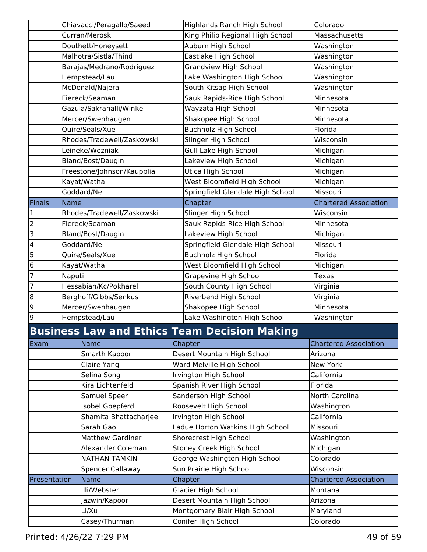|                         |        | Chiavacci/Peragallo/Saeed  | <b>Highlands Ranch High School</b>                  | Colorado                     |
|-------------------------|--------|----------------------------|-----------------------------------------------------|------------------------------|
|                         |        | Curran/Meroski             | King Philip Regional High School                    | Massachusetts                |
|                         |        | Douthett/Honeysett         | Auburn High School                                  | Washington                   |
|                         |        | Malhotra/Sistla/Thind      | Eastlake High School                                | Washington                   |
|                         |        | Barajas/Medrano/Rodriguez  | Grandview High School                               | Washington                   |
|                         |        | Hempstead/Lau              | Lake Washington High School                         | Washington                   |
|                         |        | McDonald/Najera            | South Kitsap High School                            | Washington                   |
|                         |        | Fiereck/Seaman             | Sauk Rapids-Rice High School                        | Minnesota                    |
|                         |        | Gazula/Sakrahalli/Winkel   | Wayzata High School                                 | Minnesota                    |
|                         |        | Mercer/Swenhaugen          | Shakopee High School                                | Minnesota                    |
|                         |        | Quire/Seals/Xue            | <b>Buchholz High School</b>                         | Florida                      |
|                         |        | Rhodes/Tradewell/Zaskowski | Slinger High School                                 | Wisconsin                    |
|                         |        | Leineke/Wozniak            | Gull Lake High School                               | Michigan                     |
|                         |        | Bland/Bost/Daugin          | Lakeview High School                                | Michigan                     |
|                         |        | Freestone/Johnson/Kaupplia | Utica High School                                   | Michigan                     |
|                         |        | Kayat/Watha                | West Bloomfield High School                         | Michigan                     |
|                         |        | Goddard/Nel                | Springfield Glendale High School                    | Missouri                     |
| Finals                  | Name   |                            | Chapter                                             | <b>Chartered Association</b> |
| 1                       |        | Rhodes/Tradewell/Zaskowski | Slinger High School                                 | Wisconsin                    |
| $\overline{a}$          |        | Fiereck/Seaman             | Sauk Rapids-Rice High School                        | Minnesota                    |
| 3                       |        | Bland/Bost/Daugin          | Lakeview High School                                | Michigan                     |
| $\overline{\mathbf{4}}$ |        | Goddard/Nel                | Springfield Glendale High School                    | Missouri                     |
| 5                       |        | Quire/Seals/Xue            | <b>Buchholz High School</b>                         | Florida                      |
| $\bf 6$                 |        | Kayat/Watha                | West Bloomfield High School                         | Michigan                     |
| 7                       | Naputi |                            | Grapevine High School                               | Texas                        |
| $\overline{7}$          |        | Hessabian/Kc/Pokharel      | South County High School                            | Virginia                     |
| 8                       |        | Berghoff/Gibbs/Senkus      | Riverbend High School                               | Virginia                     |
| 9                       |        | Mercer/Swenhaugen          | Shakopee High School                                | Minnesota                    |
| 9                       |        | Hempstead/Lau              | Lake Washington High School                         | Washington                   |
|                         |        |                            | <b>Business Law and Ethics Team Decision Making</b> |                              |
| Exam                    |        | <b>Name</b>                | Chapter                                             | <b>Chartered Association</b> |
|                         |        | Smarth Kapoor              | Desert Mountain High School                         | Arizona                      |
|                         |        | Claire Yang                | Ward Melville High School                           | New York                     |
|                         |        | Selina Song                | Irvington High School                               | California                   |
|                         |        | Kira Lichtenfeld           | Spanish River High School                           | Florida                      |
|                         |        | Samuel Speer               | Sanderson High School                               | North Carolina               |
|                         |        | <b>Isobel Goepferd</b>     | Roosevelt High School                               | Washington                   |
|                         |        | Shamita Bhattacharjee      | Irvington High School                               | California                   |
|                         |        | Sarah Gao                  | Ladue Horton Watkins High School                    | Missouri                     |
|                         |        | <b>Matthew Gardiner</b>    | Shorecrest High School                              | Washington                   |
|                         |        | Alexander Coleman          | Stoney Creek High School                            | Michigan                     |
|                         |        | <b>NATHAN TAMKIN</b>       | George Washington High School                       | Colorado                     |
|                         |        | <b>Spencer Callaway</b>    | Sun Prairie High School                             | Wisconsin                    |
| Presentation            |        | Name                       | Chapter                                             | <b>Chartered Association</b> |
|                         |        | Illi/Webster               | Glacier High School                                 | Montana                      |
|                         |        | Jazwin/Kapoor              | Desert Mountain High School                         | Arizona                      |
|                         |        | Li/Xu                      | Montgomery Blair High School                        | Maryland                     |
|                         |        | Casey/Thurman              | Conifer High School                                 | Colorado                     |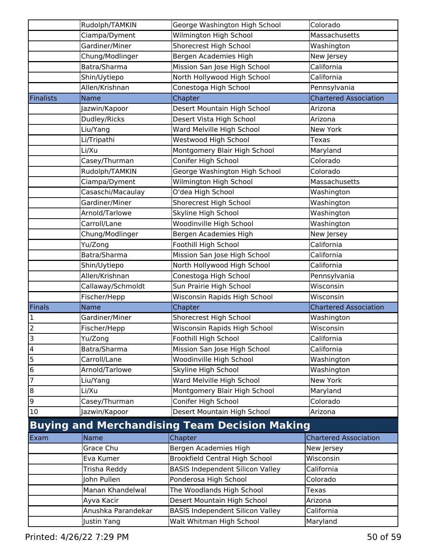|                         | Rudolph/TAMKIN     | George Washington High School                        | Colorado                     |
|-------------------------|--------------------|------------------------------------------------------|------------------------------|
|                         | Ciampa/Dyment      | Wilmington High School                               | Massachusetts                |
|                         | Gardiner/Miner     | Shorecrest High School                               | Washington                   |
|                         | Chung/Modlinger    | Bergen Academies High                                | New Jersey                   |
|                         | Batra/Sharma       | Mission San Jose High School                         | California                   |
|                         | Shin/Uytiepo       | North Hollywood High School                          | California                   |
|                         | Allen/Krishnan     | Conestoga High School                                | Pennsylvania                 |
| Finalists               | Name               | Chapter                                              | <b>Chartered Association</b> |
|                         | Jazwin/Kapoor      | Desert Mountain High School                          | Arizona                      |
|                         | Dudley/Ricks       | Desert Vista High School                             | Arizona                      |
|                         | Liu/Yang           | Ward Melville High School                            | New York                     |
|                         | Li/Tripathi        | Westwood High School                                 | Texas                        |
|                         | Li/Xu              | Montgomery Blair High School                         | Maryland                     |
|                         | Casey/Thurman      | Conifer High School                                  | Colorado                     |
|                         | Rudolph/TAMKIN     | George Washington High School                        | Colorado                     |
|                         | Ciampa/Dyment      | Wilmington High School                               | Massachusetts                |
|                         | Casaschi/Macaulay  | O'dea High School                                    | Washington                   |
|                         | Gardiner/Miner     | Shorecrest High School                               | Washington                   |
|                         | Arnold/Tarlowe     | Skyline High School                                  | Washington                   |
|                         | Carroll/Lane       | Woodinville High School                              | Washington                   |
|                         | Chung/Modlinger    | Bergen Academies High                                | New Jersey                   |
|                         | Yu/Zong            | Foothill High School                                 | California                   |
|                         | Batra/Sharma       | Mission San Jose High School                         | California                   |
|                         | Shin/Uytiepo       | North Hollywood High School                          | California                   |
|                         | Allen/Krishnan     | Conestoga High School                                | Pennsylvania                 |
|                         | Callaway/Schmoldt  | Sun Prairie High School                              | Wisconsin                    |
|                         | Fischer/Hepp       | Wisconsin Rapids High School                         | Wisconsin                    |
| Finals                  | <b>Name</b>        | Chapter                                              | <b>Chartered Association</b> |
| 1                       | Gardiner/Miner     | Shorecrest High School                               | Washington                   |
| 2                       | Fischer/Hepp       | Wisconsin Rapids High School                         | Wisconsin                    |
| 3                       | Yu/Zong            | Foothill High School                                 | California                   |
| $\overline{\mathbf{4}}$ | Batra/Sharma       | Mission San Jose High School                         | California                   |
| 5                       | Carroll/Lane       | Woodinville High School                              | Washington                   |
| $\bf 6$                 | Arnold/Tarlowe     | Skyline High School                                  | Washington                   |
| $\overline{7}$          | Liu/Yang           | Ward Melville High School                            | New York                     |
| 8                       | Li/Xu              | Montgomery Blair High School                         | Maryland                     |
| 9                       | Casey/Thurman      | Conifer High School                                  | Colorado                     |
| 10                      | Jazwin/Kapoor      | Desert Mountain High School                          | Arizona                      |
|                         |                    | <b>Buying and Merchandising Team Decision Making</b> |                              |
| Exam                    | <b>Name</b>        | Chapter                                              | <b>Chartered Association</b> |
|                         | Grace Chu          | Bergen Academies High                                | New Jersey                   |
|                         | Eva Kumer          | <b>Brookfield Central High School</b>                | Wisconsin                    |
|                         | Trisha Reddy       | <b>BASIS Independent Silicon Valley</b>              | California                   |
|                         | John Pullen        | Ponderosa High School                                | Colorado                     |
|                         | Manan Khandelwal   | The Woodlands High School                            | Texas                        |
|                         | Ayva Kacir         | Desert Mountain High School                          | Arizona                      |
|                         | Anushka Parandekar | <b>BASIS Independent Silicon Valley</b>              | California                   |
|                         | Justin Yang        | Walt Whitman High School                             | Maryland                     |
|                         |                    |                                                      |                              |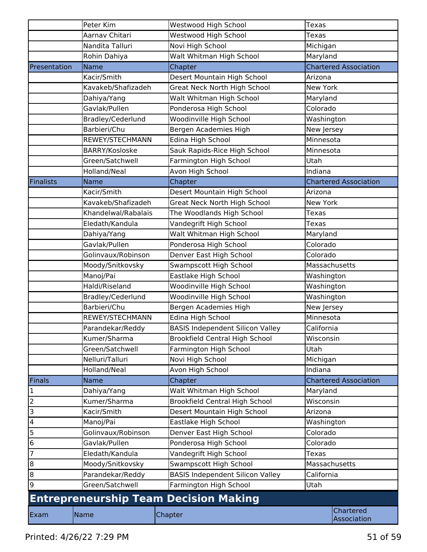|                  | Peter Kim           | Westwood High School                         | <b>Texas</b>                 |  |
|------------------|---------------------|----------------------------------------------|------------------------------|--|
|                  | Aarnav Chitari      | Westwood High School                         | <b>Texas</b>                 |  |
|                  | Nandita Talluri     | Novi High School                             | Michigan                     |  |
|                  | Rohin Dahiya        | Walt Whitman High School                     | Maryland                     |  |
| Presentation     | <b>Name</b>         | Chapter                                      | <b>Chartered Association</b> |  |
|                  | Kacir/Smith         | Desert Mountain High School                  | Arizona                      |  |
|                  | Kavakeb/Shafizadeh  | Great Neck North High School                 | New York                     |  |
|                  | Dahiya/Yang         | Walt Whitman High School                     | Maryland                     |  |
|                  | Gavlak/Pullen       | Ponderosa High School                        | Colorado                     |  |
|                  | Bradley/Cederlund   | Woodinville High School                      | Washington                   |  |
|                  | Barbieri/Chu        | Bergen Academies High                        | New Jersey                   |  |
|                  | REWEY/STECHMANN     | Edina High School                            | Minnesota                    |  |
|                  | BARRY/Kosloske      | Sauk Rapids-Rice High School                 | Minnesota                    |  |
|                  | Green/Satchwell     | Farmington High School                       | Utah                         |  |
|                  | Holland/Neal        | Avon High School                             | Indiana                      |  |
| <b>Finalists</b> | <b>Name</b>         | Chapter                                      | <b>Chartered Association</b> |  |
|                  | Kacir/Smith         | Desert Mountain High School                  | Arizona                      |  |
|                  | Kavakeb/Shafizadeh  | <b>Great Neck North High School</b>          | New York                     |  |
|                  | Khandelwal/Rabalais | The Woodlands High School                    | Texas                        |  |
|                  | Eledath/Kandula     | Vandegrift High School                       | Texas                        |  |
|                  | Dahiya/Yang         | Walt Whitman High School                     | Maryland                     |  |
|                  | Gavlak/Pullen       | Ponderosa High School                        | Colorado                     |  |
|                  | Golinvaux/Robinson  | Denver East High School                      | Colorado                     |  |
|                  | Moody/Snitkovsky    | Swampscott High School                       | Massachusetts                |  |
|                  | Manoj/Pai           | Eastlake High School                         | Washington                   |  |
|                  | Haldi/Riseland      | Woodinville High School                      | Washington                   |  |
|                  | Bradley/Cederlund   | Woodinville High School                      | Washington                   |  |
|                  | Barbieri/Chu        | Bergen Academies High                        | New Jersey                   |  |
|                  | REWEY/STECHMANN     | Edina High School                            | Minnesota                    |  |
|                  | Parandekar/Reddy    | <b>BASIS Independent Silicon Valley</b>      | California                   |  |
|                  | Kumer/Sharma        | <b>Brookfield Central High School</b>        | Wisconsin                    |  |
|                  | Green/Satchwell     | Farmington High School                       | Utah                         |  |
|                  | Nelluri/Talluri     | Novi High School                             | Michigan                     |  |
|                  | Holland/Neal        | Avon High School                             | Indiana                      |  |
| Finals           | Name                | Chapter                                      | <b>Chartered Association</b> |  |
| $\mathbf{1}$     | Dahiya/Yang         | Walt Whitman High School                     | Maryland                     |  |
| $\overline{2}$   | Kumer/Sharma        | <b>Brookfield Central High School</b>        | Wisconsin                    |  |
| $\overline{3}$   | Kacir/Smith         | Desert Mountain High School                  | Arizona                      |  |
| $\overline{4}$   | Manoj/Pai           | Eastlake High School                         | Washington                   |  |
| $\overline{5}$   | Golinvaux/Robinson  | Denver East High School                      | Colorado                     |  |
| $\overline{6}$   | Gavlak/Pullen       | Ponderosa High School                        | Colorado                     |  |
| $\overline{7}$   | Eledath/Kandula     | Vandegrift High School                       | <b>Texas</b>                 |  |
| Ιœ               | Moody/Snitkovsky    | Swampscott High School                       | Massachusetts                |  |
| $\overline{8}$   | Parandekar/Reddy    | <b>BASIS Independent Silicon Valley</b>      | California                   |  |
| 9                | Green/Satchwell     | Farmington High School                       | Utah                         |  |
|                  |                     | <b>Entrepreneurship Team Decision Making</b> |                              |  |
| Exam             | Name                | Chapter                                      | Chartered<br>Association     |  |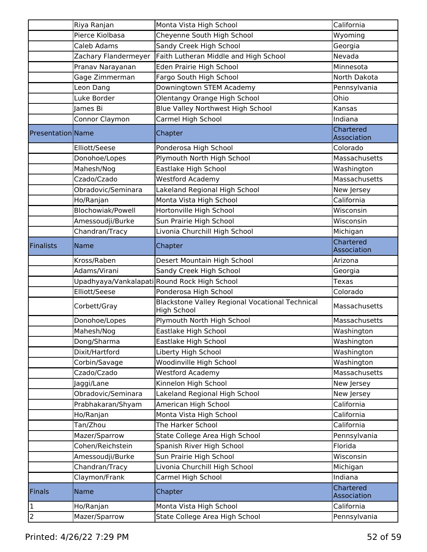|                          | Riya Ranjan          | Monta Vista High School                                               | California               |
|--------------------------|----------------------|-----------------------------------------------------------------------|--------------------------|
|                          | Pierce Kiolbasa      | Cheyenne South High School                                            | Wyoming                  |
|                          | Caleb Adams          | Sandy Creek High School                                               | Georgia                  |
|                          | Zachary Flandermeyer | Faith Lutheran Middle and High School                                 | Nevada                   |
|                          | Pranav Narayanan     | Eden Prairie High School                                              | Minnesota                |
|                          | Gage Zimmerman       | Fargo South High School                                               | North Dakota             |
|                          | Leon Dang            | Downingtown STEM Academy                                              | Pennsylvania             |
|                          | Luke Border          | Olentangy Orange High School                                          | Ohio                     |
|                          | James Bi             | Blue Valley Northwest High School                                     | Kansas                   |
|                          | Connor Claymon       | Carmel High School                                                    | Indiana                  |
| <b>Presentation Name</b> |                      | Chapter                                                               | Chartered<br>Association |
|                          | Elliott/Seese        | Ponderosa High School                                                 | Colorado                 |
|                          | Donohoe/Lopes        | Plymouth North High School                                            | Massachusetts            |
|                          | Mahesh/Nog           | Eastlake High School                                                  | Washington               |
|                          | Czado/Czado          | <b>Westford Academy</b>                                               | Massachusetts            |
|                          | Obradovic/Seminara   | Lakeland Regional High School                                         | New Jersey               |
|                          | Ho/Ranjan            | Monta Vista High School                                               | California               |
|                          | Blochowiak/Powell    | Hortonville High School                                               | Wisconsin                |
|                          | Amessoudji/Burke     | Sun Prairie High School                                               | Wisconsin                |
|                          | Chandran/Tracy       | Livonia Churchill High School                                         | Michigan                 |
| <b>Finalists</b>         | <b>Name</b>          | Chapter                                                               | Chartered<br>Association |
|                          | Kross/Raben          | Desert Mountain High School                                           | Arizona                  |
|                          | Adams/Virani         | Sandy Creek High School                                               | Georgia                  |
|                          |                      | Upadhyaya/Vankalapati Round Rock High School                          | <b>Texas</b>             |
|                          | Elliott/Seese        | Ponderosa High School                                                 | Colorado                 |
|                          | Corbett/Gray         | <b>Blackstone Valley Regional Vocational Technical</b><br>High School | Massachusetts            |
|                          | Donohoe/Lopes        | Plymouth North High School                                            | Massachusetts            |
|                          | Mahesh/Nog           | Eastlake High School                                                  | Washington               |
|                          | Dong/Sharma          | Eastlake High School                                                  | Washington               |
|                          | Dixit/Hartford       | Liberty High School                                                   | Washington               |
|                          | Corbin/Savage        | Woodinville High School                                               | Washington               |
|                          | Czado/Czado          | <b>Westford Academy</b>                                               | Massachusetts            |
|                          | Jaggi/Lane           | Kinnelon High School                                                  | New Jersey               |
|                          | Obradovic/Seminara   | Lakeland Regional High School                                         | New Jersey               |
|                          | Prabhakaran/Shyam    | American High School                                                  | California               |
|                          | Ho/Ranjan            | Monta Vista High School                                               | California               |
|                          | Tan/Zhou             | The Harker School                                                     | California               |
|                          | Mazer/Sparrow        | State College Area High School                                        | Pennsylvania             |
|                          | Cohen/Reichstein     | Spanish River High School                                             | Florida                  |
|                          | Amessoudji/Burke     | Sun Prairie High School                                               | Wisconsin                |
|                          | Chandran/Tracy       | Livonia Churchill High School                                         | Michigan                 |
|                          | Claymon/Frank        | Carmel High School                                                    | Indiana                  |
| <b>Finals</b>            | Name                 | Chapter                                                               | Chartered<br>Association |
| 1                        | Ho/Ranjan            | Monta Vista High School                                               | California               |
| $\overline{2}$           |                      | State College Area High School                                        |                          |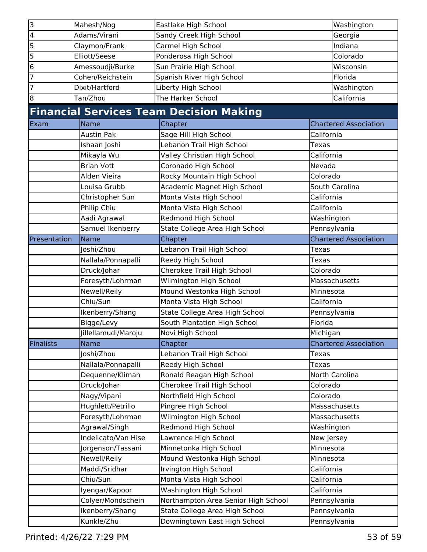| 3                       | Mahesh/Nog          | Eastlake High School                           | Washington                   |
|-------------------------|---------------------|------------------------------------------------|------------------------------|
| $\overline{\mathbf{4}}$ | Adams/Virani        | Sandy Creek High School                        | Georgia                      |
| 5                       | Claymon/Frank       | Carmel High School                             | Indiana                      |
| 5                       | Elliott/Seese       | Ponderosa High School                          | Colorado                     |
| 6                       | Amessoudji/Burke    | Sun Prairie High School                        | Wisconsin                    |
| 7                       | Cohen/Reichstein    | Spanish River High School                      | Florida                      |
| 7                       | Dixit/Hartford      | Liberty High School                            | Washington                   |
| 8                       | Tan/Zhou            | The Harker School                              | California                   |
|                         |                     | <b>Financial Services Team Decision Making</b> |                              |
| Exam                    | Name                | Chapter                                        | <b>Chartered Association</b> |
|                         | <b>Austin Pak</b>   | Sage Hill High School                          | California                   |
|                         | Ishaan Joshi        | Lebanon Trail High School                      | Texas                        |
|                         | Mikayla Wu          | Valley Christian High School                   | California                   |
|                         | <b>Brian Vott</b>   | Coronado High School                           | Nevada                       |
|                         | Alden Vieira        | Rocky Mountain High School                     | Colorado                     |
|                         | Louisa Grubb        | Academic Magnet High School                    | South Carolina               |
|                         | Christopher Sun     | Monta Vista High School                        | California                   |
|                         | Philip Chiu         | Monta Vista High School                        | California                   |
|                         | Aadi Agrawal        | Redmond High School                            | Washington                   |
|                         | Samuel Ikenberry    | State College Area High School                 | Pennsylvania                 |
| Presentation            | Name                | Chapter                                        | <b>Chartered Association</b> |
|                         | Joshi/Zhou          | Lebanon Trail High School                      | Texas                        |
|                         | Nallala/Ponnapalli  | Reedy High School                              | Texas                        |
|                         | Druck/Johar         | Cherokee Trail High School                     | Colorado                     |
|                         | Foresyth/Lohrman    | Wilmington High School                         | Massachusetts                |
|                         | Newell/Reily        | Mound Westonka High School                     | Minnesota                    |
|                         | Chiu/Sun            | Monta Vista High School                        | California                   |
|                         | Ikenberry/Shang     | State College Area High School                 | Pennsylvania                 |
|                         | Bigge/Levy          | South Plantation High School                   | Florida                      |
|                         | Jillellamudi/Maroju | Novi High School                               | Michigan                     |
| <b>Finalists</b>        | Name                | Chapter                                        | <b>Chartered Association</b> |
|                         | Joshi/Zhou          | Lebanon Trail High School                      | Texas                        |
|                         | Nallala/Ponnapalli  | Reedy High School                              | Texas                        |
|                         | Dequenne/Kliman     | Ronald Reagan High School                      | North Carolina               |
|                         | Druck/Johar         | Cherokee Trail High School                     | Colorado                     |
|                         | Nagy/Vipani         | Northfield High School                         | Colorado                     |
|                         | Hughlett/Petrillo   | Pingree High School                            | Massachusetts                |
|                         | Foresyth/Lohrman    | Wilmington High School                         | Massachusetts                |
|                         | Agrawal/Singh       | Redmond High School                            | Washington                   |
|                         | Indelicato/Van Hise | Lawrence High School                           | New Jersey                   |
|                         | Jorgenson/Tassani   | Minnetonka High School                         | Minnesota                    |
|                         | Newell/Reily        | Mound Westonka High School                     | Minnesota                    |
|                         | Maddi/Sridhar       | Irvington High School                          | California                   |
|                         | Chiu/Sun            | Monta Vista High School                        | California                   |
|                         | Iyengar/Kapoor      | Washington High School                         | California                   |
|                         | Colyer/Mondschein   | Northampton Area Senior High School            | Pennsylvania                 |
|                         | Ikenberry/Shang     | State College Area High School                 | Pennsylvania                 |
|                         | Kunkle/Zhu          | Downingtown East High School                   | Pennsylvania                 |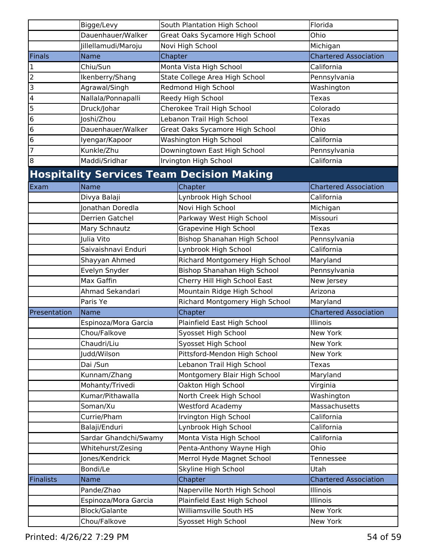|                | Bigge/Levy            |         | South Plantation High School                     | Florida                      |
|----------------|-----------------------|---------|--------------------------------------------------|------------------------------|
|                | Dauenhauer/Walker     |         | Great Oaks Sycamore High School                  | Ohio                         |
|                | Jillellamudi/Maroju   |         | Novi High School                                 | Michigan                     |
| <b>Finals</b>  | <b>Name</b>           | Chapter |                                                  | <b>Chartered Association</b> |
| $\mathbf 1$    | Chiu/Sun              |         | Monta Vista High School                          | California                   |
| 2              | Ikenberry/Shang       |         | State College Area High School                   | Pennsylvania                 |
| 3              | Agrawal/Singh         |         | Redmond High School                              | Washington                   |
| 4              | Nallala/Ponnapalli    |         | Reedy High School                                | <b>Texas</b>                 |
| 5              | Druck/Johar           |         | Cherokee Trail High School                       | Colorado                     |
| 6              | Joshi/Zhou            |         | Lebanon Trail High School                        | Texas                        |
| 6              | Dauenhauer/Walker     |         | Great Oaks Sycamore High School                  | Ohio                         |
| 6              | lyengar/Kapoor        |         | Washington High School                           | California                   |
| 7              | Kunkle/Zhu            |         | Downingtown East High School                     | Pennsylvania                 |
| $\overline{8}$ | Maddi/Sridhar         |         | Irvington High School                            | California                   |
|                |                       |         | <b>Hospitality Services Team Decision Making</b> |                              |
| Exam           | Name                  |         | Chapter                                          | <b>Chartered Association</b> |
|                | Divya Balaji          |         | Lynbrook High School                             | California                   |
|                | Jonathan Doredla      |         | Novi High School                                 | Michigan                     |
|                | Derrien Gatchel       |         | Parkway West High School                         | Missouri                     |
|                | Mary Schnautz         |         | Grapevine High School                            | Texas                        |
|                | Julia Vito            |         | Bishop Shanahan High School                      | Pennsylvania                 |
|                | Saivaishnavi Enduri   |         | Lynbrook High School                             | California                   |
|                | Shayyan Ahmed         |         | Richard Montgomery High School                   | Maryland                     |
|                | Evelyn Snyder         |         | Bishop Shanahan High School                      | Pennsylvania                 |
|                | Max Gaffin            |         | Cherry Hill High School East                     | New Jersey                   |
|                | Ahmad Sekandari       |         | Mountain Ridge High School                       | Arizona                      |
|                | Paris Ye              |         | Richard Montgomery High School                   | Maryland                     |
| Presentation   | Name                  |         | Chapter                                          | <b>Chartered Association</b> |
|                | Espinoza/Mora Garcia  |         | Plainfield East High School                      | Illinois                     |
|                | Chou/Falkove          |         | Syosset High School                              | New York                     |
|                | Chaudri/Liu           |         | Syosset High School                              | New York                     |
|                | Judd/Wilson           |         | Pittsford-Mendon High School                     | New York                     |
|                | Dai /Sun              |         | Lebanon Trail High School                        | <b>Texas</b>                 |
|                | Kunnam/Zhang          |         | Montgomery Blair High School                     | Maryland                     |
|                | Mohanty/Trivedi       |         | Oakton High School                               | Virginia                     |
|                | Kumar/Pithawalla      |         | North Creek High School                          | Washington                   |
|                | Soman/Xu              |         | <b>Westford Academy</b>                          | Massachusetts                |
|                | Currie/Pham           |         | Irvington High School                            | California                   |
|                | Balaji/Enduri         |         | Lynbrook High School                             | California                   |
|                | Sardar Ghandchi/Swamy |         | Monta Vista High School                          | California                   |
|                | Whitehurst/Zesing     |         | Penta-Anthony Wayne High                         | Ohio                         |
|                | Jones/Kendrick        |         | Merrol Hyde Magnet School                        | Tennessee                    |
|                | Bondi/Le              |         | Skyline High School                              | Utah                         |
| Finalists      | Name                  |         | Chapter                                          | <b>Chartered Association</b> |
|                | Pande/Zhao            |         | Naperville North High School                     | Illinois                     |
|                | Espinoza/Mora Garcia  |         | Plainfield East High School                      | Illinois                     |
|                | <b>Block/Galante</b>  |         | Williamsville South HS                           | New York                     |
|                | Chou/Falkove          |         | Syosset High School                              | New York                     |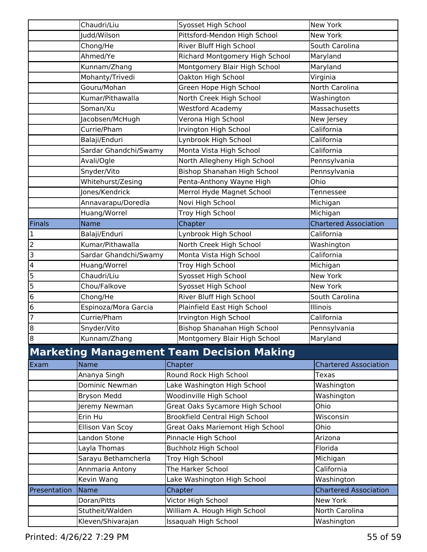|                | Chaudri/Liu           | Syosset High School                              | New York                     |
|----------------|-----------------------|--------------------------------------------------|------------------------------|
|                | Judd/Wilson           | Pittsford-Mendon High School                     | New York                     |
|                | Chong/He              | River Bluff High School                          | South Carolina               |
|                | Ahmed/Ye              | Richard Montgomery High School                   | Maryland                     |
|                | Kunnam/Zhang          | Montgomery Blair High School                     | Maryland                     |
|                | Mohanty/Trivedi       | Oakton High School                               | Virginia                     |
|                | Gouru/Mohan           | Green Hope High School                           | North Carolina               |
|                | Kumar/Pithawalla      | North Creek High School                          | Washington                   |
|                | Soman/Xu              | <b>Westford Academy</b>                          | Massachusetts                |
|                | Jacobsen/McHugh       | Verona High School                               | New Jersey                   |
|                | Currie/Pham           | Irvington High School                            | California                   |
|                | Balaji/Enduri         | Lynbrook High School                             | California                   |
|                | Sardar Ghandchi/Swamy | Monta Vista High School                          | California                   |
|                | Avali/Ogle            | North Allegheny High School                      | Pennsylvania                 |
|                | Snyder/Vito           | Bishop Shanahan High School                      | Pennsylvania                 |
|                | Whitehurst/Zesing     | Penta-Anthony Wayne High                         | Ohio                         |
|                | Jones/Kendrick        | Merrol Hyde Magnet School                        | Tennessee                    |
|                | Annavarapu/Doredla    | Novi High School                                 | Michigan                     |
|                | Huang/Worrel          | Troy High School                                 | Michigan                     |
| Finals         | Name                  | Chapter                                          | <b>Chartered Association</b> |
| $\mathbf 1$    | Balaji/Enduri         | Lynbrook High School                             | California                   |
| $\overline{c}$ | Kumar/Pithawalla      | North Creek High School                          | Washington                   |
| 3              | Sardar Ghandchi/Swamy | Monta Vista High School                          | California                   |
| 4              | Huang/Worrel          | Troy High School                                 | Michigan                     |
| 5              | Chaudri/Liu           | Syosset High School                              | New York                     |
| 5              | Chou/Falkove          | Syosset High School                              | New York                     |
| 6              | Chong/He              | River Bluff High School                          | South Carolina               |
| 6              | Espinoza/Mora Garcia  | Plainfield East High School                      | Illinois                     |
| 7              | Currie/Pham           | Irvington High School                            | California                   |
| 8              | Snyder/Vito           | Bishop Shanahan High School                      | Pennsylvania                 |
| $\infty$       | Kunnam/Zhang          | Montgomery Blair High School                     | Maryland                     |
|                |                       | <b>Marketing Management Team Decision Making</b> |                              |
| Exam           | Name                  | Chapter                                          | <b>Chartered Association</b> |
|                | Ananya Singh          | Round Rock High School                           | Texas                        |
|                | Dominic Newman        | Lake Washington High School                      | Washington                   |
|                | <b>Bryson Medd</b>    | Woodinville High School                          | Washington                   |
|                | Jeremy Newman         | Great Oaks Sycamore High School                  | Ohio                         |
|                | Erin Hu               | <b>Brookfield Central High School</b>            | Wisconsin                    |
|                | Ellison Van Scoy      | <b>Great Oaks Mariemont High School</b>          | Ohio                         |
|                | Landon Stone          | Pinnacle High School                             | Arizona                      |
|                | Layla Thomas          | <b>Buchholz High School</b>                      | Florida                      |
|                | Sarayu Bethamcherla   | Troy High School                                 | Michigan                     |
|                | Annmaria Antony       | The Harker School                                | California                   |
|                | Kevin Wang            | Lake Washington High School                      | Washington                   |
| Presentation   | Name                  | Chapter                                          | <b>Chartered Association</b> |
|                | Doran/Pitts           | Victor High School                               | New York                     |
|                | Stutheit/Walden       | William A. Hough High School                     | North Carolina               |
|                | Kleven/Shivarajan     | Issaquah High School                             | Washington                   |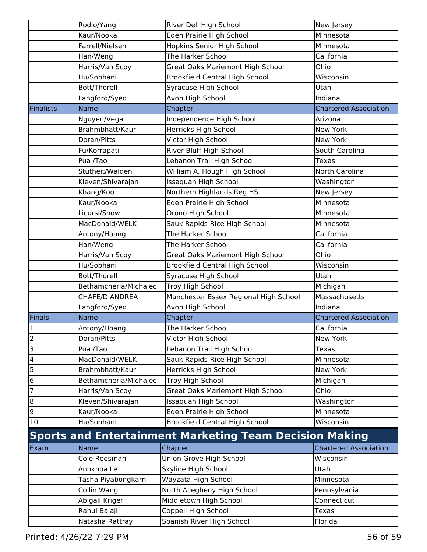|                         | Rodio/Yang            | River Dell High School                                         | New Jersey                   |
|-------------------------|-----------------------|----------------------------------------------------------------|------------------------------|
|                         | Kaur/Nooka            | Eden Prairie High School                                       | Minnesota                    |
|                         | Farrell/Nielsen       | Hopkins Senior High School                                     | Minnesota                    |
|                         | Han/Weng              | The Harker School                                              | California                   |
|                         | Harris/Van Scoy       | <b>Great Oaks Mariemont High School</b>                        | Ohio                         |
|                         | Hu/Sobhani            | <b>Brookfield Central High School</b>                          | Wisconsin                    |
|                         | Bott/Thorell          | Syracuse High School                                           | Utah                         |
|                         | Langford/Syed         | Avon High School                                               | Indiana                      |
| <b>Finalists</b>        | <b>Name</b>           | Chapter                                                        | <b>Chartered Association</b> |
|                         | Nguyen/Vega           | Independence High School                                       | Arizona                      |
|                         | Brahmbhatt/Kaur       | Herricks High School                                           | New York                     |
|                         | Doran/Pitts           | Victor High School                                             | New York                     |
|                         | Fu/Korrapati          | River Bluff High School                                        | South Carolina               |
|                         | Pua /Tao              | Lebanon Trail High School                                      | <b>Texas</b>                 |
|                         | Stutheit/Walden       | William A. Hough High School                                   | North Carolina               |
|                         | Kleven/Shivarajan     | Issaquah High School                                           | Washington                   |
|                         | Khang/Koo             | Northern Highlands Reg HS                                      | New Jersey                   |
|                         | Kaur/Nooka            | Eden Prairie High School                                       | Minnesota                    |
|                         | Licursi/Snow          | Orono High School                                              | Minnesota                    |
|                         | MacDonald/WELK        | Sauk Rapids-Rice High School                                   | Minnesota                    |
|                         | Antony/Hoang          | The Harker School                                              | California                   |
|                         | Han/Weng              | The Harker School                                              | California                   |
|                         | Harris/Van Scoy       | <b>Great Oaks Mariemont High School</b>                        | Ohio                         |
|                         | Hu/Sobhani            | <b>Brookfield Central High School</b>                          | Wisconsin                    |
|                         | Bott/Thorell          | Syracuse High School                                           | Utah                         |
|                         | Bethamcherla/Michalec | Troy High School                                               | Michigan                     |
|                         | CHAFE/D'ANDREA        | Manchester Essex Regional High School                          | Massachusetts                |
|                         | Langford/Syed         | Avon High School                                               | Indiana                      |
| Finals                  | <b>Name</b>           | Chapter                                                        | <b>Chartered Association</b> |
| $\mathbf 1$             | Antony/Hoang          | The Harker School                                              | California                   |
| $\overline{2}$          | Doran/Pitts           | Victor High School                                             | New York                     |
| 3                       | Pua /Tao              | Lebanon Trail High School                                      | <b>Texas</b>                 |
| $\overline{\mathbf{4}}$ | MacDonald/WELK        | Sauk Rapids-Rice High School                                   | Minnesota                    |
| 5                       | Brahmbhatt/Kaur       | Herricks High School                                           | New York                     |
| 6                       | Bethamcherla/Michalec | Troy High School                                               | Michigan                     |
| 7                       | Harris/Van Scoy       | Great Oaks Mariemont High School                               | Ohio                         |
| $\bf{8}$                | Kleven/Shivarajan     | Issaquah High School                                           | Washington                   |
| 9                       | Kaur/Nooka            | Eden Prairie High School                                       | Minnesota                    |
| $10\,$                  | Hu/Sobhani            | <b>Brookfield Central High School</b>                          | Wisconsin                    |
|                         |                       | <b>Sports and Entertainment Marketing Team Decision Making</b> |                              |
| Exam                    | Name                  | Chapter                                                        | <b>Chartered Association</b> |
|                         | Cole Reesman          | Union Grove High School                                        | Wisconsin                    |
|                         | Anhkhoa Le            | Skyline High School                                            | Utah                         |
|                         | Tasha Piyabongkarn    | Wayzata High School                                            | Minnesota                    |
|                         | Collin Wang           | North Allegheny High School                                    | Pennsylvania                 |
|                         | Abigail Kriger        | Middletown High School                                         | Connecticut                  |
|                         | Rahul Balaji          | Coppell High School                                            | Texas                        |
|                         | Natasha Rattray       | Spanish River High School                                      | Florida                      |
|                         |                       |                                                                |                              |
|                         |                       |                                                                |                              |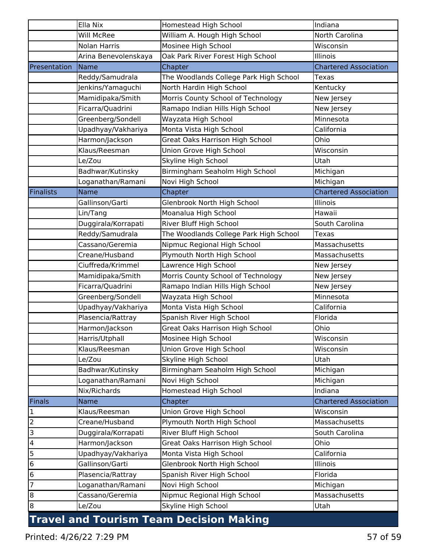|                         | Ella Nix             | <b>Homestead High School</b>                   | Indiana                      |
|-------------------------|----------------------|------------------------------------------------|------------------------------|
|                         | <b>Will McRee</b>    | William A. Hough High School                   | North Carolina               |
|                         | Nolan Harris         | Mosinee High School                            | Wisconsin                    |
|                         | Arina Benevolenskaya | Oak Park River Forest High School              | Illinois                     |
| Presentation            | Name                 | Chapter                                        | <b>Chartered Association</b> |
|                         | Reddy/Samudrala      | The Woodlands College Park High School         | Texas                        |
|                         | Jenkins/Yamaguchi    | North Hardin High School                       | Kentucky                     |
|                         | Mamidipaka/Smith     | Morris County School of Technology             | New Jersey                   |
|                         | Ficarra/Quadrini     | Ramapo Indian Hills High School                | New Jersey                   |
|                         | Greenberg/Sondell    | Wayzata High School                            | Minnesota                    |
|                         | Upadhyay/Vakhariya   | Monta Vista High School                        | California                   |
|                         | Harmon/Jackson       | <b>Great Oaks Harrison High School</b>         | Ohio                         |
|                         | Klaus/Reesman        | Union Grove High School                        | Wisconsin                    |
|                         | Le/Zou               | Skyline High School                            | Utah                         |
|                         | Badhwar/Kutinsky     | Birmingham Seaholm High School                 | Michigan                     |
|                         | Loganathan/Ramani    | Novi High School                               | Michigan                     |
| <b>Finalists</b>        | <b>Name</b>          | Chapter                                        | <b>Chartered Association</b> |
|                         | Gallinson/Garti      | Glenbrook North High School                    | Illinois                     |
|                         | Lin/Tang             | Moanalua High School                           | Hawaii                       |
|                         | Duggirala/Korrapati  | River Bluff High School                        | South Carolina               |
|                         | Reddy/Samudrala      | The Woodlands College Park High School         | Texas                        |
|                         | Cassano/Geremia      | Nipmuc Regional High School                    | Massachusetts                |
|                         | Creane/Husband       | Plymouth North High School                     | Massachusetts                |
|                         | Ciuffreda/Krimmel    | Lawrence High School                           | New Jersey                   |
|                         | Mamidipaka/Smith     | Morris County School of Technology             | New Jersey                   |
|                         | Ficarra/Quadrini     | Ramapo Indian Hills High School                | New Jersey                   |
|                         | Greenberg/Sondell    | Wayzata High School                            | Minnesota                    |
|                         | Upadhyay/Vakhariya   | Monta Vista High School                        | California                   |
|                         | Plasencia/Rattray    | Spanish River High School                      | Florida                      |
|                         | Harmon/Jackson       | <b>Great Oaks Harrison High School</b>         | Ohio                         |
|                         | Harris/Utphall       | Mosinee High School                            | Wisconsin                    |
|                         | Klaus/Reesman        | Union Grove High School                        | Wisconsin                    |
|                         | Le/Zou               | Skyline High School                            | Utah                         |
|                         | Badhwar/Kutinsky     | Birmingham Seaholm High School                 | Michigan                     |
|                         | Loganathan/Ramani    | Novi High School                               | Michigan                     |
|                         | Nix/Richards         | Homestead High School                          | Indiana                      |
| Finals                  | Name                 | Chapter                                        | <b>Chartered Association</b> |
| $\mathbf 1$             | Klaus/Reesman        | Union Grove High School                        | Wisconsin                    |
| $\overline{2}$          | Creane/Husband       | Plymouth North High School                     | Massachusetts                |
| $\overline{3}$          | Duggirala/Korrapati  | River Bluff High School                        | South Carolina               |
| $\overline{\mathbf{4}}$ | Harmon/Jackson       | Great Oaks Harrison High School                | Ohio                         |
| 5                       | Upadhyay/Vakhariya   | Monta Vista High School                        | California                   |
| 6                       | Gallinson/Garti      | Glenbrook North High School                    | Illinois                     |
| 6                       | Plasencia/Rattray    | Spanish River High School                      | Florida                      |
| 7                       | Loganathan/Ramani    | Novi High School                               | Michigan                     |
| $\overline{8}$          | Cassano/Geremia      | Nipmuc Regional High School                    | Massachusetts                |
| $\overline{8}$          | Le/Zou               | Skyline High School                            | Utah                         |
|                         |                      | <b>Travel and Tourism Team Decision Making</b> |                              |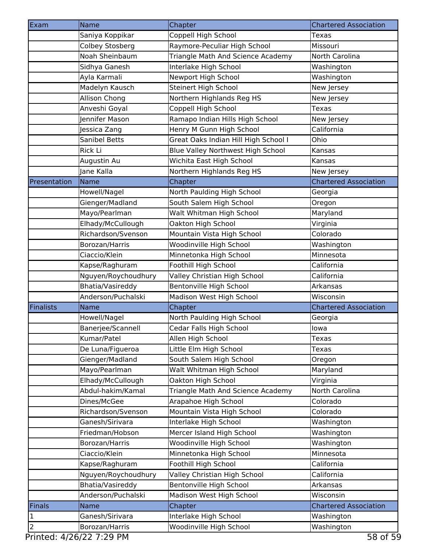| Exam                                   | Name                             | Chapter                                               | <b>Chartered Association</b>               |
|----------------------------------------|----------------------------------|-------------------------------------------------------|--------------------------------------------|
|                                        | Saniya Koppikar                  | Coppell High School                                   | Texas                                      |
|                                        | Colbey Stosberg                  | Raymore-Peculiar High School                          | Missouri                                   |
|                                        | Noah Sheinbaum                   | Triangle Math And Science Academy                     | North Carolina                             |
|                                        | Sidhya Ganesh                    | Interlake High School                                 | Washington                                 |
|                                        | Ayla Karmali                     | Newport High School                                   | Washington                                 |
|                                        | Madelyn Kausch                   | Steinert High School                                  | New Jersey                                 |
|                                        | Allison Chong                    | Northern Highlands Reg HS                             | New Jersey                                 |
|                                        | Anveshi Goyal                    | Coppell High School                                   | <b>Texas</b>                               |
|                                        | Jennifer Mason                   | Ramapo Indian Hills High School                       | New Jersey                                 |
|                                        | Jessica Zang                     | Henry M Gunn High School                              | California                                 |
|                                        | <b>Sanibel Betts</b>             | Great Oaks Indian Hill High School I                  | Ohio                                       |
|                                        | Rick Li                          | Blue Valley Northwest High School                     | Kansas                                     |
|                                        | Augustin Au                      | Wichita East High School                              | Kansas                                     |
|                                        | Jane Kalla                       | Northern Highlands Reg HS                             | New Jersey                                 |
| Presentation                           | <b>Name</b>                      | Chapter                                               | <b>Chartered Association</b>               |
|                                        | Howell/Nagel                     | North Paulding High School                            | Georgia                                    |
|                                        | Gienger/Madland                  | South Salem High School                               | Oregon                                     |
|                                        | Mayo/Pearlman                    | Walt Whitman High School                              | Maryland                                   |
|                                        | Elhady/McCullough                | Oakton High School                                    | Virginia                                   |
|                                        | Richardson/Svenson               | Mountain Vista High School                            | Colorado                                   |
|                                        | Borozan/Harris                   | Woodinville High School                               | Washington                                 |
|                                        | Ciaccio/Klein                    | Minnetonka High School                                | Minnesota                                  |
|                                        | Kapse/Raghuram                   | Foothill High School                                  | California                                 |
|                                        | Nguyen/Roychoudhury              | Valley Christian High School                          | California                                 |
|                                        | Bhatia/Vasireddy                 | Bentonville High School                               | Arkansas                                   |
|                                        |                                  |                                                       |                                            |
|                                        | Anderson/Puchalski               |                                                       | Wisconsin                                  |
|                                        | <b>Name</b>                      | Madison West High School<br>Chapter                   | <b>Chartered Association</b>               |
|                                        |                                  |                                                       | Georgia                                    |
|                                        | Howell/Nagel                     | North Paulding High School<br>Cedar Falls High School | lowa                                       |
|                                        | Banerjee/Scannell<br>Kumar/Patel |                                                       | <b>Texas</b>                               |
|                                        |                                  | Allen High School                                     |                                            |
|                                        | De Luna/Figueroa                 | Little Elm High School                                | Texas                                      |
|                                        | Gienger/Madland                  | South Salem High School                               | Oregon                                     |
|                                        | Mayo/Pearlman                    | Walt Whitman High School                              | Maryland                                   |
|                                        | Elhady/McCullough                | Oakton High School                                    | Virginia                                   |
|                                        | Abdul-hakim/Kamal                | Triangle Math And Science Academy                     | North Carolina                             |
|                                        | Dines/McGee                      | Arapahoe High School                                  | Colorado                                   |
|                                        | Richardson/Svenson               | Mountain Vista High School                            | Colorado                                   |
|                                        | Ganesh/Sirivara                  | Interlake High School                                 | Washington                                 |
|                                        | Friedman/Hobson                  | Mercer Island High School                             | Washington                                 |
|                                        | Borozan/Harris                   | Woodinville High School                               | Washington                                 |
|                                        | Ciaccio/Klein                    | Minnetonka High School                                | Minnesota                                  |
|                                        | Kapse/Raghuram                   | Foothill High School                                  | California                                 |
|                                        | Nguyen/Roychoudhury              | Valley Christian High School                          | California                                 |
|                                        | Bhatia/Vasireddy                 | Bentonville High School                               | Arkansas                                   |
|                                        | Anderson/Puchalski               | Madison West High School                              | Wisconsin                                  |
| <b>Finalists</b><br><b>Finals</b><br>1 | Name<br>Ganesh/Sirivara          | Chapter<br>Interlake High School                      | <b>Chartered Association</b><br>Washington |